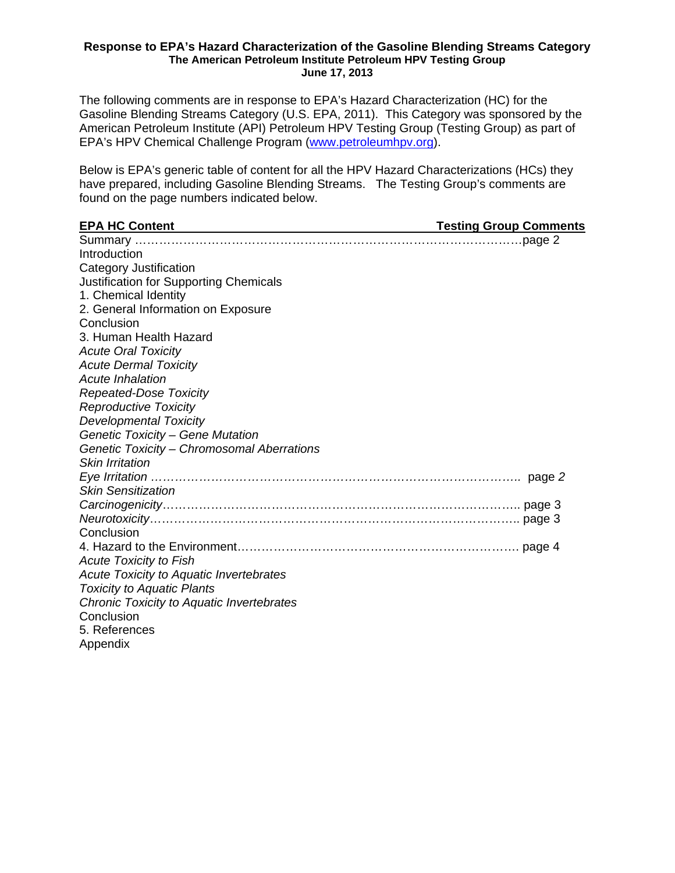#### **Response to EPA's Hazard Characterization of the Gasoline Blending Streams Category The American Petroleum Institute Petroleum HPV Testing Group June 17, 2013**

The following comments are in response to EPA's Hazard Characterization (HC) for the Gasoline Blending Streams Category (U.S. EPA, 2011). This Category was sponsored by the American Petroleum Institute (API) Petroleum HPV Testing Group (Testing Group) as part of EPA's HPV Chemical Challenge Program (www.petroleumhpv.org).

Below is EPA's generic table of content for all the HPV Hazard Characterizations (HCs) they have prepared, including Gasoline Blending Streams. The Testing Group's comments are found on the page numbers indicated below.

| <b>EPA HC Content</b><br><b>Example 20 Testing Group Comments</b> |  |
|-------------------------------------------------------------------|--|
|                                                                   |  |
| Introduction                                                      |  |
| Category Justification                                            |  |
| <b>Justification for Supporting Chemicals</b>                     |  |
| 1. Chemical Identity                                              |  |
| 2. General Information on Exposure                                |  |
| Conclusion                                                        |  |
| 3. Human Health Hazard                                            |  |
| <b>Acute Oral Toxicity</b>                                        |  |
| <b>Acute Dermal Toxicity</b>                                      |  |
| Acute Inhalation                                                  |  |
| <b>Repeated-Dose Toxicity</b>                                     |  |
| <b>Reproductive Toxicity</b>                                      |  |
| <b>Developmental Toxicity</b>                                     |  |
| <b>Genetic Toxicity - Gene Mutation</b>                           |  |
| Genetic Toxicity - Chromosomal Aberrations                        |  |
| <b>Skin Irritation</b>                                            |  |
|                                                                   |  |
| <b>Skin Sensitization</b>                                         |  |
|                                                                   |  |
|                                                                   |  |
| Conclusion                                                        |  |
|                                                                   |  |
| <b>Acute Toxicity to Fish</b>                                     |  |
| Acute Toxicity to Aquatic Invertebrates                           |  |
| <b>Toxicity to Aquatic Plants</b>                                 |  |
| Chronic Toxicity to Aquatic Invertebrates                         |  |
| Conclusion                                                        |  |
| 5. References                                                     |  |
| Appendix                                                          |  |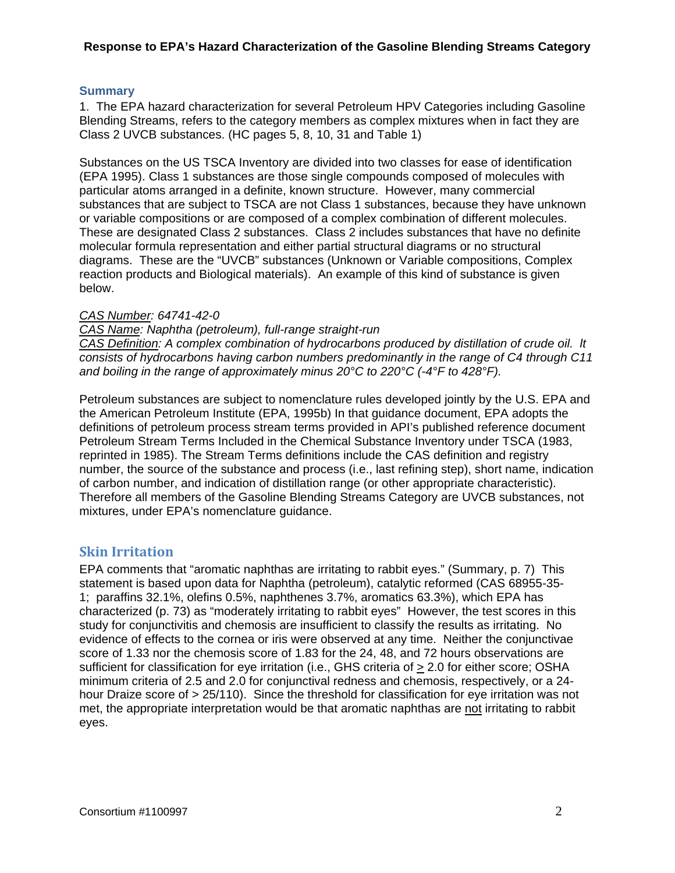#### **Summary**

1. The EPA hazard characterization for several Petroleum HPV Categories including Gasoline Blending Streams, refers to the category members as complex mixtures when in fact they are Class 2 UVCB substances. (HC pages 5, 8, 10, 31 and Table 1)

Substances on the US TSCA Inventory are divided into two classes for ease of identification (EPA 1995). Class 1 substances are those single compounds composed of molecules with particular atoms arranged in a definite, known structure. However, many commercial substances that are subject to TSCA are not Class 1 substances, because they have unknown or variable compositions or are composed of a complex combination of different molecules. These are designated Class 2 substances. Class 2 includes substances that have no definite molecular formula representation and either partial structural diagrams or no structural diagrams. These are the "UVCB" substances (Unknown or Variable compositions, Complex reaction products and Biological materials). An example of this kind of substance is given below.

#### *CAS Number: 64741-42-0*

#### *CAS Name: Naphtha (petroleum), full-range straight-run*

*CAS Definition: A complex combination of hydrocarbons produced by distillation of crude oil. lt consists of hydrocarbons having carbon numbers predominantly in the range of C4 through C11 and boiling in the range of approximately minus 20°C to 220°C (-4°F to 428°F).* 

Petroleum substances are subject to nomenclature rules developed jointly by the U.S. EPA and the American Petroleum Institute (EPA, 1995b) In that guidance document, EPA adopts the definitions of petroleum process stream terms provided in API's published reference document Petroleum Stream Terms Included in the Chemical Substance Inventory under TSCA (1983, reprinted in 1985). The Stream Terms definitions include the CAS definition and registry number, the source of the substance and process (i.e., last refining step), short name, indication of carbon number, and indication of distillation range (or other appropriate characteristic). Therefore all members of the Gasoline Blending Streams Category are UVCB substances, not mixtures, under EPA's nomenclature guidance.

#### **Skin Irritation**

EPA comments that "aromatic naphthas are irritating to rabbit eyes." (Summary, p. 7) This statement is based upon data for Naphtha (petroleum), catalytic reformed (CAS 68955-35- 1; paraffins 32.1%, olefins 0.5%, naphthenes 3.7%, aromatics 63.3%), which EPA has characterized (p. 73) as "moderately irritating to rabbit eyes" However, the test scores in this study for conjunctivitis and chemosis are insufficient to classify the results as irritating. No evidence of effects to the cornea or iris were observed at any time. Neither the conjunctivae score of 1.33 nor the chemosis score of 1.83 for the 24, 48, and 72 hours observations are sufficient for classification for eye irritation (i.e., GHS criteria of > 2.0 for either score; OSHA minimum criteria of 2.5 and 2.0 for conjunctival redness and chemosis, respectively, or a 24 hour Draize score of > 25/110). Since the threshold for classification for eye irritation was not met, the appropriate interpretation would be that aromatic naphthas are not irritating to rabbit eyes.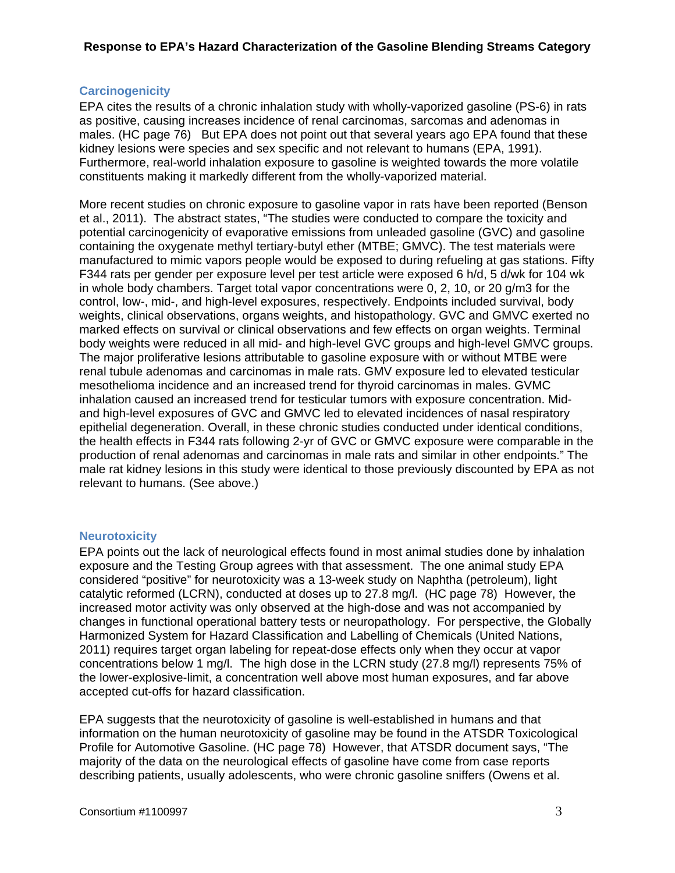## **Carcinogenicity**

EPA cites the results of a chronic inhalation study with wholly-vaporized gasoline (PS-6) in rats as positive, causing increases incidence of renal carcinomas, sarcomas and adenomas in males. (HC page 76) But EPA does not point out that several years ago EPA found that these kidney lesions were species and sex specific and not relevant to humans (EPA, 1991). Furthermore, real-world inhalation exposure to gasoline is weighted towards the more volatile constituents making it markedly different from the wholly-vaporized material.

More recent studies on chronic exposure to gasoline vapor in rats have been reported (Benson et al., 2011). The abstract states, "The studies were conducted to compare the toxicity and potential carcinogenicity of evaporative emissions from unleaded gasoline (GVC) and gasoline containing the oxygenate methyl tertiary-butyl ether (MTBE; GMVC). The test materials were manufactured to mimic vapors people would be exposed to during refueling at gas stations. Fifty F344 rats per gender per exposure level per test article were exposed 6 h/d, 5 d/wk for 104 wk in whole body chambers. Target total vapor concentrations were 0, 2, 10, or 20 g/m3 for the control, low-, mid-, and high-level exposures, respectively. Endpoints included survival, body weights, clinical observations, organs weights, and histopathology. GVC and GMVC exerted no marked effects on survival or clinical observations and few effects on organ weights. Terminal body weights were reduced in all mid- and high-level GVC groups and high-level GMVC groups. The major proliferative lesions attributable to gasoline exposure with or without MTBE were renal tubule adenomas and carcinomas in male rats. GMV exposure led to elevated testicular mesothelioma incidence and an increased trend for thyroid carcinomas in males. GVMC inhalation caused an increased trend for testicular tumors with exposure concentration. Midand high-level exposures of GVC and GMVC led to elevated incidences of nasal respiratory epithelial degeneration. Overall, in these chronic studies conducted under identical conditions, the health effects in F344 rats following 2-yr of GVC or GMVC exposure were comparable in the production of renal adenomas and carcinomas in male rats and similar in other endpoints." The male rat kidney lesions in this study were identical to those previously discounted by EPA as not relevant to humans. (See above.)

#### **Neurotoxicity**

EPA points out the lack of neurological effects found in most animal studies done by inhalation exposure and the Testing Group agrees with that assessment. The one animal study EPA considered "positive" for neurotoxicity was a 13-week study on Naphtha (petroleum), light catalytic reformed (LCRN), conducted at doses up to 27.8 mg/l. (HC page 78) However, the increased motor activity was only observed at the high-dose and was not accompanied by changes in functional operational battery tests or neuropathology. For perspective, the Globally Harmonized System for Hazard Classification and Labelling of Chemicals (United Nations, 2011) requires target organ labeling for repeat-dose effects only when they occur at vapor concentrations below 1 mg/l. The high dose in the LCRN study (27.8 mg/l) represents 75% of the lower-explosive-limit, a concentration well above most human exposures, and far above accepted cut-offs for hazard classification.

EPA suggests that the neurotoxicity of gasoline is well-established in humans and that information on the human neurotoxicity of gasoline may be found in the ATSDR Toxicological Profile for Automotive Gasoline. (HC page 78) However, that ATSDR document says, "The majority of the data on the neurological effects of gasoline have come from case reports describing patients, usually adolescents, who were chronic gasoline sniffers (Owens et al.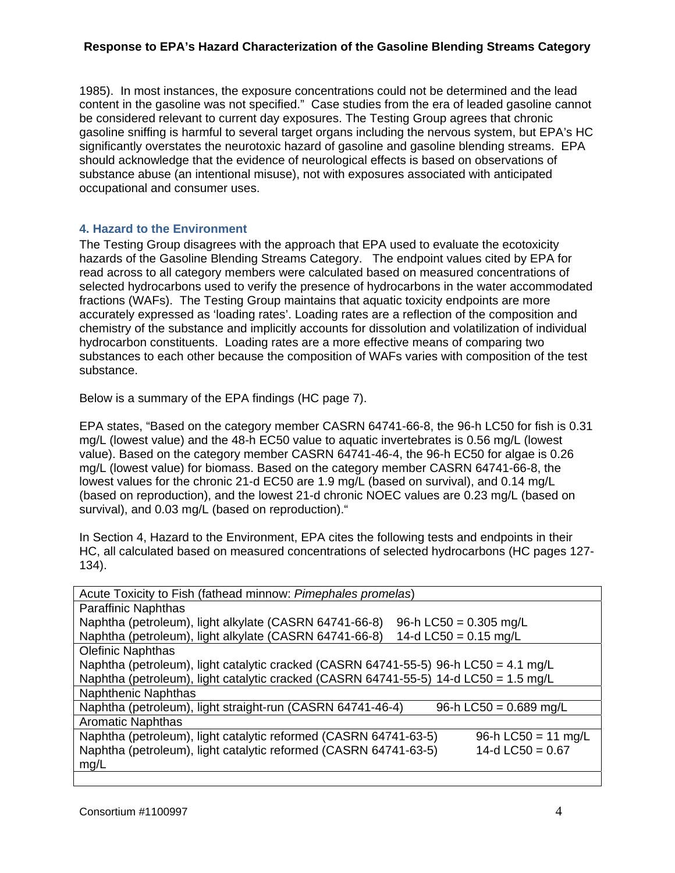1985). In most instances, the exposure concentrations could not be determined and the lead content in the gasoline was not specified." Case studies from the era of leaded gasoline cannot be considered relevant to current day exposures. The Testing Group agrees that chronic gasoline sniffing is harmful to several target organs including the nervous system, but EPA's HC significantly overstates the neurotoxic hazard of gasoline and gasoline blending streams. EPA should acknowledge that the evidence of neurological effects is based on observations of substance abuse (an intentional misuse), not with exposures associated with anticipated occupational and consumer uses.

## **4. Hazard to the Environment**

The Testing Group disagrees with the approach that EPA used to evaluate the ecotoxicity hazards of the Gasoline Blending Streams Category. The endpoint values cited by EPA for read across to all category members were calculated based on measured concentrations of selected hydrocarbons used to verify the presence of hydrocarbons in the water accommodated fractions (WAFs). The Testing Group maintains that aquatic toxicity endpoints are more accurately expressed as 'loading rates'. Loading rates are a reflection of the composition and chemistry of the substance and implicitly accounts for dissolution and volatilization of individual hydrocarbon constituents. Loading rates are a more effective means of comparing two substances to each other because the composition of WAFs varies with composition of the test substance.

Below is a summary of the EPA findings (HC page 7).

EPA states, "Based on the category member CASRN 64741-66-8, the 96-h LC50 for fish is 0.31 mg/L (lowest value) and the 48-h EC50 value to aquatic invertebrates is 0.56 mg/L (lowest value). Based on the category member CASRN 64741-46-4, the 96-h EC50 for algae is 0.26 mg/L (lowest value) for biomass. Based on the category member CASRN 64741-66-8, the lowest values for the chronic 21-d EC50 are 1.9 mg/L (based on survival), and 0.14 mg/L (based on reproduction), and the lowest 21-d chronic NOEC values are 0.23 mg/L (based on survival), and 0.03 mg/L (based on reproduction)."

In Section 4, Hazard to the Environment, EPA cites the following tests and endpoints in their HC, all calculated based on measured concentrations of selected hydrocarbons (HC pages 127- 134).

| Acute Toxicity to Fish (fathead minnow: Pimephales promelas)                            |
|-----------------------------------------------------------------------------------------|
| <b>Paraffinic Naphthas</b>                                                              |
| Naphtha (petroleum), light alkylate (CASRN 64741-66-8)<br>96-h LC50 = $0.305$ mg/L      |
| Naphtha (petroleum), light alkylate (CASRN 64741-66-8)<br>14-d LC50 = $0.15$ mg/L       |
| <b>Olefinic Naphthas</b>                                                                |
| Naphtha (petroleum), light catalytic cracked (CASRN 64741-55-5) 96-h LC50 = 4.1 mg/L    |
| Naphtha (petroleum), light catalytic cracked (CASRN 64741-55-5) 14-d LC50 = 1.5 mg/L    |
| <b>Naphthenic Naphthas</b>                                                              |
| Naphtha (petroleum), light straight-run (CASRN 64741-46-4)<br>96-h LC50 = $0.689$ mg/L  |
| <b>Aromatic Naphthas</b>                                                                |
| Naphtha (petroleum), light catalytic reformed (CASRN 64741-63-5)<br>96-h LC50 = 11 mg/L |
| Naphtha (petroleum), light catalytic reformed (CASRN 64741-63-5)<br>14-d LC50 = $0.67$  |
| mg/L                                                                                    |
|                                                                                         |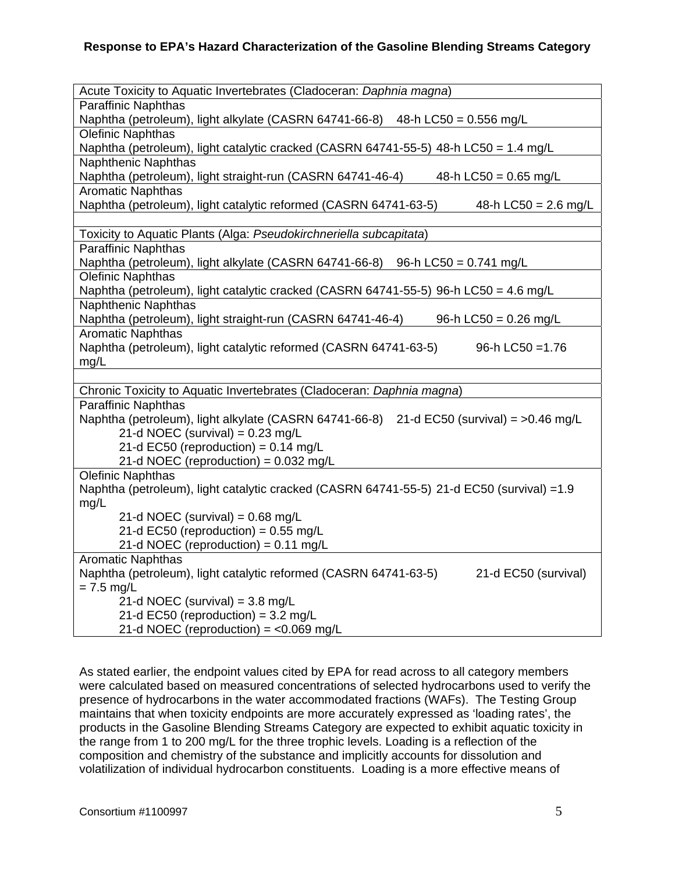| Acute Toxicity to Aquatic Invertebrates (Cladoceran: Daphnia magna)                                |
|----------------------------------------------------------------------------------------------------|
| <b>Paraffinic Naphthas</b>                                                                         |
| Naphtha (petroleum), light alkylate (CASRN 64741-66-8) 48-h LC50 = 0.556 mg/L                      |
| Olefinic Naphthas                                                                                  |
| Naphtha (petroleum), light catalytic cracked (CASRN 64741-55-5) 48-h LC50 = 1.4 mg/L               |
| <b>Naphthenic Naphthas</b>                                                                         |
| Naphtha (petroleum), light straight-run (CASRN 64741-46-4)<br>48-h LC50 = $0.65$ mg/L              |
| <b>Aromatic Naphthas</b>                                                                           |
| Naphtha (petroleum), light catalytic reformed (CASRN 64741-63-5)<br>48-h LC50 = $2.6 \text{ mg/L}$ |
|                                                                                                    |
| Toxicity to Aquatic Plants (Alga: Pseudokirchneriella subcapitata)                                 |
| <b>Paraffinic Naphthas</b>                                                                         |
| Naphtha (petroleum), light alkylate (CASRN 64741-66-8) 96-h LC50 = 0.741 mg/L                      |
| <b>Olefinic Naphthas</b>                                                                           |
| Naphtha (petroleum), light catalytic cracked (CASRN 64741-55-5) 96-h LC50 = 4.6 mg/L               |
| <b>Naphthenic Naphthas</b>                                                                         |
| Naphtha (petroleum), light straight-run (CASRN 64741-46-4)<br>96-h LC50 = $0.26$ mg/L              |
| <b>Aromatic Naphthas</b>                                                                           |
| Naphtha (petroleum), light catalytic reformed (CASRN 64741-63-5)<br>96-h LC50 = 1.76               |
| mg/L                                                                                               |
|                                                                                                    |
| Chronic Toxicity to Aquatic Invertebrates (Cladoceran: Daphnia magna)                              |
| <b>Paraffinic Naphthas</b>                                                                         |
| Naphtha (petroleum), light alkylate (CASRN 64741-66-8) 21-d EC50 (survival) = >0.46 mg/L           |
| 21-d NOEC (survival) = $0.23$ mg/L                                                                 |
| 21-d EC50 (reproduction) = $0.14$ mg/L<br>21-d NOEC (reproduction) = 0.032 mg/L                    |
| Olefinic Naphthas                                                                                  |
| Naphtha (petroleum), light catalytic cracked (CASRN 64741-55-5) 21-d EC50 (survival) =1.9          |
| mg/L                                                                                               |
| 21-d NOEC (survival) = $0.68$ mg/L                                                                 |
| 21-d EC50 (reproduction) = $0.55$ mg/L                                                             |
| 21-d NOEC (reproduction) = $0.11$ mg/L                                                             |
| <b>Aromatic Naphthas</b>                                                                           |
| Naphtha (petroleum), light catalytic reformed (CASRN 64741-63-5)<br>21-d EC50 (survival)           |
| $= 7.5$ mg/L                                                                                       |
| 21-d NOEC (survival) = $3.8 \text{ mg/L}$                                                          |
| 21-d EC50 (reproduction) = $3.2 \text{ mg/L}$                                                      |
| 21-d NOEC (reproduction) = $<$ 0.069 mg/L                                                          |
|                                                                                                    |

As stated earlier, the endpoint values cited by EPA for read across to all category members were calculated based on measured concentrations of selected hydrocarbons used to verify the presence of hydrocarbons in the water accommodated fractions (WAFs). The Testing Group maintains that when toxicity endpoints are more accurately expressed as 'loading rates', the products in the Gasoline Blending Streams Category are expected to exhibit aquatic toxicity in the range from 1 to 200 mg/L for the three trophic levels. Loading is a reflection of the composition and chemistry of the substance and implicitly accounts for dissolution and volatilization of individual hydrocarbon constituents. Loading is a more effective means of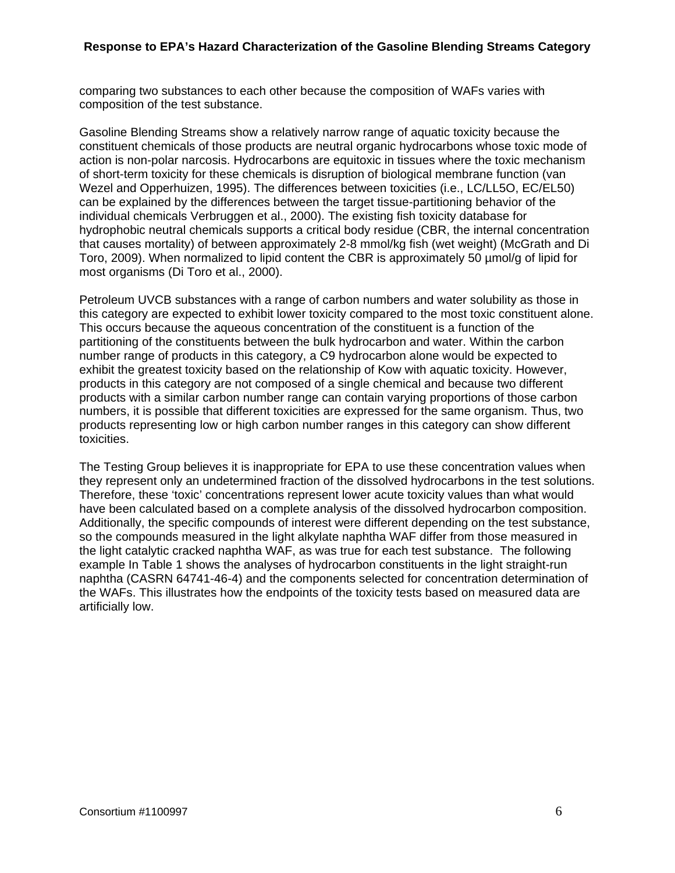comparing two substances to each other because the composition of WAFs varies with composition of the test substance.

Gasoline Blending Streams show a relatively narrow range of aquatic toxicity because the constituent chemicals of those products are neutral organic hydrocarbons whose toxic mode of action is non-polar narcosis. Hydrocarbons are equitoxic in tissues where the toxic mechanism of short-term toxicity for these chemicals is disruption of biological membrane function (van Wezel and Opperhuizen, 1995). The differences between toxicities (i.e., LC/LL5O, EC/EL50) can be explained by the differences between the target tissue-partitioning behavior of the individual chemicals Verbruggen et al., 2000). The existing fish toxicity database for hydrophobic neutral chemicals supports a critical body residue (CBR, the internal concentration that causes mortality) of between approximately 2-8 mmol/kg fish (wet weight) (McGrath and Di Toro, 2009). When normalized to lipid content the CBR is approximately 50 µmol/g of lipid for most organisms (Di Toro et al., 2000).

Petroleum UVCB substances with a range of carbon numbers and water solubility as those in this category are expected to exhibit lower toxicity compared to the most toxic constituent alone. This occurs because the aqueous concentration of the constituent is a function of the partitioning of the constituents between the bulk hydrocarbon and water. Within the carbon number range of products in this category, a C9 hydrocarbon alone would be expected to exhibit the greatest toxicity based on the relationship of Kow with aquatic toxicity. However, products in this category are not composed of a single chemical and because two different products with a similar carbon number range can contain varying proportions of those carbon numbers, it is possible that different toxicities are expressed for the same organism. Thus, two products representing low or high carbon number ranges in this category can show different toxicities.

The Testing Group believes it is inappropriate for EPA to use these concentration values when they represent only an undetermined fraction of the dissolved hydrocarbons in the test solutions. Therefore, these 'toxic' concentrations represent lower acute toxicity values than what would have been calculated based on a complete analysis of the dissolved hydrocarbon composition. Additionally, the specific compounds of interest were different depending on the test substance, so the compounds measured in the light alkylate naphtha WAF differ from those measured in the light catalytic cracked naphtha WAF, as was true for each test substance. The following example In Table 1 shows the analyses of hydrocarbon constituents in the light straight-run naphtha (CASRN 64741-46-4) and the components selected for concentration determination of the WAFs. This illustrates how the endpoints of the toxicity tests based on measured data are artificially low.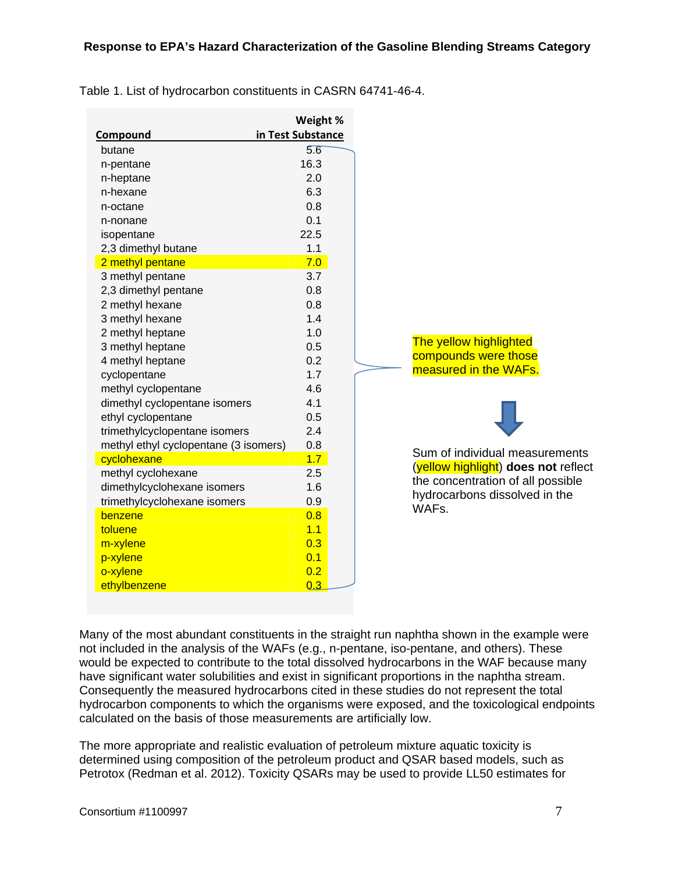|                                       | Weight %          |
|---------------------------------------|-------------------|
| Compound                              | in Test Substance |
| butane                                | 5.6               |
| n-pentane                             | 16.3              |
| n-heptane                             | 2.0               |
| n-hexane                              | 6.3               |
| n-octane                              | 0.8               |
| n-nonane                              | 0.1               |
| isopentane                            | 22.5              |
| 2,3 dimethyl butane                   | 1.1               |
| 2 methyl pentane                      | 7.0               |
| 3 methyl pentane                      | 3.7               |
| 2,3 dimethyl pentane                  | 0.8               |
| 2 methyl hexane                       | 0.8               |
| 3 methyl hexane                       | 1.4               |
| 2 methyl heptane                      | 1.0               |
| 3 methyl heptane                      | 0.5               |
| 4 methyl heptane                      | 0.2               |
| cyclopentane                          | 1.7               |
| methyl cyclopentane                   | 4.6               |
| dimethyl cyclopentane isomers         | 4.1               |
| ethyl cyclopentane                    | 0.5               |
| trimethylcyclopentane isomers         | 2.4               |
| methyl ethyl cyclopentane (3 isomers) | 0.8               |
| cyclohexane                           | 1.7               |
| methyl cyclohexane                    | 2.5               |
| dimethylcyclohexane isomers           | 1.6               |
| trimethylcyclohexane isomers          | 0.9               |
| benzene                               | 0.8               |
| toluene                               | 1.1               |
| m-xylene                              | 0.3               |
| p-xylene                              | 0.1               |
| o-xylene                              | 0.2               |
| ethylbenzene                          | 0.3               |

Table 1. List of hydrocarbon constituents in CASRN 64741-46-4.

Many of the most abundant constituents in the straight run naphtha shown in the example were not included in the analysis of the WAFs (e.g., n-pentane, iso-pentane, and others). These would be expected to contribute to the total dissolved hydrocarbons in the WAF because many have significant water solubilities and exist in significant proportions in the naphtha stream. Consequently the measured hydrocarbons cited in these studies do not represent the total hydrocarbon components to which the organisms were exposed, and the toxicological endpoints calculated on the basis of those measurements are artificially low.

The more appropriate and realistic evaluation of petroleum mixture aquatic toxicity is determined using composition of the petroleum product and QSAR based models, such as Petrotox (Redman et al. 2012). Toxicity QSARs may be used to provide LL50 estimates for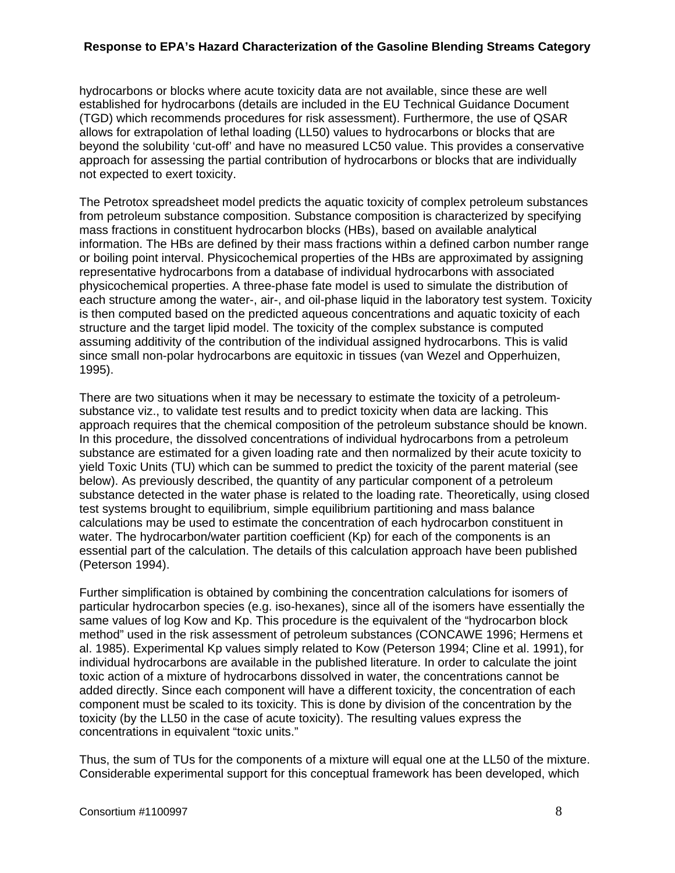hydrocarbons or blocks where acute toxicity data are not available, since these are well established for hydrocarbons (details are included in the EU Technical Guidance Document (TGD) which recommends procedures for risk assessment). Furthermore, the use of QSAR allows for extrapolation of lethal loading (LL50) values to hydrocarbons or blocks that are beyond the solubility 'cut-off' and have no measured LC50 value. This provides a conservative approach for assessing the partial contribution of hydrocarbons or blocks that are individually not expected to exert toxicity.

The Petrotox spreadsheet model predicts the aquatic toxicity of complex petroleum substances from petroleum substance composition. Substance composition is characterized by specifying mass fractions in constituent hydrocarbon blocks (HBs), based on available analytical information. The HBs are defined by their mass fractions within a defined carbon number range or boiling point interval. Physicochemical properties of the HBs are approximated by assigning representative hydrocarbons from a database of individual hydrocarbons with associated physicochemical properties. A three-phase fate model is used to simulate the distribution of each structure among the water-, air-, and oil-phase liquid in the laboratory test system. Toxicity is then computed based on the predicted aqueous concentrations and aquatic toxicity of each structure and the target lipid model. The toxicity of the complex substance is computed assuming additivity of the contribution of the individual assigned hydrocarbons. This is valid since small non-polar hydrocarbons are equitoxic in tissues (van Wezel and Opperhuizen, 1995).

There are two situations when it may be necessary to estimate the toxicity of a petroleumsubstance viz., to validate test results and to predict toxicity when data are lacking. This approach requires that the chemical composition of the petroleum substance should be known. In this procedure, the dissolved concentrations of individual hydrocarbons from a petroleum substance are estimated for a given loading rate and then normalized by their acute toxicity to yield Toxic Units (TU) which can be summed to predict the toxicity of the parent material (see below). As previously described, the quantity of any particular component of a petroleum substance detected in the water phase is related to the loading rate. Theoretically, using closed test systems brought to equilibrium, simple equilibrium partitioning and mass balance calculations may be used to estimate the concentration of each hydrocarbon constituent in water. The hydrocarbon/water partition coefficient (Kp) for each of the components is an essential part of the calculation. The details of this calculation approach have been published (Peterson 1994).

Further simplification is obtained by combining the concentration calculations for isomers of particular hydrocarbon species (e.g. iso-hexanes), since all of the isomers have essentially the same values of log Kow and Kp. This procedure is the equivalent of the "hydrocarbon block method" used in the risk assessment of petroleum substances (CONCAWE 1996; Hermens et al. 1985). Experimental Kp values simply related to Kow (Peterson 1994; Cline et al. 1991), for individual hydrocarbons are available in the published literature. In order to calculate the joint toxic action of a mixture of hydrocarbons dissolved in water, the concentrations cannot be added directly. Since each component will have a different toxicity, the concentration of each component must be scaled to its toxicity. This is done by division of the concentration by the toxicity (by the LL50 in the case of acute toxicity). The resulting values express the concentrations in equivalent "toxic units."

Thus, the sum of TUs for the components of a mixture will equal one at the LL50 of the mixture. Considerable experimental support for this conceptual framework has been developed, which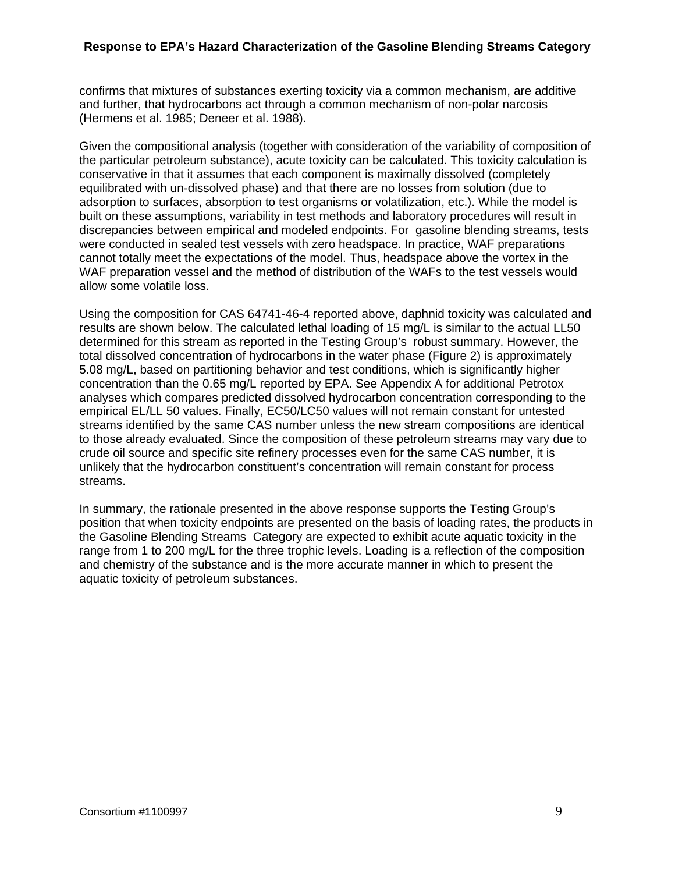confirms that mixtures of substances exerting toxicity via a common mechanism, are additive and further, that hydrocarbons act through a common mechanism of non-polar narcosis (Hermens et al. 1985; Deneer et al. 1988).

Given the compositional analysis (together with consideration of the variability of composition of the particular petroleum substance), acute toxicity can be calculated. This toxicity calculation is conservative in that it assumes that each component is maximally dissolved (completely equilibrated with un-dissolved phase) and that there are no losses from solution (due to adsorption to surfaces, absorption to test organisms or volatilization, etc.). While the model is built on these assumptions, variability in test methods and laboratory procedures will result in discrepancies between empirical and modeled endpoints. For gasoline blending streams, tests were conducted in sealed test vessels with zero headspace. In practice, WAF preparations cannot totally meet the expectations of the model. Thus, headspace above the vortex in the WAF preparation vessel and the method of distribution of the WAFs to the test vessels would allow some volatile loss.

Using the composition for CAS 64741-46-4 reported above, daphnid toxicity was calculated and results are shown below. The calculated lethal loading of 15 mg/L is similar to the actual LL50 determined for this stream as reported in the Testing Group's robust summary. However, the total dissolved concentration of hydrocarbons in the water phase (Figure 2) is approximately 5.08 mg/L, based on partitioning behavior and test conditions, which is significantly higher concentration than the 0.65 mg/L reported by EPA. See Appendix A for additional Petrotox analyses which compares predicted dissolved hydrocarbon concentration corresponding to the empirical EL/LL 50 values. Finally, EC50/LC50 values will not remain constant for untested streams identified by the same CAS number unless the new stream compositions are identical to those already evaluated. Since the composition of these petroleum streams may vary due to crude oil source and specific site refinery processes even for the same CAS number, it is unlikely that the hydrocarbon constituent's concentration will remain constant for process streams.

In summary, the rationale presented in the above response supports the Testing Group's position that when toxicity endpoints are presented on the basis of loading rates, the products in the Gasoline Blending Streams Category are expected to exhibit acute aquatic toxicity in the range from 1 to 200 mg/L for the three trophic levels. Loading is a reflection of the composition and chemistry of the substance and is the more accurate manner in which to present the aquatic toxicity of petroleum substances.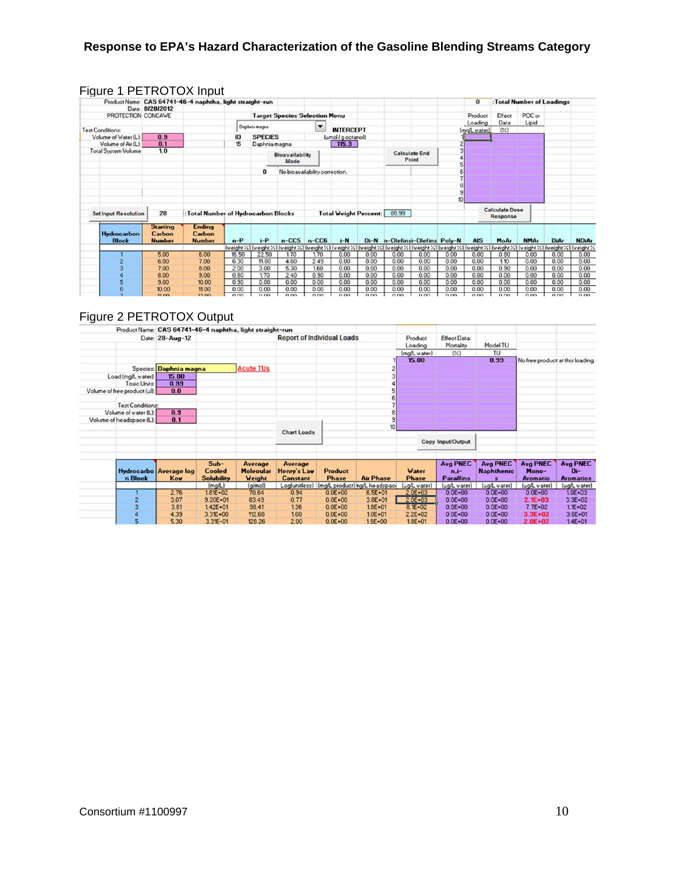|                             |                                            | Product Name: CAS 64741-46-4 naphtha, light straight-run |       |                |                                                                                                                         |                                |                              |        |                           |                      |      | $\bf{0}$     |                                   |             | : Total Number of Loadings       |              |
|-----------------------------|--------------------------------------------|----------------------------------------------------------|-------|----------------|-------------------------------------------------------------------------------------------------------------------------|--------------------------------|------------------------------|--------|---------------------------|----------------------|------|--------------|-----------------------------------|-------------|----------------------------------|--------------|
|                             | Date: 8/28/2012                            |                                                          |       |                |                                                                                                                         |                                |                              |        |                           |                      |      |              |                                   |             |                                  |              |
| PROTECTION CONCAWE          |                                            |                                                          |       |                | <b>Target Species Selection Menu</b>                                                                                    |                                |                              |        |                           |                      |      | Product      | Effect                            | POC or      |                                  |              |
|                             |                                            |                                                          |       | Daphnia magna  |                                                                                                                         | $\overline{\phantom{0}}$       |                              |        |                           |                      |      | Loading      | Data                              | Lipid       |                                  |              |
| <b>Test Conditions:</b>     |                                            |                                                          |       |                |                                                                                                                         |                                | <b>INTERCEPT</b>             |        |                           |                      |      | (mg/L water) | (X)                               |             |                                  |              |
| Volume of Water (L):        | 0.9                                        |                                                          | 10    | <b>SPECIES</b> |                                                                                                                         |                                | (umol / g octanol)           |        |                           |                      |      |              |                                   |             |                                  |              |
| Volume of Air (L):          | 0.1                                        |                                                          | 15    | Daphnia magna  |                                                                                                                         |                                | 115.3                        |        |                           |                      |      |              |                                   |             |                                  |              |
| <b>Total System Volume</b>  | 1.0                                        |                                                          |       |                | Bioavailability                                                                                                         |                                |                              |        |                           | <b>Calculate End</b> |      |              |                                   |             |                                  |              |
|                             |                                            |                                                          |       |                | Mode                                                                                                                    |                                |                              |        |                           | Point                |      |              |                                   |             |                                  |              |
|                             |                                            |                                                          |       | 0              |                                                                                                                         | No bioavailability correction. |                              |        |                           |                      |      |              |                                   |             |                                  |              |
|                             |                                            |                                                          |       |                |                                                                                                                         |                                |                              |        |                           |                      |      |              |                                   |             |                                  |              |
|                             |                                            |                                                          |       |                |                                                                                                                         |                                |                              |        |                           |                      |      |              |                                   |             |                                  |              |
|                             |                                            |                                                          |       |                |                                                                                                                         |                                |                              |        |                           |                      |      |              |                                   |             |                                  |              |
| <b>SetInput Resolution</b>  | 28                                         | : Total Number of Hydrocarbon Blocks                     |       |                |                                                                                                                         |                                | <b>Total Weight Percent:</b> |        | 88.99                     |                      |      |              | <b>Calculate Dose</b><br>Response |             |                                  |              |
| Hydrocarbon<br><b>Block</b> | <b>Starting</b><br>Carbon<br><b>Number</b> | <b>Ending</b><br>Carbon<br><b>Number</b>                 | $n-P$ | $i-P$          | $n$ -CC5                                                                                                                | $n$ -CC6                       | $i-N$                        | $Di-N$ | n-Olefinsi-Olefins Poly-N |                      |      | <b>AIS</b>   | MoAr                              | <b>NMAr</b> | DiAr                             | <b>NDiAr</b> |
|                             |                                            |                                                          |       |                | [weight / ] [weight / ] [weight / ] [weight / ] [weight / ] [weight / ] [weight / ] [weight / ] [weight / ] [weight / ] |                                |                              |        |                           |                      |      |              |                                   |             | (weight %) (weight %) (weight %) | (weight %    |
|                             | 5.00                                       | 6.00                                                     | 16.50 | 22.50          | 1.70                                                                                                                    | 1.70                           | 0.00                         | 0.00   | 0.00                      | 0.00                 | 0.00 | 0.00         | 0.80                              | 0.00        | 0.00                             | 0.00         |
|                             | 6.00                                       | 7.00                                                     | 6.30  | 11.80          | 4.60                                                                                                                    | 2.49                           | 0.00                         | 0.00   | 0.00                      | 0.00                 | 0.00 | 0.00         | 1.10                              | 0.00        | 0.00                             | 0.00         |
|                             | 7.00                                       | 8.00                                                     | 2.00  | 3.00           | 5.30                                                                                                                    | 1.60                           | 0.00                         | 0.00   | 0.00                      | 0.00                 | 0.00 | 0.00         | 0.90                              | 0.00        | 0.00                             | 0.00         |
|                             | 8.00                                       | 9.00                                                     | 0.80  | 1.70           | 2.40                                                                                                                    | 0.90                           | 0.00                         | 0.00   | 0.00                      | 0.00                 | 0.00 | 0.00         | 0.00                              | 0.00        | 0.00                             | 0.00         |
|                             | 9.00                                       | 10.00                                                    | 0.90  | 0.00           | 0.00                                                                                                                    | 0.00                           | 0.00                         | 0.00   | 0.00                      | 0.00                 | 0.00 | 0.00         | 0.00                              | 0.00        | 0.00                             | 0.00         |
|                             | 10.00                                      | 11.00                                                    | 0.00  | 0.00           | 0.00                                                                                                                    | 0.00                           | 0.00                         | 0.00   | 0.00                      | 0.00                 | 0.00 | 0.00         | 0.00                              | 0.00        | 0.00                             | 0.00         |
|                             | 11.00                                      | 12.00                                                    | 0.00  | 0.00           | 0.00                                                                                                                    | 0.00                           | 0.00                         | 0.00   | n nn                      | 0.00                 | 0.00 | 0.00         | 0.00                              | n nn        | n nn                             | 0.00         |

## Figure 1 PETROTOX Input

# Figure 2 PETROTOX Output

|                              | Product Name: CAS 64741-46-4 naphtha, light straight-run |                   |                  |                    |                                   |                                             |              |                     |                   |                                  |                  |
|------------------------------|----------------------------------------------------------|-------------------|------------------|--------------------|-----------------------------------|---------------------------------------------|--------------|---------------------|-------------------|----------------------------------|------------------|
|                              | Date: 28-Aug-12                                          |                   |                  |                    | <b>Report of Individual Loads</b> |                                             | Product      | <b>Effect Data:</b> |                   |                                  |                  |
|                              |                                                          |                   |                  |                    |                                   |                                             | Loading      | Mortality           | Model TU          |                                  |                  |
|                              |                                                          |                   |                  |                    |                                   |                                             | (mg/L water) | $(\frac{1}{2})$     | TU                |                                  |                  |
|                              |                                                          |                   |                  |                    |                                   |                                             | 15.00        |                     | 0.99              | No free product at this loading. |                  |
|                              | Species: Daphnia magna                                   |                   | <b>Acute TUs</b> |                    |                                   |                                             |              |                     |                   |                                  |                  |
| Load (mg/L water):           | 15.00                                                    |                   |                  |                    |                                   |                                             |              |                     |                   |                                  |                  |
| Toxic Units:                 | 0.99                                                     |                   |                  |                    |                                   |                                             |              |                     |                   |                                  |                  |
| Volume of free product [ul]: | 0.0                                                      |                   |                  |                    |                                   |                                             |              |                     |                   |                                  |                  |
|                              |                                                          |                   |                  |                    |                                   |                                             |              |                     |                   |                                  |                  |
| <b>Test Conditions:</b>      |                                                          |                   |                  |                    |                                   |                                             |              |                     |                   |                                  |                  |
| Volume of water (L):         | 0.9                                                      |                   |                  |                    |                                   |                                             |              |                     |                   |                                  |                  |
| Volume of headspace (L):     | 0.1                                                      |                   |                  |                    |                                   |                                             |              |                     |                   |                                  |                  |
|                              |                                                          |                   |                  |                    |                                   | 10 <sup>10</sup>                            |              |                     |                   |                                  |                  |
|                              |                                                          |                   |                  | <b>Chart Loads</b> |                                   |                                             |              |                     |                   |                                  |                  |
|                              |                                                          |                   |                  |                    |                                   |                                             |              | Copy Input/Output   |                   |                                  |                  |
|                              |                                                          |                   |                  |                    |                                   |                                             |              |                     |                   |                                  |                  |
|                              |                                                          | $Sub-$            | Average          | Average            |                                   |                                             |              | <b>Avg PNEC</b>     | <b>Avg PNEC</b>   | <b>Avg PNEC</b>                  | <b>Avg PNEC</b>  |
|                              | Hydrocarbo Average log                                   | <b>Cooled</b>     | <b>Molecular</b> | Henry's Law        | Product                           |                                             | Water        | $n.i-$              | <b>Naphthenic</b> | Mono-                            | $Di-$            |
| n Block                      | Kow                                                      | <b>Solubility</b> | Weight           | <b>Constant</b>    | <b>Phase</b>                      | <b>Air Phase</b>                            | <b>Phase</b> | <b>Paraffins</b>    | s                 | <b>Aromatic</b>                  | <b>Aromatics</b> |
|                              |                                                          | (mq/L)            | (g/mol)          |                    |                                   | Log(unitless) [mg/L product] ng/L headspace | (ug/L water) | (ug/L water)        | (ug/L water)      | (ug/L water)                     | (ug/L water)     |
|                              | 2.76                                                     | $1.81E + 0.2$     | 70.64            | 0.94               | $0.0E + 00$                       | $6.5E + 01$                                 | $2.0E + 03$  | $0.0E + 00$         | $0.0E + 00$       | $0.0E + 00$                      | $1.0E + 03$      |
|                              | 3.07                                                     | $9.20E + 01$      | 83.49            | 0.77               | $0.0E + 00$                       | $3.8E + 01$                                 | $2.0E + 03$  | $0.0E + 00$         | $0.0E + 00$       | $2.1E + 03$                      | $3.3E + 02$      |
|                              | 3.81                                                     | $142E + 01$       | 38.41            | 1.36               | $0.0E + 00$                       | $1.8E + 01$                                 | $8.E+02$     | $0.0E + 00$         | $0.0E + 00$       | $7.7E + 02$                      | $11E + 02$       |
|                              | 4.39                                                     | $3.31E + 00$      | 112.68           | 1.60               | $0.0E + 00$                       | $1.0E + 01$                                 | $2.2E + 02$  | $0.0E + 00$         | $0.0E + 00$       | $3.3E + 02$                      | $3.6E + 01$      |
|                              | 5.30                                                     | $3.31E - 01$      | 128.26           | 2.00               | $0.05 + 00$                       | $18E + 00$                                  | 18F+01       | $0.05 + 00$         | $0.05 + 00$       | $2.0F + 02$                      | $14E + 01$       |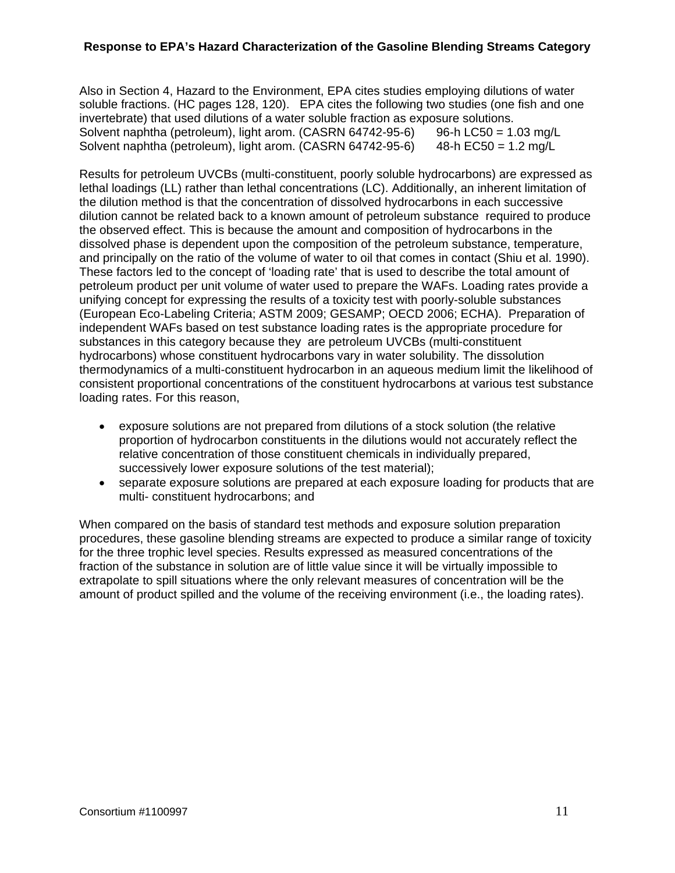Also in Section 4, Hazard to the Environment, EPA cites studies employing dilutions of water soluble fractions. (HC pages 128, 120). EPA cites the following two studies (one fish and one invertebrate) that used dilutions of a water soluble fraction as exposure solutions. Solvent naphtha (petroleum), light arom. (CASRN  $64742-95-6$ ) 96-h LC50 = 1.03 mg/L Solvent naphtha (petroleum), light arom. (CASRN 64742-95-6) 48-h EC50 = 1.2 mg/L

Results for petroleum UVCBs (multi-constituent, poorly soluble hydrocarbons) are expressed as lethal loadings (LL) rather than lethal concentrations (LC). Additionally, an inherent limitation of the dilution method is that the concentration of dissolved hydrocarbons in each successive dilution cannot be related back to a known amount of petroleum substance required to produce the observed effect. This is because the amount and composition of hydrocarbons in the dissolved phase is dependent upon the composition of the petroleum substance, temperature, and principally on the ratio of the volume of water to oil that comes in contact (Shiu et al. 1990). These factors led to the concept of 'loading rate' that is used to describe the total amount of petroleum product per unit volume of water used to prepare the WAFs. Loading rates provide a unifying concept for expressing the results of a toxicity test with poorly-soluble substances (European Eco-Labeling Criteria; ASTM 2009; GESAMP; OECD 2006; ECHA). Preparation of independent WAFs based on test substance loading rates is the appropriate procedure for substances in this category because they are petroleum UVCBs (multi-constituent hydrocarbons) whose constituent hydrocarbons vary in water solubility. The dissolution thermodynamics of a multi-constituent hydrocarbon in an aqueous medium limit the likelihood of consistent proportional concentrations of the constituent hydrocarbons at various test substance loading rates. For this reason,

- exposure solutions are not prepared from dilutions of a stock solution (the relative proportion of hydrocarbon constituents in the dilutions would not accurately reflect the relative concentration of those constituent chemicals in individually prepared, successively lower exposure solutions of the test material);
- separate exposure solutions are prepared at each exposure loading for products that are multi- constituent hydrocarbons; and

When compared on the basis of standard test methods and exposure solution preparation procedures, these gasoline blending streams are expected to produce a similar range of toxicity for the three trophic level species. Results expressed as measured concentrations of the fraction of the substance in solution are of little value since it will be virtually impossible to extrapolate to spill situations where the only relevant measures of concentration will be the amount of product spilled and the volume of the receiving environment (i.e., the loading rates).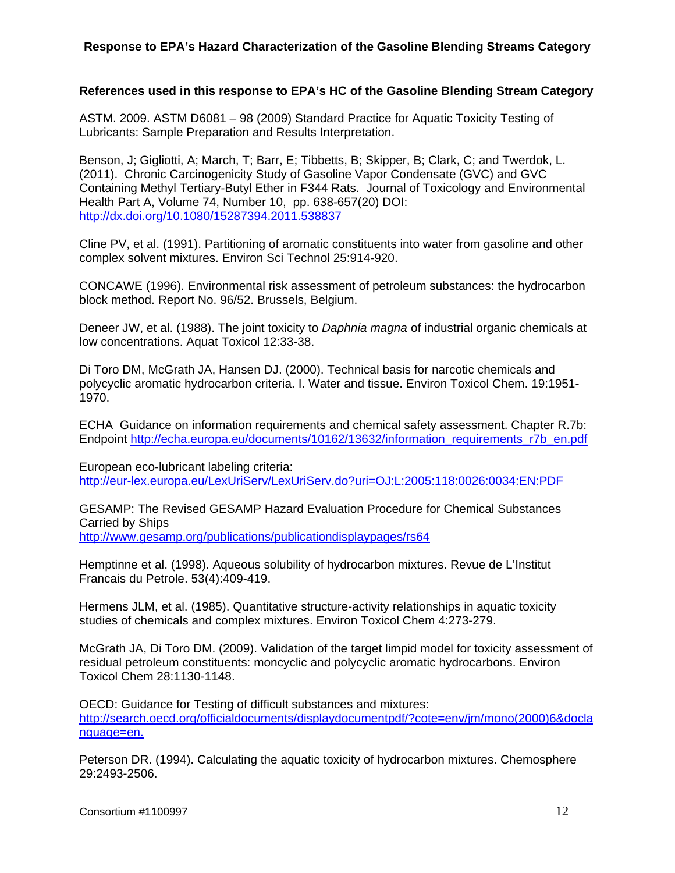#### **References used in this response to EPA's HC of the Gasoline Blending Stream Category**

ASTM. 2009. ASTM D6081 – 98 (2009) Standard Practice for Aquatic Toxicity Testing of Lubricants: Sample Preparation and Results Interpretation.

Benson, J; Gigliotti, A; March, T; Barr, E; Tibbetts, B; Skipper, B; Clark, C; and Twerdok, L. (2011). Chronic Carcinogenicity Study of Gasoline Vapor Condensate (GVC) and GVC Containing Methyl Tertiary-Butyl Ether in F344 Rats. Journal of Toxicology and Environmental Health Part A, Volume 74, Number 10, pp. 638-657(20) DOI: http://dx.doi.org/10.1080/15287394.2011.538837

Cline PV, et al. (1991). Partitioning of aromatic constituents into water from gasoline and other complex solvent mixtures. Environ Sci Technol 25:914-920.

CONCAWE (1996). Environmental risk assessment of petroleum substances: the hydrocarbon block method. Report No. 96/52. Brussels, Belgium.

Deneer JW, et al. (1988). The joint toxicity to *Daphnia magna* of industrial organic chemicals at low concentrations. Aquat Toxicol 12:33-38.

Di Toro DM, McGrath JA, Hansen DJ. (2000). Technical basis for narcotic chemicals and polycyclic aromatic hydrocarbon criteria. I. Water and tissue. Environ Toxicol Chem. 19:1951- 1970.

ECHA Guidance on information requirements and chemical safety assessment. Chapter R.7b: Endpoint http://echa.europa.eu/documents/10162/13632/information\_requirements\_r7b\_en.pdf

European eco-lubricant labeling criteria: http://eur-lex.europa.eu/LexUriServ/LexUriServ.do?uri=OJ:L:2005:118:0026:0034:EN:PDF

GESAMP: The Revised GESAMP Hazard Evaluation Procedure for Chemical Substances Carried by Ships

http://www.gesamp.org/publications/publicationdisplaypages/rs64

Hemptinne et al. (1998). Aqueous solubility of hydrocarbon mixtures. Revue de L'Institut Francais du Petrole. 53(4):409-419.

Hermens JLM, et al. (1985). Quantitative structure-activity relationships in aquatic toxicity studies of chemicals and complex mixtures. Environ Toxicol Chem 4:273-279.

McGrath JA, Di Toro DM. (2009). Validation of the target limpid model for toxicity assessment of residual petroleum constituents: moncyclic and polycyclic aromatic hydrocarbons. Environ Toxicol Chem 28:1130-1148.

OECD: Guidance for Testing of difficult substances and mixtures: http://search.oecd.org/officialdocuments/displaydocumentpdf/?cote=env/jm/mono(2000)6&docla nguage=en.

Peterson DR. (1994). Calculating the aquatic toxicity of hydrocarbon mixtures. Chemosphere 29:2493-2506.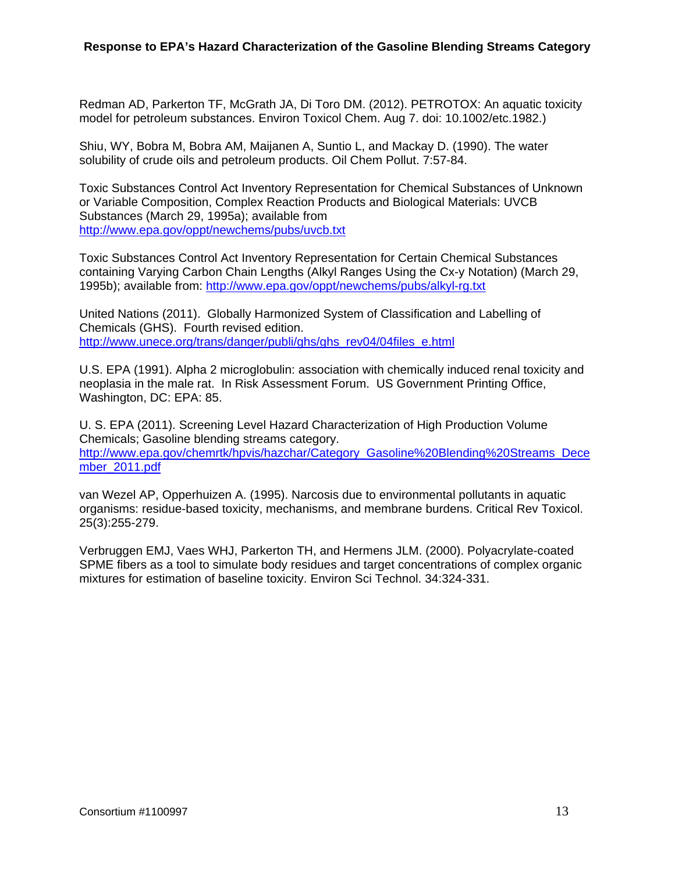Redman AD, Parkerton TF, McGrath JA, Di Toro DM. (2012). PETROTOX: An aquatic toxicity model for petroleum substances. Environ Toxicol Chem. Aug 7. doi: 10.1002/etc.1982.)

Shiu, WY, Bobra M, Bobra AM, Maijanen A, Suntio L, and Mackay D. (1990). The water solubility of crude oils and petroleum products. Oil Chem Pollut. 7:57-84.

Toxic Substances Control Act Inventory Representation for Chemical Substances of Unknown or Variable Composition, Complex Reaction Products and Biological Materials: UVCB Substances (March 29, 1995a); available from http://www.epa.gov/oppt/newchems/pubs/uvcb.txt

Toxic Substances Control Act Inventory Representation for Certain Chemical Substances containing Varying Carbon Chain Lengths (Alkyl Ranges Using the Cx-y Notation) (March 29, 1995b); available from: http://www.epa.gov/oppt/newchems/pubs/alkyl-rg.txt

United Nations (2011). Globally Harmonized System of Classification and Labelling of Chemicals (GHS). Fourth revised edition. http://www.unece.org/trans/danger/publi/ghs/ghs\_rev04/04files\_e.html

U.S. EPA (1991). Alpha 2 microglobulin: association with chemically induced renal toxicity and neoplasia in the male rat. In Risk Assessment Forum. US Government Printing Office, Washington, DC: EPA: 85.

U. S. EPA (2011). Screening Level Hazard Characterization of High Production Volume Chemicals; Gasoline blending streams category. http://www.epa.gov/chemrtk/hpvis/hazchar/Category\_Gasoline%20Blending%20Streams\_Dece mber\_2011.pdf

van Wezel AP, Opperhuizen A. (1995). Narcosis due to environmental pollutants in aquatic organisms: residue-based toxicity, mechanisms, and membrane burdens. Critical Rev Toxicol. 25(3):255-279.

Verbruggen EMJ, Vaes WHJ, Parkerton TH, and Hermens JLM. (2000). Polyacrylate-coated SPME fibers as a tool to simulate body residues and target concentrations of complex organic mixtures for estimation of baseline toxicity. Environ Sci Technol. 34:324-331.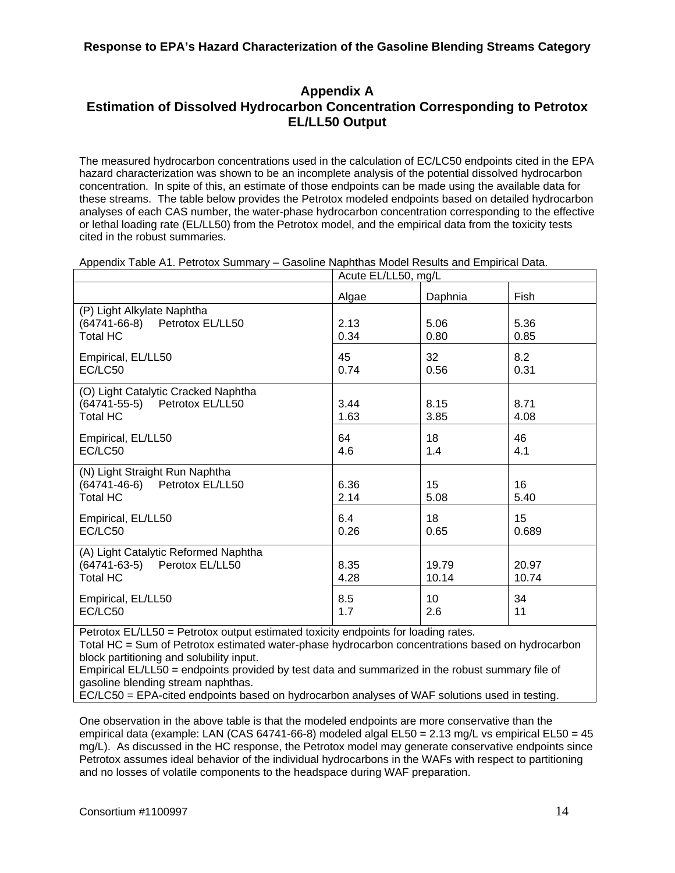# **Appendix A Estimation of Dissolved Hydrocarbon Concentration Corresponding to Petrotox EL/LL50 Output**

The measured hydrocarbon concentrations used in the calculation of EC/LC50 endpoints cited in the EPA hazard characterization was shown to be an incomplete analysis of the potential dissolved hydrocarbon concentration. In spite of this, an estimate of those endpoints can be made using the available data for these streams. The table below provides the Petrotox modeled endpoints based on detailed hydrocarbon analyses of each CAS number, the water-phase hydrocarbon concentration corresponding to the effective or lethal loading rate (EL/LL50) from the Petrotox model, and the empirical data from the toxicity tests cited in the robust summaries.

|                                                                                         | Acute EL/LL50, mg/L |                         |                |
|-----------------------------------------------------------------------------------------|---------------------|-------------------------|----------------|
|                                                                                         | Algae               | Daphnia                 | Fish           |
| (P) Light Alkylate Naphtha<br>(64741-66-8) Petrotox EL/LL50<br><b>Total HC</b>          | 2.13<br>0.34        | 5.06<br>0.80            | 5.36<br>0.85   |
| Empirical, EL/LL50<br>EC/LC50                                                           | 45<br>0.74          | 32<br>0.56              | 8.2<br>0.31    |
| (O) Light Catalytic Cracked Naphtha<br>(64741-55-5) Petrotox EL/LL50<br><b>Total HC</b> | 3.44<br>1.63        | 8.15<br>3.85            | 8.71<br>4.08   |
| Empirical, EL/LL50<br>EC/LC50                                                           | 64<br>4.6           | 18<br>1.4               | 46<br>4.1      |
| (N) Light Straight Run Naphtha<br>(64741-46-6) Petrotox EL/LL50<br><b>Total HC</b>      | 6.36<br>2.14        | 15 <sub>1</sub><br>5.08 | 16<br>5.40     |
| Empirical, EL/LL50<br>EC/LC50                                                           | 6.4<br>0.26         | 18<br>0.65              | 15<br>0.689    |
| (A) Light Catalytic Reformed Naphtha<br>(64741-63-5) Perotox EL/LL50<br><b>Total HC</b> | 8.35<br>4.28        | 19.79<br>10.14          | 20.97<br>10.74 |
| Empirical, EL/LL50<br>EC/LC50                                                           | 8.5<br>1.7          | 10<br>2.6               | 34<br>11       |

Appendix Table A1. Petrotox Summary – Gasoline Naphthas Model Results and Empirical Data.

Petrotox EL/LL50 = Petrotox output estimated toxicity endpoints for loading rates.

Total HC = Sum of Petrotox estimated water-phase hydrocarbon concentrations based on hydrocarbon block partitioning and solubility input.

Empirical EL/LL50 = endpoints provided by test data and summarized in the robust summary file of gasoline blending stream naphthas.

EC/LC50 = EPA-cited endpoints based on hydrocarbon analyses of WAF solutions used in testing.

One observation in the above table is that the modeled endpoints are more conservative than the empirical data (example: LAN (CAS 64741-66-8) modeled algal  $E L 50 = 2.13$  mg/L vs empirical  $E L 50 = 45$ mg/L). As discussed in the HC response, the Petrotox model may generate conservative endpoints since Petrotox assumes ideal behavior of the individual hydrocarbons in the WAFs with respect to partitioning and no losses of volatile components to the headspace during WAF preparation.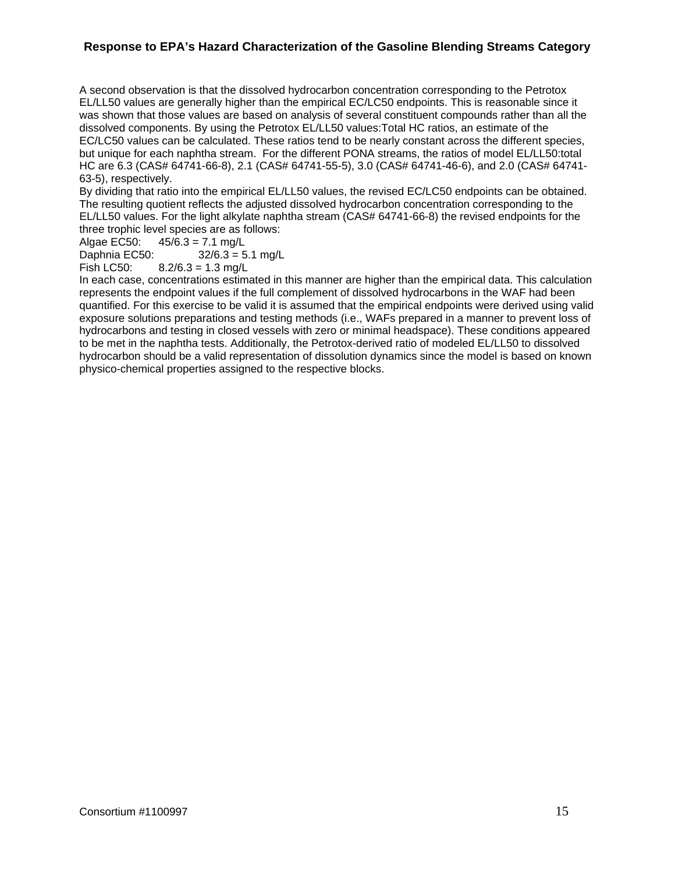A second observation is that the dissolved hydrocarbon concentration corresponding to the Petrotox EL/LL50 values are generally higher than the empirical EC/LC50 endpoints. This is reasonable since it was shown that those values are based on analysis of several constituent compounds rather than all the dissolved components. By using the Petrotox EL/LL50 values:Total HC ratios, an estimate of the EC/LC50 values can be calculated. These ratios tend to be nearly constant across the different species, but unique for each naphtha stream. For the different PONA streams, the ratios of model EL/LL50:total HC are 6.3 (CAS# 64741-66-8), 2.1 (CAS# 64741-55-5), 3.0 (CAS# 64741-46-6), and 2.0 (CAS# 64741- 63-5), respectively.

By dividing that ratio into the empirical EL/LL50 values, the revised EC/LC50 endpoints can be obtained. The resulting quotient reflects the adjusted dissolved hydrocarbon concentration corresponding to the EL/LL50 values. For the light alkylate naphtha stream (CAS# 64741-66-8) the revised endpoints for the three trophic level species are as follows:

Algae EC50:  $45/6.3 = 7.1$  mg/L

Daphnia EC50: 32/6.3 = 5.1 mg/L

Fish LC50:  $8.2/6.3 = 1.3$  mg/L

In each case, concentrations estimated in this manner are higher than the empirical data. This calculation represents the endpoint values if the full complement of dissolved hydrocarbons in the WAF had been quantified. For this exercise to be valid it is assumed that the empirical endpoints were derived using valid exposure solutions preparations and testing methods (i.e., WAFs prepared in a manner to prevent loss of hydrocarbons and testing in closed vessels with zero or minimal headspace). These conditions appeared to be met in the naphtha tests. Additionally, the Petrotox-derived ratio of modeled EL/LL50 to dissolved hydrocarbon should be a valid representation of dissolution dynamics since the model is based on known physico-chemical properties assigned to the respective blocks.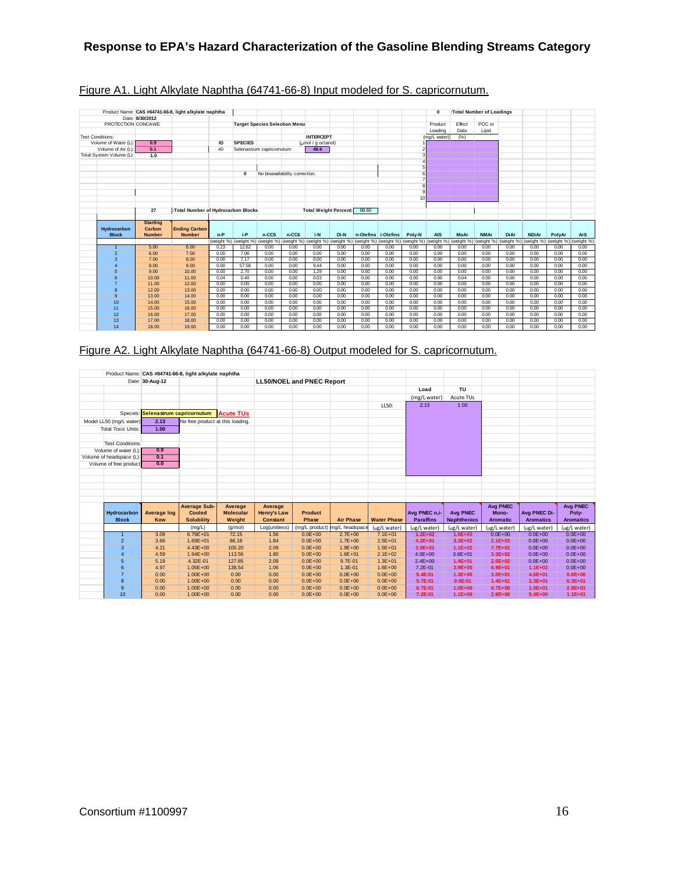|                          |                 | Product Name: CAS #64741-66-8, light alkylate naphtha |              |                       |                                      |                                |                                        |              |                     |              |                 | $\mathbf{0}$          |              | :Total Number of Loadings |              |              |              |              |
|--------------------------|-----------------|-------------------------------------------------------|--------------|-----------------------|--------------------------------------|--------------------------------|----------------------------------------|--------------|---------------------|--------------|-----------------|-----------------------|--------------|---------------------------|--------------|--------------|--------------|--------------|
|                          | Date: 8/30/2012 |                                                       |              |                       |                                      |                                |                                        |              |                     |              |                 |                       |              |                           |              |              |              |              |
| PROTECTION CONCAWE       |                 |                                                       |              |                       | <b>Target Species Selection Menu</b> |                                |                                        |              |                     |              |                 | Product               | Effect       | POC or                    |              |              |              |              |
|                          |                 |                                                       |              |                       |                                      |                                |                                        |              |                     |              |                 | Loading               | Data         | Lipid                     |              |              |              |              |
| <b>Test Conditions:</b>  |                 |                                                       |              |                       |                                      |                                | <b>INTERCEPT</b>                       |              |                     |              |                 | (mg/L water)          | (%)          |                           |              |              |              |              |
| Volume of Water (L):     | 0.9             |                                                       | ID           | <b>SPECIES</b>        |                                      |                                | $\frac{1}{2}$ ( $\frac{1}{2}$ octanol) |              |                     |              |                 |                       |              |                           |              |              |              |              |
| Volume of Air (L):       | 0.1             |                                                       | 40           |                       | Selenastrum capricomutum             |                                | 48.6                                   |              |                     |              |                 |                       |              |                           |              |              |              |              |
| Total System Volume (L): | 1.0             |                                                       |              |                       |                                      |                                |                                        |              |                     |              |                 |                       |              |                           |              |              |              |              |
|                          |                 |                                                       |              |                       |                                      |                                |                                        |              |                     |              |                 |                       |              |                           |              |              |              |              |
|                          |                 |                                                       |              | 0                     |                                      | No bioavailability correction. |                                        |              |                     |              |                 |                       |              |                           |              |              |              |              |
|                          |                 |                                                       |              |                       |                                      |                                |                                        |              |                     |              |                 |                       |              |                           |              |              |              |              |
|                          |                 |                                                       |              |                       |                                      |                                |                                        |              |                     |              |                 |                       |              |                           |              |              |              |              |
|                          |                 |                                                       |              |                       |                                      |                                |                                        |              |                     |              |                 |                       |              |                           |              |              |              |              |
|                          |                 |                                                       |              |                       |                                      |                                |                                        |              |                     |              | 10 <sup>1</sup> |                       |              |                           |              |              |              |              |
|                          |                 |                                                       |              |                       |                                      |                                |                                        |              |                     |              |                 |                       |              |                           |              |              |              |              |
|                          | 27              | :Total Number of Hydrocarbon Blocks                   |              |                       |                                      |                                | <b>Total Weight Percent:</b>           |              | 98.60               |              |                 |                       |              |                           |              |              |              |              |
|                          |                 |                                                       |              |                       |                                      |                                |                                        |              |                     |              |                 |                       |              |                           |              |              |              |              |
|                          |                 |                                                       |              |                       |                                      |                                |                                        |              |                     |              |                 |                       |              |                           |              |              |              |              |
|                          | <b>Starting</b> |                                                       |              |                       |                                      |                                |                                        |              |                     |              |                 |                       |              |                           |              |              |              |              |
| Hydrocarbon              | Carbon          | <b>Ending Carbon</b>                                  |              |                       |                                      |                                |                                        |              |                     |              |                 |                       |              |                           |              |              |              |              |
| <b>Block</b>             | <b>Number</b>   | <b>Number</b>                                         | $n-P$        | i-P                   | $n-CC5$                              | $n-CC6$                        | i-N                                    | Di-N         | n-Olefins i-Olefins |              | Poly-N          | <b>AIS</b>            | <b>MoAr</b>  | <b>NMAr</b>               | <b>DiAr</b>  | <b>NDiAr</b> | PolyAr       | <b>ArS</b>   |
|                          |                 |                                                       |              | (weight %) (weight %) | (weight %)                           | (weight %)                     | (weight %) (weight %)                  |              | (weight %)          | (weight %)   |                 | (weight %) (weight %) | (weight %)   | (weight %)                | (weight %)   | (weight %)   | (weight %)   | (weight %)   |
| -1                       | 5.00            | 6.00                                                  | 0.23         | 12.62                 | 0.00                                 | 0.00                           | 0.00                                   | 0.00         | 0.00                | 0.00         | 0.00            | 0.00                  | 0.00         | 0.00                      | 0.00         | 0.00         | 0.00         | 0.00         |
| $\overline{2}$           | 6.00            | 7.00                                                  | 0.00         | 7.06                  | 0.00                                 | 0.00                           | 0.00                                   | 0.00         | 0.00                | 0.00         | 0.00            | 0.00                  | 0.00         | 0.00                      | 0.00         | 0.00         | 0.00         | 0.00         |
| 3                        | 7.00            | 8.00                                                  | 0.00         | 7.17                  | 0.00                                 | 0.00                           | 0.00                                   | 0.00         | 0.00                | 0.00         | 0.00            | 0.00                  | 0.00         | 0.00                      | 0.00         | 0.00         | 0.00         | 0.00         |
| $\overline{4}$           | 8.00            | 9.00                                                  | 0.00         | 57.58                 | 0.00                                 | 0.00                           | 9.44                                   | 0.00         | 0.00                | 0.00         | 0.00            | 0.00                  | 0.00         | 0.00                      | 0.00         | 0.00         | 0.00         | 0.00         |
| 5                        | 9.00            | 10.00                                                 | 0.00         | 2.70                  | 0.00                                 | 0.00                           | 1.29                                   | 0.00         | 0.00                | 0.00         | 0.00            | 0.00                  | 0.00         | 0.00                      | 0.00         | 0.00         | 0.00         | 0.00         |
| 6                        | 10.00           | 11.00                                                 | 0.04         | 0.40                  | 0.00                                 | 0.00                           | 0.03                                   | 0.00         | 0.00                | 0.00         | 0.00            | 0.00                  | 0.04         | 0.00                      | 0.00         | 0.00         | 0.00         | 0.00         |
| $\overline{7}$           | 11.00           | 12.00                                                 | 0.00         | 0.00                  | 0.00                                 | 0.00                           | 0.00                                   | 0.00         | 0.00                | 0.00         | 0.00            | 0.00                  | 0.00         | 0.00                      | 0.00         | 0.00         | 0.00         | 0.00         |
| 8                        | 12.00           | 13.00                                                 | 0.00         | 0.00                  | 0.00                                 | 0.00                           | 0.00                                   | 0.00         | 0.00                | 0.00         | 0.00            | 0.00                  | 0.00         | 0.00                      | 0.00         | 0.00         | 0.00         | 0.00         |
| 9                        | 13.00           | 14.00                                                 | 0.00         | 0.00                  | 0.00                                 | 0.00                           | 0.00                                   | 0.00         | 0.00                | 0.00         | 0.00            | 0.00                  | 0.00         | 0.00                      | 0.00         | 0.00         | 0.00         | 0.00         |
| 10                       | 14.00           | 15.00                                                 | 0.00         | 0.00                  | 0.00                                 | 0.00                           | 0.00                                   | 0.00         | 0.00                | 0.00         | 0.00            | 0.00                  | 0.00         | 0.00                      | 0.00         | 0.00         | 0.00         | 0.00         |
| 11                       | 15.00           | 16.00                                                 | 0.00         | 0.00                  | 0.00                                 | 0.00                           | 0.00                                   | 0.00         | 0.00                | 0.00         | 0.00            | 0.00                  | 0.00         | 0.00                      | 0.00         | 0.00         | 0.00         | 0.00         |
| 12                       | 16.00           | 17.00                                                 | 0.00         | 0.00                  | 0.00                                 | 0.00                           | 0.00                                   | 0.00         | 0.00                | 0.00         | 0.00            | 0.00                  | 0.00         | 0.00                      | 0.00         | 0.00         | 0.00         | 0.00         |
| 13<br>14                 | 17.00<br>18.00  | 18.00<br>19.00                                        | 0.00<br>0.00 | 0.00<br>0.00          | 0.00<br>0.00                         | 0.00<br>0.00                   | 0.00<br>0.00                           | 0.00<br>0.00 | 0.00<br>0.00        | 0.00<br>0.00 | 0.00<br>0.00    | 0.00<br>0.00          | 0.00<br>0.00 | 0.00<br>0.00              | 0.00<br>0.00 | 0.00<br>0.00 | 0.00<br>0.00 | 0.00<br>0.00 |

## Figure A1. Light Alkylate Naphtha (64741-66-8) Input modeled for S. capricornutum.

Figure A2. Light Alkylate Naphtha (64741-66-8) Output modeled for S. capricornutum.

|                                                    |                                    | Product Name: CAS #64741-66-8, light alkylate naphtha |                  |                    |                                  |                               |                    |                  |                    |                 |                  |                  |
|----------------------------------------------------|------------------------------------|-------------------------------------------------------|------------------|--------------------|----------------------------------|-------------------------------|--------------------|------------------|--------------------|-----------------|------------------|------------------|
|                                                    | Date: 30-Aug-12                    |                                                       |                  |                    | <b>LL50/NOEL and PNEC Report</b> |                               |                    |                  |                    |                 |                  |                  |
|                                                    |                                    |                                                       |                  |                    |                                  |                               |                    | Load             | TU                 |                 |                  |                  |
|                                                    |                                    |                                                       |                  |                    |                                  |                               |                    | (mg/L water)     | Acute TUs          |                 |                  |                  |
|                                                    |                                    |                                                       |                  |                    |                                  |                               | LL50:              | 2.13             | 1.00               |                 |                  |                  |
|                                                    | Species: Selenastrum capricornutum |                                                       | <b>Acute TUs</b> |                    |                                  |                               |                    |                  |                    |                 |                  |                  |
| Model LL50 (mg/L water)                            | 2.13                               | No free product at this loading.                      |                  |                    |                                  |                               |                    |                  |                    |                 |                  |                  |
|                                                    |                                    |                                                       |                  |                    |                                  |                               |                    |                  |                    |                 |                  |                  |
| <b>Total Toxic Units:</b>                          | 1.00                               |                                                       |                  |                    |                                  |                               |                    |                  |                    |                 |                  |                  |
|                                                    |                                    |                                                       |                  |                    |                                  |                               |                    |                  |                    |                 |                  |                  |
| <b>Test Conditions:</b><br>Volume of water (L):    | 0.9                                |                                                       |                  |                    |                                  |                               |                    |                  |                    |                 |                  |                  |
|                                                    | 0.1                                |                                                       |                  |                    |                                  |                               |                    |                  |                    |                 |                  |                  |
| Volume of headspace (L):<br>Volume of free product | 0.0                                |                                                       |                  |                    |                                  |                               |                    |                  |                    |                 |                  |                  |
|                                                    |                                    |                                                       |                  |                    |                                  |                               |                    |                  |                    |                 |                  |                  |
|                                                    |                                    |                                                       |                  |                    |                                  |                               |                    |                  |                    |                 |                  |                  |
|                                                    |                                    |                                                       |                  |                    |                                  |                               |                    |                  |                    |                 |                  |                  |
|                                                    |                                    |                                                       |                  |                    |                                  |                               |                    |                  |                    |                 |                  |                  |
|                                                    |                                    |                                                       |                  |                    |                                  |                               |                    |                  |                    |                 |                  |                  |
|                                                    |                                    |                                                       |                  |                    |                                  |                               |                    |                  |                    |                 |                  |                  |
|                                                    |                                    | <b>Average Sub-</b>                                   | Average          | Average            |                                  |                               |                    |                  |                    | <b>Avg PNEC</b> |                  | <b>Avg PNEC</b>  |
| Hydrocarbon                                        | <b>Average log</b>                 | <b>Cooled</b>                                         | <b>Molecular</b> | <b>Henry's Law</b> | <b>Product</b>                   |                               |                    | Avg PNEC n.i-    | <b>Avg PNEC</b>    | Mono-           | Avg PNEC Di-     | Poly-            |
| <b>Block</b>                                       | Kow                                | <b>Solubility</b>                                     | Weight           | <b>Constant</b>    | Phase                            | <b>Air Phase</b>              | <b>Water Phase</b> | <b>Paraffins</b> | <b>Naphthenics</b> | <b>Aromatic</b> | <b>Aromatics</b> | <b>Aromatics</b> |
|                                                    |                                    | (mg/L)                                                | (q/mol)          | Log(unitless)      |                                  | (mg/L product) mg/L headspace | (µg/L water)       | (µg/L water)     | (µg/L water)       | (ug/L water)    | (ug/L water)     | (ug/L water)     |
| $\mathbf{1}$                                       | 3.09                               | $6.79E + 01$                                          | 72.15            | 1.56               | $0.0E + 00$                      | $2.7E + 00$                   | $7.1E + 01$        | $1.2E + 02$      | $1.0E + 03$        | $0.0E + 00$     | $0.0E + 00$      | $0.0E + 00$      |
| $\overline{2}$                                     | 3.66                               | $1.69E + 01$                                          | 86.18            | 1.84               | $0.0E + 00$                      | $1.7E + 00$                   | $2.5E + 01$        | $4.2E + 01$      | $3.3E + 02$        | $2.1E + 03$     | $0.0E + 00$      | $0.0E + 00$      |
| 3                                                  | 4.21                               | $4.43E + 00$                                          | 100.20           | 2.09               | $0.0E + 00$                      | $1.9E + 00$                   | $1.5E + 01$        | $2.0E + 01$      | $1.1E + 02$        | $7.7E+02$       | $0.0E + 00$      | $0.0E + 00$      |
| $\overline{4}$                                     | 4.59                               | $1.94E + 00$                                          | 113.56           | 1.80               | $0.0E + 00$                      | $1.6E + 01$                   | $2.1E + 02$        | $4.0E + 00$      | $3.6E + 01$        | $3.3E + 02$     | $0.0E + 00$      | $0.0E + 00$      |
| 5                                                  | 5.19                               | 4.32E-01                                              | 127.85           | 2.09               | $0.0E + 00$                      | $9.7E - 01$                   | $1.3E + 01$        | $2.4E + 00$      | $1.4E + 01$        | $2.0E + 02$     | $0.0E + 00$      | $0.0E + 00$      |
| 6                                                  | 4.97                               | $1.05E + 00$                                          | 138.54           | 1.06               | $0.0E + 00$                      | $1.3E - 01$                   | $1.6E + 00$        | $7.2E - 01$      | $3.9E + 00$        | $6.9E + 01$     | $1.1E + 02$      | $0.0E + 00$      |
| $\overline{7}$                                     | 0.00                               | $1.00E + 00$                                          | 0.00             | 0.00               | $0.0E + 00$                      | $0.0E + 00$                   | $0.0E + 00$        | 5.4E-01          | $1.3E + 00$        | $3.0E + 01$     | $4.6E + 01$      | $0.0E + 00$      |
| 8                                                  | 0.00                               | $1.00E + 00$                                          | 0.00             | 0.00               | $0.0E + 00$                      | $0.0E + 00$                   | $0.0E + 00$        | 5.7E-01          | 9.9E-01            | $1.4E + 01$     | $2.3E + 01$      | $6.3E + 01$      |
| $\overline{9}$                                     | 0.00                               | $1.00E + 00$                                          | 0.00             | 0.00               | $0.0E + 00$                      | $0.0E + 00$                   | $0.0E + 00$        | 6.7E-01          | $1.0E + 00$        | $6.7E + 00$     | $1.0E + 01$      | $2.9E + 01$      |
| 10                                                 | 0.00                               | $1.00E + 00$                                          | 0.00             | 0.00               | $0.0E + 00$                      | $0.0E + 00$                   | $0.0E + 00$        | 7.2E-01          | $1.1E+00$          | $2.6E + 00$     | $5.4E + 00$      | $1.1E + 01$      |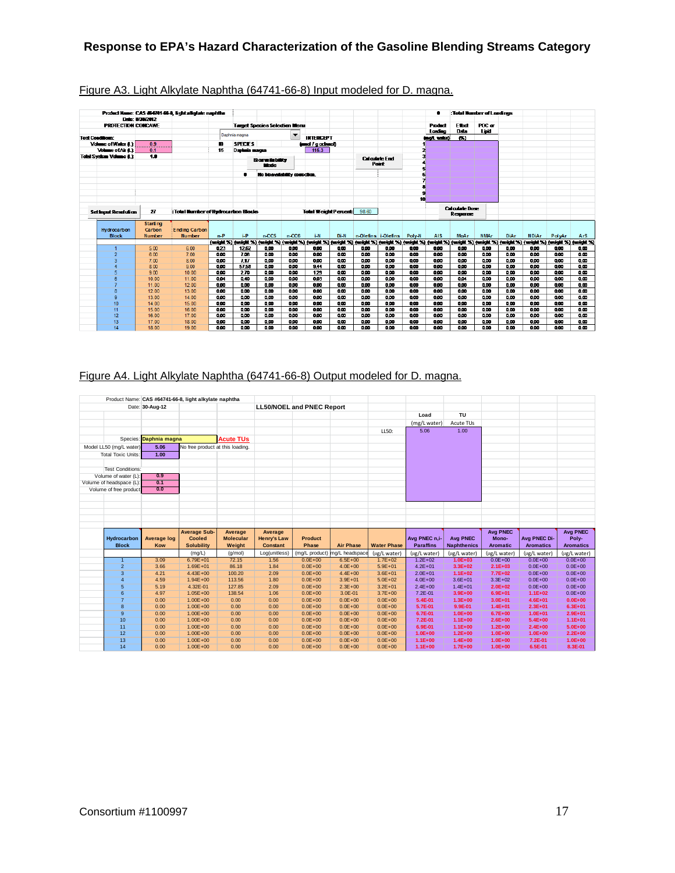|                                |                           | Product Name: CAS #64741-66-8, light allolate naphths |       |                |                                      |                          |                             |      |       |                                      |        |            |                       | :Total Number of Londings                                                                                                                                            |                      |              |        |                         |
|--------------------------------|---------------------------|-------------------------------------------------------|-------|----------------|--------------------------------------|--------------------------|-----------------------------|------|-------|--------------------------------------|--------|------------|-----------------------|----------------------------------------------------------------------------------------------------------------------------------------------------------------------|----------------------|--------------|--------|-------------------------|
|                                | Date: 8/30/2012           |                                                       |       |                |                                      |                          |                             |      |       |                                      |        |            |                       |                                                                                                                                                                      |                      |              |        |                         |
| <b>PROTECTION CONCAVE</b>      |                           |                                                       |       |                | <b>Target Species Selection Menu</b> |                          |                             |      |       |                                      |        | Product    | Ethat                 | POC or                                                                                                                                                               |                      |              |        |                         |
|                                |                           |                                                       |       | Daphnia magna  |                                      | $\overline{\phantom{a}}$ |                             |      |       |                                      |        | Loading    | Data                  | Lipid                                                                                                                                                                |                      |              |        |                         |
| <b>Test Conditions:</b>        |                           |                                                       |       |                |                                      |                          | <b>INTERCEPT</b>            |      |       |                                      |        | inol, wied | 69                    |                                                                                                                                                                      |                      |              |        |                         |
| Volume of Water 6.1            | 0.9                       |                                                       | m     | <b>SPECIES</b> |                                      |                          | (umd / c ochaol)            |      |       |                                      |        |            |                       |                                                                                                                                                                      |                      |              |        |                         |
| Volume of Air 0.1              | 0.1                       |                                                       | 15    | Daphaia magna  |                                      |                          | 115.3                       |      |       |                                      | 2      |            |                       |                                                                                                                                                                      |                      |              |        |                         |
| <b>Total System Volume 6.1</b> | 1.8                       |                                                       |       |                | <b>Boratsbilty</b><br>Mode           |                          |                             |      |       | <b>Calculate Fod</b><br><b>Point</b> |        |            |                       |                                                                                                                                                                      |                      |              |        |                         |
|                                |                           |                                                       |       |                | No bioavailability correction.       |                          |                             |      |       |                                      |        |            |                       |                                                                                                                                                                      |                      |              |        |                         |
|                                |                           |                                                       |       |                |                                      |                          |                             |      |       |                                      |        |            |                       |                                                                                                                                                                      |                      |              |        |                         |
|                                |                           |                                                       |       |                |                                      |                          |                             |      |       |                                      |        |            |                       |                                                                                                                                                                      |                      |              |        |                         |
|                                |                           |                                                       |       |                |                                      |                          |                             |      |       |                                      |        |            |                       |                                                                                                                                                                      |                      |              |        |                         |
|                                |                           |                                                       |       |                |                                      |                          |                             |      |       |                                      | 10     |            |                       |                                                                                                                                                                      |                      |              |        |                         |
|                                |                           |                                                       |       |                |                                      |                          |                             |      |       |                                      |        |            | <b>Calculate Dose</b> |                                                                                                                                                                      |                      |              |        |                         |
| <b>Setingut Resolution</b>     | 27                        | : Total Number of Hydrocarbon Blocks                  |       |                |                                      |                          | <b>Total Weight Percent</b> |      | 98.60 |                                      |        |            | Response              |                                                                                                                                                                      |                      |              |        |                         |
|                                |                           |                                                       |       |                |                                      |                          |                             |      |       |                                      |        |            |                       |                                                                                                                                                                      |                      |              |        |                         |
| Hydrocarbon                    | <b>Starting</b><br>Carbon | <b>Ending Carbon</b>                                  |       |                |                                      |                          |                             |      |       |                                      |        |            |                       |                                                                                                                                                                      |                      |              |        |                         |
| <b>Block</b>                   | <b>Number</b>             | <b>Number</b>                                         | $n-P$ | $i-P$          | $n-C5$                               | $n-CC6$                  | i-N                         | Di-N |       | n-Olefins i-Olefins                  | Poly-N | <b>AIS</b> | <b>MoAr</b>           | <b>NMAr</b>                                                                                                                                                          | <b>DiAr</b>          | <b>NDiAr</b> | PolyAr | <b>ArS</b>              |
|                                |                           |                                                       |       |                |                                      |                          |                             |      |       |                                      |        |            |                       | (weight %) (weight %) (weight %) (weight %) (weight %) (weight %) (weight %) (weight %) (weight %) (weight %) (weight %) (weight %) (weight %) (weight %) (weight %) |                      |              |        |                         |
|                                | 5.00                      | 6.00                                                  | 023   | 1262           | 0.00                                 | 000                      | 0.00                        | 000  | 0.00  | 0.00                                 | 9.00   | 0.00       | 0.00                  | 900                                                                                                                                                                  | 0.00                 | 0.00         | 000    | 0.00                    |
| $\overline{2}$                 | 6.00                      | 7.00                                                  | 0.00  | 7.06           | 0.00                                 | 0.00                     | 0.00                        | 000  | 0.00  | 0.00                                 | 0.00   | 0.00       | 0.00                  | 900                                                                                                                                                                  | 0.00                 | 0.00         | 000    | 0.00                    |
| 3                              | 7.00                      | 8.00                                                  | 0.00  | 7.17           | 0.00                                 | 800                      | 000                         | 000  | 0.00  | 800                                  | 0.00   | 888        | 0.00                  | 000                                                                                                                                                                  | 0.00                 | 000          | 000    | 000                     |
| 4                              | 8.00                      | 9.00                                                  | 0.00  | 57.58          | 0.00                                 | 000                      | 9.44                        | œ    | 0.00  | 800                                  | 000    | 000        | 0.00                  | 800                                                                                                                                                                  | $\overline{\bullet}$ | 000          | 000    | $\overline{\mathbf{a}}$ |
| 5                              | 9.00                      | 10.00                                                 | 0.00  | 270            | 0.00                                 | 800                      | 129                         | 000  | 0.00  | 0.00                                 | 0.00   | 0.00       | 0.00                  | 800                                                                                                                                                                  | 0.00                 | 0.00         | 0.00   | 000                     |
| 6                              | 10.00                     | 11.00                                                 | 884   | 0.40           | 800                                  | 800                      | 883                         | 800  | 800   | 800                                  | 000    | 808        | 884                   | 800                                                                                                                                                                  | 000                  | 800          | 800    | 000                     |
| 7                              | 11.00                     | 12.00                                                 | 0.00  | 800            | 000                                  | 800                      | 800                         | 000  | 800   | 800                                  | 888    | 000        | 800                   | 800                                                                                                                                                                  | 000                  | 000          | 000    | 000                     |
| 8                              | 1200                      | 13.00                                                 | 888   | 800            | 000                                  | 800                      | 888                         | om.  | 800   | 800                                  | 888    | 888        | 800                   | 800                                                                                                                                                                  | 000                  | 000          | 800    | 000                     |
| 9                              | 13.00                     | 14.00                                                 | 0.00  | 0.00           | 000                                  | 800                      | 888                         | 0.00 | 800   | 800                                  | 000    | 800        | 800                   | 800                                                                                                                                                                  | 000                  | 000          | 800    | 000                     |
| 10                             | 14.00                     | 15.00                                                 | 888   | 800            | 000                                  | 900                      | 888                         | 000  | 000   | 800                                  | 888    | 888        | 800                   | 800                                                                                                                                                                  | 000                  | 000          | 000    | 000                     |
| 11                             | 15.00                     | 16.00                                                 | 9.00  | 9.00           | 000                                  | 9.00                     | 9.00                        | 000  | 000   | 800                                  | 888    | 888        | 800                   | 900                                                                                                                                                                  | 000                  | 000          | 000    | 0.00                    |
| 12                             | 16.00                     | 17.00                                                 | 0.00  | 000            | 000                                  | 000                      | 000                         | 000  | 000   | 000                                  | 000    | 000        | 000                   | 000                                                                                                                                                                  | 000                  | 000          | 000    | 000                     |
| 13                             | 17.00                     | 18.00                                                 | 0.00  | 9.00           | 0.00                                 | 0.00                     | 0.00                        | 000  | 000   | 0.00                                 | 0.00   | 0.00       | 000                   | 900                                                                                                                                                                  | 000                  | 0.00         | 000    | 000                     |
| 14                             | 18.00                     | 19.00                                                 | 0.00  | 9.00           | 0.00                                 | 0.00                     | 0.00                        | 000  | 0.00  | 0.00                                 | 0.00   | 0.00       | 0.00                  | 000                                                                                                                                                                  | 0.00                 | 0.00         | 000    | 0.00                    |

## Figure A3. Light Alkylate Naphtha (64741-66-8) Input modeled for D. magna.

## Figure A4. Light Alkylate Naphtha (64741-66-8) Output modeled for D. magna.

|                           |                        | Product Name: CAS #64741-66-8, light alkylate naphtha |                  |                    |                            |                               |                            |                            |                            |                            |                            |                            |
|---------------------------|------------------------|-------------------------------------------------------|------------------|--------------------|----------------------------|-------------------------------|----------------------------|----------------------------|----------------------------|----------------------------|----------------------------|----------------------------|
|                           | Date: 30-Aug-12        |                                                       |                  |                    | LL50/NOEL and PNEC Report  |                               |                            |                            |                            |                            |                            |                            |
|                           |                        |                                                       |                  |                    |                            |                               |                            | Load                       | TU                         |                            |                            |                            |
|                           |                        |                                                       |                  |                    |                            |                               |                            | (mg/L water)               | Acute TUs                  |                            |                            |                            |
|                           |                        |                                                       |                  |                    |                            |                               | LL50:                      | 5.06                       | 1.00                       |                            |                            |                            |
|                           | Species: Daphnia magna |                                                       | <b>Acute TUs</b> |                    |                            |                               |                            |                            |                            |                            |                            |                            |
| Model LL50 (mg/L water)   | 5.06                   | No free product at this loading.                      |                  |                    |                            |                               |                            |                            |                            |                            |                            |                            |
| <b>Total Toxic Units:</b> | 1.00                   |                                                       |                  |                    |                            |                               |                            |                            |                            |                            |                            |                            |
|                           |                        |                                                       |                  |                    |                            |                               |                            |                            |                            |                            |                            |                            |
| <b>Test Conditions:</b>   |                        |                                                       |                  |                    |                            |                               |                            |                            |                            |                            |                            |                            |
| Volume of water (L):      | 0.9                    |                                                       |                  |                    |                            |                               |                            |                            |                            |                            |                            |                            |
| Volume of headspace (L):  | 0.1                    |                                                       |                  |                    |                            |                               |                            |                            |                            |                            |                            |                            |
| Volume of free product    | 0.0                    |                                                       |                  |                    |                            |                               |                            |                            |                            |                            |                            |                            |
|                           |                        |                                                       |                  |                    |                            |                               |                            |                            |                            |                            |                            |                            |
|                           |                        |                                                       |                  |                    |                            |                               |                            |                            |                            |                            |                            |                            |
|                           |                        |                                                       |                  |                    |                            |                               |                            |                            |                            |                            |                            |                            |
|                           |                        |                                                       |                  |                    |                            |                               |                            |                            |                            |                            |                            |                            |
|                           |                        |                                                       |                  |                    |                            |                               |                            |                            |                            |                            |                            |                            |
|                           |                        |                                                       |                  |                    |                            |                               |                            |                            |                            |                            |                            |                            |
|                           |                        |                                                       |                  |                    |                            |                               |                            |                            |                            |                            |                            |                            |
|                           |                        | <b>Average Sub-</b>                                   | Average          | Average            |                            |                               |                            |                            |                            | <b>Avg PNEC</b>            |                            | <b>Avg PNEC</b>            |
| Hydrocarbon               | <b>Average log</b>     | <b>Cooled</b>                                         | <b>Molecular</b> | <b>Henry's Law</b> | <b>Product</b>             |                               |                            | Ava PNEC n.i-              | <b>Avg PNEC</b>            | Mono-                      | <b>Ava PNEC Di-</b>        | Poly-                      |
| <b>Block</b>              | Kow                    | <b>Solubility</b>                                     | Weight           | <b>Constant</b>    | Phase                      | <b>Air Phase</b>              | <b>Water Phase</b>         | <b>Paraffins</b>           | <b>Naphthenics</b>         | <b>Aromatic</b>            | <b>Aromatics</b>           | <b>Aromatics</b>           |
| $\overline{1}$            |                        | (mg/L)                                                | (g/mol)          | Log(unitless)      |                            | (mg/L product) mg/L headspace | (µg/L water)               | (ug/L water)               | (µg/L water)               | (ug/L water)               | (µg/L water)               | (µg/L water)               |
|                           | 3.09                   | $6.79E + 01$                                          | 72.15            | 1.56               | $0.0E + 00$                | $6.5E + 00$                   | $1.7E + 02$                | $1.2E + 02$                | $1.0E + 03$                | $0.0E + 00$                | $0.0E + 00$                | $0.0E + 00$                |
| $\overline{2}$            | 3.66                   | $1.69E + 01$                                          | 86.18            | 1.84               | $0.0E + 00$                | $4.0E + 00$                   | $5.9E + 01$                | $4.2E + 01$                | $3.3E + 02$                | $2.1E + 03$                | $0.0E + 00$                | $0.0E + 00$                |
| 3<br>$\overline{4}$       | 4.21<br>4.59           | $4.43E + 00$<br>$1.94E + 00$                          | 100.20<br>113.56 | 2.09<br>1.80       | $0.0E + 00$<br>$0.0E + 00$ | $4.4E + 00$<br>$3.9E + 01$    | $3.6E + 01$<br>$5.0E + 02$ | $2.0E + 01$<br>$4.0E + 00$ | $1.1E + 02$<br>$3.6E + 01$ | $7.7E+02$<br>$3.3E + 02$   | $0.0E + 00$<br>$0.0E + 00$ | $0.0E + 00$<br>$0.0E + 00$ |
| 5                         | 5.19                   | 4.32E-01                                              | 127.85           | 2.09               | $0.0E + 00$                | $2.3E + 00$                   | $3.2E + 01$                | $2.4E + 00$                | $1.4E + 01$                | $2.0E + 02$                | $0.0E + 00$                | $0.0E + 00$                |
| 6                         | 4.97                   | $1.05E + 00$                                          | 138.54           | 1.06               | $0.0E + 00$                | $3.0E - 01$                   | $3.7E + 00$                | 7.2E-01                    | $3.9E + 00$                | $6.9E + 01$                | $1.1E + 02$                | $0.0E + 00$                |
| $\overline{7}$            | 0.00                   | $1.00E + 00$                                          | 0.00             | 0.00               | $0.0E + 00$                | $0.0E + 00$                   | $0.0E + 00$                | 5.4E-01                    | $1.3E + 00$                | $3.0E + 01$                | $4.6E + 01$                | $0.0E + 00$                |
| 8                         | 0.00                   | $1.00E + 00$                                          | 0.00             | 0.00               | $0.0E + 00$                | $0.0E + 00$                   | $0.0E + 00$                | 5.7E-01                    | 9.9E-01                    | $1.4E + 01$                | $2.3E + 01$                | $6.3E + 01$                |
| 9                         | 0.00                   | $1.00E + 00$                                          | 0.00             | 0.00               | $0.0E + 00$                | $0.0E + 00$                   | $0.0E + 00$                | 6.7E-01                    | $1.0E + 00$                | $6.7E + 00$                | $1.0E + 01$                | $2.9E + 01$                |
| 10                        | 0.00                   | $1.00E + 00$                                          | 0.00             | 0.00               | $0.0E + 00$                | $0.0E + 00$                   | $0.0E + 00$                | 7.2E-01                    | $1.1E+00$                  | $2.6E+00$                  | $5.4E + 00$                | $1.1E + 01$                |
| 11                        | 0.00                   | $1.00E + 00$                                          | 0.00             | 0.00               | $0.0E + 00$                | $0.0E + 00$                   | $0.0E + 00$                | 6.9E-01                    | $1.1E+00$                  | $1.2E + 00$                | $2.4E + 00$                | $5.0E + 00$                |
| 12                        | 0.00                   | $1.00E + 00$                                          | 0.00             | 0.00               | $0.0E + 00$                | $0.0E + 00$                   | $0.0E + 00$                | $1.0E + 00$                | $1.2E + 00$                | $1.0E + 00$                | $1.0E + 00$                | $2.2E+00$                  |
| 13                        | 0.00<br>0.00           | $1.00E + 00$<br>$1.00E + 00$                          | 0.00<br>0.00     | 0.00<br>0.00       | $0.0E + 00$<br>$0.0E + 00$ | $0.0E + 00$<br>$0.0E + 00$    | $0.0E + 00$<br>$0.0E + 00$ | $1.1E + 00$<br>$1.1E + 00$ | $1.4E + 00$                | $1.0E + 00$<br>$1.0E + 00$ | 7.2E-01<br>6.5E-01         | $1.0E + 00$<br>8.3E-01     |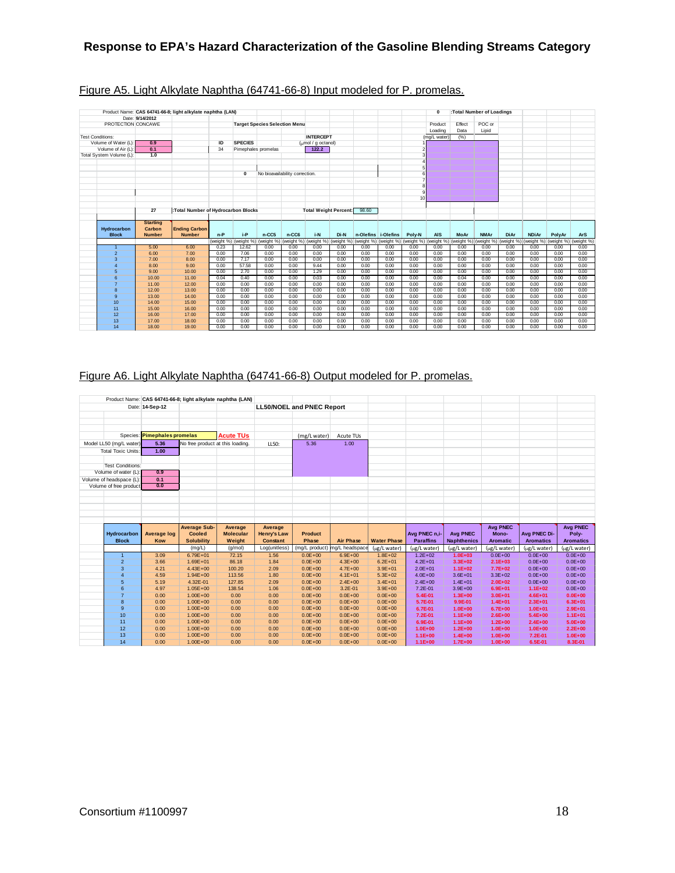|                                    |                         | Product Name: CAS 64741-66-8; light alkylate naphtha (LAN) |              |                       |              |                                      |                              |              |              |                               |                 | $\Omega$                      |                    | :Total Number of Loadings |              |              |              |              |
|------------------------------------|-------------------------|------------------------------------------------------------|--------------|-----------------------|--------------|--------------------------------------|------------------------------|--------------|--------------|-------------------------------|-----------------|-------------------------------|--------------------|---------------------------|--------------|--------------|--------------|--------------|
|                                    | Date: 9/14/2012         |                                                            |              |                       |              |                                      |                              |              |              |                               |                 |                               |                    |                           |              |              |              |              |
| PROTECTION CONCAWE                 |                         |                                                            |              |                       |              | <b>Target Species Selection Menu</b> |                              |              |              |                               |                 | Product                       | Effect             | POC or                    |              |              |              |              |
|                                    |                         |                                                            |              |                       |              |                                      |                              |              |              |                               |                 | Loading                       | Data               | Lipid                     |              |              |              |              |
| <b>Test Conditions:</b>            |                         |                                                            |              |                       |              |                                      | <b>INTERCEPT</b>             |              |              |                               |                 | (mg/L water)                  | (% )               |                           |              |              |              |              |
| Volume of Water (L)                | 0.9                     |                                                            | ID           | <b>SPECIES</b>        |              |                                      | (nmol / q octanol)           |              |              |                               |                 |                               |                    |                           |              |              |              |              |
| Volume of Air (L):                 | $\overline{0.1}$        |                                                            | 34           | Pimephales promelas   |              |                                      | 122.2                        |              |              |                               |                 |                               |                    |                           |              |              |              |              |
| Total System Volume (L):           | 1.0                     |                                                            |              |                       |              |                                      |                              |              |              |                               |                 |                               |                    |                           |              |              |              |              |
|                                    |                         |                                                            |              |                       |              |                                      |                              |              |              |                               |                 |                               |                    |                           |              |              |              |              |
|                                    |                         |                                                            |              |                       |              |                                      |                              |              |              |                               |                 |                               |                    |                           |              |              |              |              |
|                                    |                         |                                                            |              | $\mathbf 0$           |              | No bioavailability correction.       |                              |              |              |                               |                 |                               |                    |                           |              |              |              |              |
|                                    |                         |                                                            |              |                       |              |                                      |                              |              |              |                               |                 |                               |                    |                           |              |              |              |              |
|                                    |                         |                                                            |              |                       |              |                                      |                              |              |              |                               |                 |                               |                    |                           |              |              |              |              |
|                                    |                         |                                                            |              |                       |              |                                      |                              |              |              |                               |                 |                               |                    |                           |              |              |              |              |
|                                    |                         |                                                            |              |                       |              |                                      |                              |              |              |                               | 10 <sup>1</sup> |                               |                    |                           |              |              |              |              |
|                                    | 27                      |                                                            |              |                       |              |                                      |                              |              | 98.60        |                               |                 |                               |                    |                           |              |              |              |              |
|                                    |                         | :Total Number of Hydrocarbon Blocks                        |              |                       |              |                                      | <b>Total Weight Percent:</b> |              |              |                               |                 |                               |                    |                           |              |              |              |              |
|                                    | <b>Starting</b>         |                                                            |              |                       |              |                                      |                              |              |              |                               |                 |                               |                    |                           |              |              |              |              |
| <b>Hydrocarbon</b><br><b>Block</b> | Carbon<br><b>Number</b> | <b>Ending Carbon</b><br><b>Number</b>                      | $n-P$        | $i-P$                 | n-CC5        | n-CC6                                | i-N                          | Di-N         |              | n-Olefins i-Olefins           | Poly-N          | <b>AIS</b>                    | MoAr               | <b>NMAr</b>               | <b>DiAr</b>  | <b>NDiAr</b> | PolyAr       | <b>ArS</b>   |
|                                    |                         |                                                            |              | (weight %) (weight %) | (weight %)   | (weight %)                           | (weight %) (weight %)        |              |              |                               |                 |                               |                    | (weight %)                | (weight %)   | (weight %)   | (weight %)   | (weight %)   |
| $\overline{1}$                     | 5.00                    | 6.00                                                       | 0.23         | 12.62                 | 0.00         | 0.00                                 | 0.00                         | 0.00         | 0.00         | (weight %) (weight %)<br>0.00 | 0.00            | (weight %) (weight %)<br>0.00 | (weight %)<br>0.00 | 0.00                      | 0.00         | 0.00         | 0.00         | 0.00         |
| $\overline{2}$                     | 6.00                    | 7.00                                                       | 0.00         | 7.06                  | 0.00         | 0.00                                 | 0.00                         | 0.00         | 0.00         | 0.00                          | 0.00            | 0.00                          | 0.00               | 0.00                      | 0.00         | 0.00         | 0.00         | 0.00         |
| 3                                  | 7.00                    | 8.00                                                       | 0.00         | 7.17                  | 0.00         | 0.00                                 | 0.00                         | 0.00         | 0.00         | 0.00                          | 0.00            | 0.00                          | 0.00               | 0.00                      | 0.00         | 0.00         | 0.00         | 0.00         |
| $\overline{4}$                     | 8.00                    | 9.00                                                       | 0.00         | 57.58                 | 0.00         | 0.00                                 | 9.44                         | 0.00         | 0.00         | 0.00                          | 0.00            | 0.00                          | 0.00               | 0.00                      | 0.00         | 0.00         | 0.00         | 0.00         |
| 5                                  | 9.00                    | 10.00                                                      | 0.00         | 2.70                  | 0.00         | 0.00                                 | 1.29                         | 0.00         | 0.00         | 0.00                          | 0.00            | 0.00                          | 0.00               | 0.00                      | 0.00         | 0.00         | 0.00         | 0.00         |
| 6                                  | 10.00                   | 11.00                                                      | 0.04         | 0.40                  | 0.00         | 0.00                                 | 0.03                         | 0.00         | 0.00         | 0.00                          | 0.00            | 0.00                          | 0.04               | 0.00                      | 0.00         | 0.00         | 0.00         | 0.00         |
| $\overline{7}$                     | 11.00                   | 12.00                                                      | 0.00         | 0.00                  | 0.00         | 0.00                                 | 0.00                         | 0.00         | 0.00         | 0.00                          | 0.00            | 0.00                          | 0.00               | 0.00                      | 0.00         | 0.00         | 0.00         | 0.00         |
| 8                                  | 12.00                   | 13.00                                                      | 0.00         | 0.00                  | 0.00         | 0.00                                 | 0.00                         | 0.00         | 0.00         | 0.00                          | 0.00            | 0.00                          | 0.00               | 0.00                      | 0.00         | 0.00         | 0.00         | 0.00         |
| 9                                  | 13.00                   | 14.00                                                      | 0.00         | 0.00                  | 0.00         | 0.00                                 | 0.00                         | 0.00         | 0.00         | 0.00                          | 0.00            | 0.00                          | 0.00               | 0.00                      | 0.00         | 0.00         | 0.00         | 0.00         |
| 10                                 | 14.00                   | 15.00                                                      | 0.00         | 0.00                  | 0.00         | 0.00                                 | 0.00                         | 0.00         | 0.00         | 0.00                          | 0.00            | 0.00                          | 0.00               | 0.00                      | 0.00         | 0.00         | 0.00         | 0.00         |
| 11                                 | 15.00                   | 16.00                                                      | 0.00         | 0.00                  | 0.00         | 0.00                                 | 0.00                         | 0.00         | 0.00         | 0.00                          | 0.00            | 0.00                          | 0.00               | 0.00                      | 0.00         | 0.00         | 0.00         | 0.00         |
| 12                                 | 16.00                   | 17.00                                                      | 0.00         | 0.00                  | 0.00         | 0.00                                 | 0.00                         | 0.00         | 0.00         | 0.00                          | 0.00            | 0.00                          | 0.00               | 0.00                      | 0.00         | 0.00         | 0.00         | 0.00         |
| 13<br>14                           | 17.00<br>18.00          | 18.00<br>19.00                                             | 0.00<br>0.00 | 0.00<br>0.00          | 0.00<br>0.00 | 0.00<br>0.00                         | 0.00<br>0.00                 | 0.00<br>0.00 | 0.00<br>0.00 | 0.00<br>0.00                  | 0.00<br>0.00    | 0.00<br>0.00                  | 0.00<br>0.00       | 0.00<br>0.00              | 0.00<br>0.00 | 0.00<br>0.00 | 0.00<br>0.00 | 0.00<br>0.00 |

## Figure A5. Light Alkylate Naphtha (64741-66-8) Input modeled for P. promelas.

## Figure A6. Light Alkylate Naphtha (64741-66-8) Output modeled for P. promelas.

|                             |                              |                                      | Product Name: CAS 64741-66-8; light alkylate naphtha (LAN) |                                       |                                  |                               |                            |                                   |                                       |                            |                                  |                           |
|-----------------------------|------------------------------|--------------------------------------|------------------------------------------------------------|---------------------------------------|----------------------------------|-------------------------------|----------------------------|-----------------------------------|---------------------------------------|----------------------------|----------------------------------|---------------------------|
|                             | Date: 14-Sep-12              |                                      |                                                            |                                       | <b>LL50/NOEL and PNEC Report</b> |                               |                            |                                   |                                       |                            |                                  |                           |
|                             |                              |                                      |                                                            |                                       |                                  |                               |                            |                                   |                                       |                            |                                  |                           |
|                             |                              |                                      |                                                            |                                       |                                  |                               |                            |                                   |                                       |                            |                                  |                           |
|                             |                              |                                      |                                                            |                                       |                                  |                               |                            |                                   |                                       |                            |                                  |                           |
|                             | Species: Pimephales promelas |                                      | <b>Acute TUs</b>                                           |                                       | (mg/L water)                     | Acute TUs                     |                            |                                   |                                       |                            |                                  |                           |
| Model LL50 (mg/L water)     | 5.36                         | No free product at this loading.     |                                                            |                                       | 5.36                             | 1.00                          |                            |                                   |                                       |                            |                                  |                           |
|                             |                              |                                      |                                                            | LL50:                                 |                                  |                               |                            |                                   |                                       |                            |                                  |                           |
| <b>Total Toxic Units:</b>   | 1.00                         |                                      |                                                            |                                       |                                  |                               |                            |                                   |                                       |                            |                                  |                           |
|                             |                              |                                      |                                                            |                                       |                                  |                               |                            |                                   |                                       |                            |                                  |                           |
| <b>Test Conditions:</b>     |                              |                                      |                                                            |                                       |                                  |                               |                            |                                   |                                       |                            |                                  |                           |
| Volume of water (L):        | 0.9                          |                                      |                                                            |                                       |                                  |                               |                            |                                   |                                       |                            |                                  |                           |
| Volume of headspace (L):    | 0.1<br>0.0                   |                                      |                                                            |                                       |                                  |                               |                            |                                   |                                       |                            |                                  |                           |
| Volume of free product      |                              |                                      |                                                            |                                       |                                  |                               |                            |                                   |                                       |                            |                                  |                           |
|                             |                              |                                      |                                                            |                                       |                                  |                               |                            |                                   |                                       |                            |                                  |                           |
|                             |                              |                                      |                                                            |                                       |                                  |                               |                            |                                   |                                       |                            |                                  |                           |
|                             |                              |                                      |                                                            |                                       |                                  |                               |                            |                                   |                                       |                            |                                  |                           |
|                             |                              |                                      |                                                            |                                       |                                  |                               |                            |                                   |                                       |                            |                                  |                           |
|                             |                              |                                      |                                                            |                                       |                                  |                               |                            |                                   |                                       |                            |                                  |                           |
|                             |                              |                                      |                                                            |                                       |                                  |                               |                            |                                   |                                       |                            |                                  |                           |
|                             |                              | <b>Average Sub-</b><br><b>Cooled</b> | Average<br><b>Molecular</b>                                | Average                               | <b>Product</b>                   |                               |                            |                                   |                                       | <b>Avg PNEC</b><br>Mono-   |                                  | <b>Avg PNEC</b>           |
| Hydrocarbon<br><b>Block</b> | <b>Average log</b><br>Kow    | <b>Solubility</b>                    | Weight                                                     | <b>Henry's Law</b><br><b>Constant</b> | Phase                            | <b>Air Phase</b>              | <b>Water Phase</b>         | Avg PNEC n.i-<br><b>Paraffins</b> | <b>Avg PNEC</b><br><b>Naphthenics</b> | <b>Aromatic</b>            | Avg PNEC Di-<br><b>Aromatics</b> | Poly-<br><b>Aromatics</b> |
|                             |                              | (mg/L)                               | (q/mol)                                                    | Log(unitless)                         |                                  | (mg/L product) mg/L headspace | (µg/L water)               | (ug/L water)                      | (µg/L water)                          | (ug/L water)               | (ug/L water)                     | (µg/L water)              |
| $\overline{1}$              | 3.09                         | $6.79E + 01$                         | 72.15                                                      | 1.56                                  | $0.0E + 00$                      | $6.9E + 00$                   | $1.8E + 02$                | $1.2E + 02$                       | $1.0E + 03$                           | $0.0E + 00$                | $0.0E + 00$                      | $0.0E + 00$               |
| $\overline{a}$              | 3.66                         | $1.69E + 01$                         | 86.18                                                      | 1.84                                  | $0.0E + 00$                      | $4.3E + 00$                   | $6.2E + 01$                | $4.2E + 01$                       | $3.3E + 02$                           | $2.1E+03$                  | $0.0E + 00$                      | $0.0E + 00$               |
| $\overline{3}$              | 4.21                         | $4.43E + 00$                         | 100.20                                                     | 2.09                                  | $0.0E + 00$                      | $4.7E + 00$                   | $3.9E + 01$                | $2.0E + 01$                       | $1.1E + 02$                           | $7.7E + 02$                | $0.0E + 00$                      | $0.0E + 00$               |
| $\overline{4}$              | 4.59                         | $1.94E + 00$                         | 113.56                                                     | 1.80                                  | $0.0E + 00$                      | $4.1E + 01$                   | $5.3E + 02$                | $4.0E + 00$                       | $3.6E + 01$                           | $3.3E + 02$                | $0.0E + 00$                      | $0.0E + 00$               |
| 5                           | 5.19                         | 4.32E-01                             | 127.85                                                     | 2.09                                  | $0.0E + 00$                      | $2.4E + 00$                   | $3.4E + 01$                | $2.4E + 00$                       | $1.4E + 01$                           | $2.0E + 02$                | $0.0E + 00$                      | $0.0E + 00$               |
| 6                           | 4.97                         | $1.05E + 00$                         | 138.54                                                     | 1.06                                  | $0.0E + 00$                      | $3.2E - 01$                   | $3.9E + 00$                | $7.2E - 01$                       | $3.9E + 00$                           | $6.9E + 01$                | $1.1E + 02$                      | $0.0E + 00$               |
| $\overline{7}$              | 0.00                         | $1.00E + 00$                         | 0.00                                                       | 0.00                                  | $0.0E + 00$                      | $0.0E + 00$                   | $0.0E + 00$                | 5.4E-01                           | $1.3E + 00$                           | $3.0E + 01$                | $4.6E + 01$                      | $0.0E + 00$               |
| $\overline{8}$              | 0.00                         | $1.00E + 00$                         | 0.00                                                       | 0.00                                  | $0.0E + 00$                      | $0.0E + 00$                   | $0.0E + 00$                | 5.7E-01                           | 9.9E-01                               | $1.4E + 01$                | $2.3E + 01$                      | $6.3E + 01$               |
| $\overline{9}$              | 0.00                         | $1.00E + 00$                         | 0.00                                                       | 0.00                                  | $0.0E + 00$                      | $0.0E + 00$                   | $0.0E + 00$                | 6.7E-01                           | $1.0E + 00$                           | $6.7E + 00$                | $1.0E + 01$                      | $2.9E + 01$               |
| 10                          | 0.00                         | $1.00E + 00$                         | 0.00                                                       | 0.00                                  | $0.0E + 00$                      | $0.0E + 00$                   | $0.0E + 00$                | 7.2E-01                           | $1.1E+00$                             | $2.6E + 00$                | $5.4E + 00$                      | $1.1E + 01$               |
| 11                          | 0.00                         | $1.00E + 00$                         | 0.00                                                       | 0.00                                  | $0.0E + 00$                      | $0.0E + 00$                   | $0.0E + 00$                | 6.9E-01                           | $1.1E+00$                             | $1.2E + 00$                | $2.4E + 00$                      | $5.0E + 00$               |
| 12                          | 0.00                         | $1.00E + 00$                         | 0.00                                                       | 0.00                                  | $0.0E + 00$                      | $0.0E + 00$                   | $0.0E + 00$                | $1.0E + 00$                       | $1.2E + 00$                           | $1.0E + 00$                | $1.0E + 00$                      | $2.2E + 00$               |
| 13<br>14                    | 0.00<br>0.00                 | $1.00E + 00$<br>$1.00E + 00$         | 0.00<br>0.00                                               | 0.00<br>0.00                          | $0.0E + 00$<br>$0.0E + 00$       | $0.0E + 00$<br>$0.0E + 00$    | $0.0E + 00$<br>$0.0E + 00$ | $1.1E + 00$<br>$1.1E + 00$        | $1.4E + 00$<br>$1.7E + 00$            | $1.0E + 00$<br>$1.0E + 00$ | 7.2E-01<br>6.5E-01               | $1.0E + 00$<br>8.3E-01    |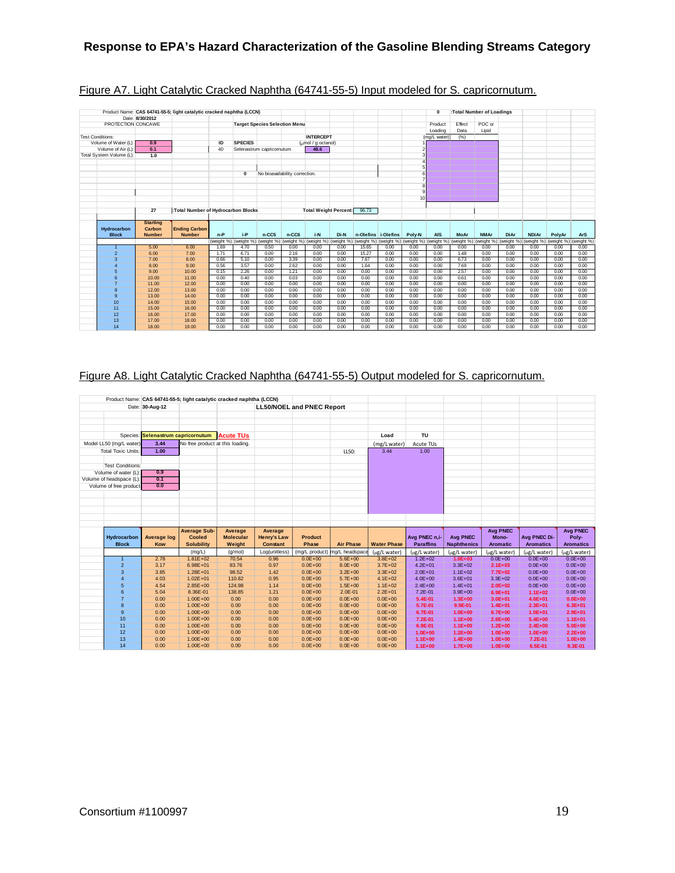|                             |                                            | Product Name: CAS 64741-55-5; light catalytic cracked naphtha (LCCN) |          |                                  |                                      |                                |                              |      |       |                     |        | 0                                                                                                                                                         |        | :Total Number of Loadings |             |              |        |            |
|-----------------------------|--------------------------------------------|----------------------------------------------------------------------|----------|----------------------------------|--------------------------------------|--------------------------------|------------------------------|------|-------|---------------------|--------|-----------------------------------------------------------------------------------------------------------------------------------------------------------|--------|---------------------------|-------------|--------------|--------|------------|
| PROTECTION CONCAWE          | Date: 8/30/2012                            |                                                                      |          |                                  | <b>Target Species Selection Menu</b> |                                |                              |      |       |                     |        | Product                                                                                                                                                   | Effect | POC or                    |             |              |        |            |
|                             |                                            |                                                                      |          |                                  |                                      |                                |                              |      |       |                     |        | Loading                                                                                                                                                   | Data   | Lipid                     |             |              |        |            |
| <b>Test Conditions:</b>     |                                            |                                                                      |          |                                  |                                      |                                | <b>INTERCEPT</b>             |      |       |                     |        |                                                                                                                                                           |        |                           |             |              |        |            |
| Volume of Water (L)         |                                            |                                                                      |          | <b>SPECIES</b>                   |                                      |                                | (nmol / q octanol)           |      |       |                     |        | (mg/L water)                                                                                                                                              | (%)    |                           |             |              |        |            |
| Volume of Air (L)           | 0.9<br>0.1                                 |                                                                      | ID<br>40 |                                  | Selenastrum capricomutum             |                                | 48.6                         |      |       |                     |        |                                                                                                                                                           |        |                           |             |              |        |            |
| Total System Volume (L):    | 1.0                                        |                                                                      |          |                                  |                                      |                                |                              |      |       |                     |        |                                                                                                                                                           |        |                           |             |              |        |            |
|                             |                                            |                                                                      |          |                                  |                                      |                                |                              |      |       |                     |        |                                                                                                                                                           |        |                           |             |              |        |            |
|                             |                                            |                                                                      |          |                                  |                                      |                                |                              |      |       |                     |        |                                                                                                                                                           |        |                           |             |              |        |            |
|                             |                                            |                                                                      |          | $\mathbf 0$                      |                                      | No bioavailability correction. |                              |      |       |                     |        |                                                                                                                                                           |        |                           |             |              |        |            |
|                             |                                            |                                                                      |          |                                  |                                      |                                |                              |      |       |                     |        |                                                                                                                                                           |        |                           |             |              |        |            |
|                             |                                            |                                                                      |          |                                  |                                      |                                |                              |      |       |                     |        |                                                                                                                                                           |        |                           |             |              |        |            |
|                             |                                            |                                                                      |          |                                  |                                      |                                |                              |      |       |                     |        |                                                                                                                                                           |        |                           |             |              |        |            |
|                             |                                            |                                                                      |          |                                  |                                      |                                |                              |      |       |                     | 10     |                                                                                                                                                           |        |                           |             |              |        |            |
|                             |                                            |                                                                      |          |                                  |                                      |                                |                              |      |       |                     |        |                                                                                                                                                           |        |                           |             |              |        |            |
|                             | 27                                         | :Total Number of Hydrocarbon Blocks                                  |          |                                  |                                      |                                | <b>Total Weight Percent:</b> |      | 96.73 |                     |        |                                                                                                                                                           |        |                           |             |              |        |            |
|                             |                                            |                                                                      |          |                                  |                                      |                                |                              |      |       |                     |        |                                                                                                                                                           |        |                           |             |              |        |            |
| Hydrocarbon<br><b>Block</b> | <b>Starting</b><br>Carbon<br><b>Number</b> | <b>Ending Carbon</b><br><b>Number</b>                                | $n-P$    | i-P                              | $n-CC5$                              | n-CC6                          | i-N                          | Di-N |       | n-Olefins i-Olefins | Poly-N | <b>AIS</b>                                                                                                                                                | MoAr   | <b>NMAr</b>               | <b>DiAr</b> | <b>NDiAr</b> | PolyAr | <b>ArS</b> |
|                             |                                            |                                                                      |          | (weight %) (weight %) (weight %) |                                      |                                |                              |      |       |                     |        | (weight %) (weight %) (weight %) (weight %) (weight %) (weight %) (weight %) (weight %) (weight %) (weight %) (weight %) (weight %) (weight %) (weight %) |        |                           |             |              |        |            |
| $\overline{1}$              | 5.00                                       | 6.00                                                                 | 1.69     | 4.70                             | 0.50                                 | 0.00                           | 0.00                         | 0.00 | 15.65 | 0.00                | 0.00   | 0.00                                                                                                                                                      | 0.00   | 0.00                      | 0.00        | 0.00         | 0.00   | 0.00       |
| $\overline{2}$              | 6.00                                       | 7.00                                                                 | 1.71     | 6.71                             | 0.00                                 | 2.16                           | 0.00                         | 0.00 | 15.27 | 0.00                | 0.00   | 0.00                                                                                                                                                      | 1.48   | 0.00                      | 0.00        | 0.00         | 0.00   | 0.00       |
| 3                           | 7.00                                       | 8.00                                                                 | 0.66     | 5.10                             | 0.00                                 | 3.39                           | 0.00                         | 0.00 | 7.67  | 0.00                | 0.00   | 0.00                                                                                                                                                      | 6.73   | 0.00                      | 0.00        | 0.00         | 0.00   | 0.00       |
| $\overline{4}$              | 8.00                                       | 9.00                                                                 | 0.56     | 3.57                             | 0.00                                 | 2.62                           | 0.00                         | 0.00 | 1.64  | 0.00                | 0.00   | 0.00                                                                                                                                                      | 7.69   | 0.00                      | 0.00        | 0.00         | 0.00   | 0.00       |
| 5                           | 9.00                                       | 10.00                                                                | 0.15     | 2.26                             | 0.00                                 | 1.21                           | 0.00                         | 0.00 | 0.00  | 0.00                | 0.00   | 0.00                                                                                                                                                      | 2.57   | 0.00                      | 0.00        | 0.00         | 0.00   | 0.00       |
| 6                           | 10.00                                      | 11.00                                                                | 0.00     | 0.40                             | 0.00                                 | 0.03                           | 0.00                         | 0.00 | 0.00  | 0.00                | 0.00   | 0.00                                                                                                                                                      | 0.61   | 0.00                      | 0.00        | 0.00         | 0.00   | 0.00       |
| $\overline{7}$              | 11.00                                      | 12.00                                                                | 0.00     | 0.00                             | 0.00                                 | 0.00                           | 0.00                         | 0.00 | 0.00  | 0.00                | 0.00   | 0.00                                                                                                                                                      | 0.00   | 0.00                      | 0.00        | 0.00         | 0.00   | 0.00       |
| 8                           | 12.00                                      | 13.00                                                                | 0.00     | 0.00                             | 0.00                                 | 0.00                           | 0.00                         | 0.00 | 0.00  | 0.00                | 0.00   | 0.00                                                                                                                                                      | 0.00   | 0.00                      | 0.00        | 0.00         | 0.00   | 0.00       |
| $\mathbf{q}$                | 13.00                                      | 14.00                                                                | 0.00     | 0.00                             | 0.00                                 | 0.00                           | 0.00                         | 0.00 | 0.00  | 0.00                | 0.00   | 0.00                                                                                                                                                      | 0.00   | 0.00                      | 0.00        | 0.00         | 0.00   | 0.00       |
| 10                          | 14.00                                      | 15.00                                                                | 0.00     | 0.00                             | 0.00                                 | 0.00                           | 0.00                         | 0.00 | 0.00  | 0.00                | 0.00   | 0.00                                                                                                                                                      | 0.00   | 0.00                      | 0.00        | 0.00         | 0.00   | 0.00       |
| 11                          | 15.00                                      | 16.00                                                                | 0.00     | 0.00                             | 0.00                                 | 0.00                           | 0.00                         | 0.00 | 0.00  | 0.00                | 0.00   | 0.00                                                                                                                                                      | 0.00   | 0.00                      | 0.00        | 0.00         | 0.00   | 0.00       |
| 12                          | 16.00                                      | 17.00                                                                | 0.00     | 0.00                             | 0.00                                 | 0.00                           | 0.00                         | 0.00 | 0.00  | 0.00                | 0.00   | 0.00                                                                                                                                                      | 0.00   | 0.00                      | 0.00        | 0.00         | 0.00   | 0.00       |
| 13                          | 17.00                                      | 18.00                                                                | 0.00     | 0.00                             | 0.00                                 | 0.00                           | 0.00                         | 0.00 | 0.00  | 0.00                | 0.00   | 0.00                                                                                                                                                      | 0.00   | 0.00                      | 0.00        | 0.00         | 0.00   | 0.00       |
| 14                          | 18.00                                      | 19.00                                                                | 0.00     | 0.00                             | 0.00                                 | 0.00                           | 0.00                         | 0.00 | 0.00  | 0.00                | 0.00   | 0.00                                                                                                                                                      | 0.00   | 0.00                      | 0.00        | 0.00         | 0.00   | 0.00       |

## Figure A7. Light Catalytic Cracked Naphtha (64741-55-5) Input modeled for S. capricornutum.

# Figure A8. Light Catalytic Cracked Naphtha (64741-55-5) Output modeled for S. capricornutum.

|                           |                                    |                                      | Product Name: CAS 64741-55-5; light catalytic cracked naphtha (LCCN) |                               |                            |                            |                            |                          |                            |                            |                    |                          |
|---------------------------|------------------------------------|--------------------------------------|----------------------------------------------------------------------|-------------------------------|----------------------------|----------------------------|----------------------------|--------------------------|----------------------------|----------------------------|--------------------|--------------------------|
|                           | Date: 30-Aug-12                    |                                      |                                                                      |                               |                            |                            |                            |                          |                            |                            |                    |                          |
|                           |                                    |                                      |                                                                      |                               | LL50/NOEL and PNEC Report  |                            |                            |                          |                            |                            |                    |                          |
|                           |                                    |                                      |                                                                      |                               |                            |                            |                            |                          |                            |                            |                    |                          |
|                           |                                    |                                      |                                                                      |                               |                            |                            |                            |                          |                            |                            |                    |                          |
|                           |                                    |                                      |                                                                      |                               |                            |                            |                            | <b>TU</b>                |                            |                            |                    |                          |
|                           | Species: Selenastrum capricornutum |                                      | <b>Acute TUs</b>                                                     |                               |                            |                            | Load                       |                          |                            |                            |                    |                          |
| Model LL50 (mg/L water)   | 3.44                               | No free product at this loading.     |                                                                      |                               |                            |                            | (mg/L water)               | Acute TUs                |                            |                            |                    |                          |
| <b>Total Toxic Units:</b> | 1.00                               |                                      |                                                                      |                               |                            | LL50:                      | 3.44                       | 1.00                     |                            |                            |                    |                          |
|                           |                                    |                                      |                                                                      |                               |                            |                            |                            |                          |                            |                            |                    |                          |
| <b>Test Conditions:</b>   |                                    |                                      |                                                                      |                               |                            |                            |                            |                          |                            |                            |                    |                          |
| Volume of water (L):      | 0.9                                |                                      |                                                                      |                               |                            |                            |                            |                          |                            |                            |                    |                          |
| Volume of headspace (L):  | $\overline{0.1}$                   |                                      |                                                                      |                               |                            |                            |                            |                          |                            |                            |                    |                          |
| Volume of free product    | 0.0                                |                                      |                                                                      |                               |                            |                            |                            |                          |                            |                            |                    |                          |
|                           |                                    |                                      |                                                                      |                               |                            |                            |                            |                          |                            |                            |                    |                          |
|                           |                                    |                                      |                                                                      |                               |                            |                            |                            |                          |                            |                            |                    |                          |
|                           |                                    |                                      |                                                                      |                               |                            |                            |                            |                          |                            |                            |                    |                          |
|                           |                                    |                                      |                                                                      |                               |                            |                            |                            |                          |                            |                            |                    |                          |
|                           |                                    |                                      |                                                                      |                               |                            |                            |                            |                          |                            |                            |                    |                          |
|                           |                                    |                                      |                                                                      |                               |                            |                            |                            |                          |                            |                            |                    |                          |
|                           |                                    |                                      |                                                                      |                               |                            |                            |                            |                          |                            |                            |                    |                          |
| Hydrocarbon               |                                    | <b>Average Sub-</b><br><b>Cooled</b> | Average<br><b>Molecular</b>                                          | Average<br><b>Henry's Law</b> | <b>Product</b>             |                            |                            | Avg PNEC n.i-            | <b>Avg PNEC</b>            | <b>Avg PNEC</b><br>Mono-   | Avg PNEC Di-       | <b>Avg PNEC</b><br>Poly- |
| <b>Block</b>              | <b>Average log</b><br>Kow          | <b>Solubility</b>                    | Weight                                                               | <b>Constant</b>               | Phase                      | <b>Air Phase</b>           | <b>Water Phase</b>         | <b>Paraffins</b>         | <b>Naphthenics</b>         | <b>Aromatic</b>            | <b>Aromatics</b>   | <b>Aromatics</b>         |
|                           |                                    | (mg/L)                               | (q/mol)                                                              | Log(unitless)                 | (mg/L product)             | mg/L headspace             | (µg/L water)               | (µg/L water)             | (µg/L water)               | (µg/L water)               | (µg/L water)       | (µg/L water)             |
| $\mathbf{1}$              | 2.78                               | $1.81E + 02$                         | 70.54                                                                | 0.96                          | $0.0E + 00$                | $5.6E + 00$                | $3.8E + 02$                | $1.2E + 02$              | $1.0E + 03$                | $0.0E + 00$                | $0.0E + 00$        | $0.0E + 00$              |
| $\overline{2}$            | 3.17                               | $6.98E + 01$                         | 83.76                                                                | 0.97                          | $0.0E + 00$                | $8.0E + 00$                | $3.7E + 02$                | $4.2E + 01$              | $3.3E + 02$                | $2.1E + 03$                | $0.0E + 00$        | $0.0E + 00$              |
| 3                         | 3.85                               | $1.28E + 01$                         | 98.52                                                                | 1.42                          | $0.0E + 00$                | $3.2E + 00$                | $3.3E + 02$                | $2.0E + 01$              | $1.1E + 02$                | $7.7E+02$                  | $0.0E + 00$        | $0.0E + 00$              |
| 4                         | 4.03                               | $1.02E + 01$                         | 110.82                                                               | 0.95                          | $0.0E + 00$                | $5.7E + 00$                | $4.1E + 02$                | $4.0E + 00$              | $3.6E + 01$                | $3.3E + 02$                | $0.0E + 00$        | $0.0E + 00$              |
| 5                         | 4.54                               | $2.85E + 00$                         | 124.98                                                               | 1.14                          | $0.0E + 00$                | $1.5E + 00$                | $1.1E + 02$                | $2.4E + 00$              | $1.4E + 01$                | $2.0E + 02$                | $0.0E + 00$        | $0.0E + 00$              |
| 6                         | 5.04                               | 8.36E-01                             | 138.85                                                               | 1.21                          | $0.0E + 00$                | $2.0E - 01$                | $2.2E + 01$                | 7.2E-01                  | $3.9E + 00$                | $6.9E + 01$                | $1.1E + 02$        | $0.0E + 00$              |
| $\overline{7}$            | 0.00                               | $1.00E + 00$                         | 0.00                                                                 | 0.00                          | $0.0E + 00$                | $0.0E + 00$                | $0.0E + 00$                | 5.4E-01                  | $1.3E + 00$                | $3.0E + 01$                | $4.6E + 01$        | $0.0E + 00$              |
| 8                         | 0.00                               | $1.00E + 00$                         | 0.00                                                                 | 0.00                          | $0.0E + 00$                | $0.0E + 00$                | $0.0E + 00$                | 5.7E-01                  | 9.9E-01                    | $1.4E + 01$                | $2.3E + 01$        | $6.3E + 01$              |
| $\overline{9}$            | 0.00                               | $1.00E + 00$                         | 0.00                                                                 | 0.00                          | $0.0E + 00$                | $0.0E + 00$                | $0.0E + 00$                | 6.7E-01                  | $1.0E + 00$                | $6.7E + 00$                | $1.0E + 01$        | $2.9E + 01$              |
| 10                        | 0.00                               | $1.00E + 00$                         | 0.00                                                                 | 0.00                          | $0.0E + 00$                | $0.0E + 00$                | $0.0E + 00$                | 7.2E-01                  | $1.1E+00$                  | $2.6E + 00$                | $5.4E + 00$        | $1.1E + 01$              |
| 11                        | 0.00                               | $1.00E + 00$                         | 0.00                                                                 | 0.00                          | $0.0E + 00$                | $0.0E + 00$                | $0.0E + 00$                | 6.9E-01                  | $1.1E+00$                  | $1.2E + 00$                | $2.4E + 00$        | $5.0E + 00$              |
| 12                        | 0.00                               | $1.00E + 00$                         | 0.00                                                                 | 0.00                          | $0.0E + 00$                | $0.0E + 00$                | $0.0E + 00$                | $1.0E + 00$              | $1.2E + 00$                | $1.0E + 00$                | $1.0E + 00$        | $2.2E + 00$              |
| 13<br>14                  | 0.00<br>0.00                       | $1.00E + 00$<br>$1.00E + 00$         | 0.00<br>0.00                                                         | 0.00<br>0.00                  | $0.0E + 00$<br>$0.0E + 00$ | $0.0E + 00$<br>$0.0E + 00$ | $0.0E + 00$<br>$0.0E + 00$ | $1.1E + 00$<br>$1.1E+00$ | $1.4E + 00$<br>$1.7E + 00$ | $1.0E + 00$<br>$1.0E + 00$ | 7.2E-01<br>6.5E-01 | $1.0E + 00$<br>8.3E-01   |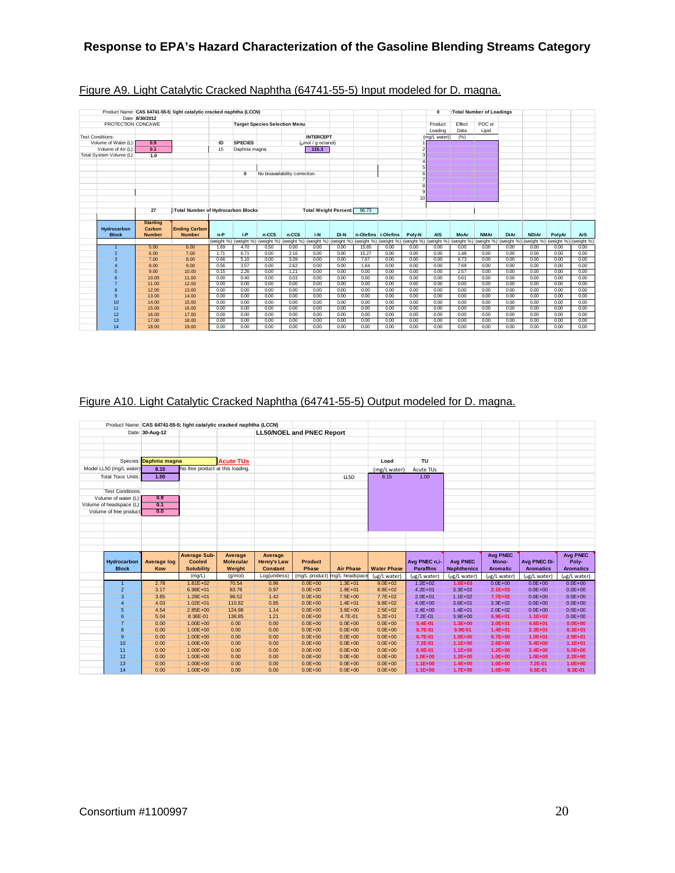|                          |                 | Product Name: CAS 64741-55-5; light catalytic cracked naphtha (LCCN) |              |                       |              |                                      |                              |                       |              |                       |                 | $\mathbf 0$           |              | :Total Number of Loadings |              |              |              |              |
|--------------------------|-----------------|----------------------------------------------------------------------|--------------|-----------------------|--------------|--------------------------------------|------------------------------|-----------------------|--------------|-----------------------|-----------------|-----------------------|--------------|---------------------------|--------------|--------------|--------------|--------------|
|                          | Date: 8/30/2012 |                                                                      |              |                       |              |                                      |                              |                       |              |                       |                 |                       |              |                           |              |              |              |              |
| PROTECTION CONCAWE       |                 |                                                                      |              |                       |              | <b>Target Species Selection Menu</b> |                              |                       |              |                       |                 | Product               | Effect       | POC or                    |              |              |              |              |
|                          |                 |                                                                      |              |                       |              |                                      |                              |                       |              |                       |                 | Loading               | Data         | Lipid                     |              |              |              |              |
| <b>Test Conditions:</b>  |                 |                                                                      |              |                       |              |                                      | <b>INTERCEPT</b>             |                       |              |                       |                 | (mg/L water)          | (% )         |                           |              |              |              |              |
| Volume of Water (L)      | 0.9             |                                                                      | ID           | <b>SPECIES</b>        |              |                                      | (umol / g octanol)           |                       |              |                       |                 |                       |              |                           |              |              |              |              |
| Volume of Air (L):       | 0.1             |                                                                      | 15           | Daphnia magna         |              |                                      | 115.3                        |                       |              |                       |                 |                       |              |                           |              |              |              |              |
| Total System Volume (L): | 1.0             |                                                                      |              |                       |              |                                      |                              |                       |              |                       |                 |                       |              |                           |              |              |              |              |
|                          |                 |                                                                      |              |                       |              |                                      |                              |                       |              |                       |                 |                       |              |                           |              |              |              |              |
|                          |                 |                                                                      |              |                       |              |                                      |                              |                       |              |                       |                 |                       |              |                           |              |              |              |              |
|                          |                 |                                                                      |              | $\mathbf 0$           |              | No bioavailability correction.       |                              |                       |              |                       |                 |                       |              |                           |              |              |              |              |
|                          |                 |                                                                      |              |                       |              |                                      |                              |                       |              |                       |                 |                       |              |                           |              |              |              |              |
|                          |                 |                                                                      |              |                       |              |                                      |                              |                       |              |                       |                 |                       |              |                           |              |              |              |              |
|                          |                 |                                                                      |              |                       |              |                                      |                              |                       |              |                       | 10 <sup>1</sup> |                       |              |                           |              |              |              |              |
|                          |                 |                                                                      |              |                       |              |                                      |                              |                       |              |                       |                 |                       |              |                           |              |              |              |              |
|                          | 27              | :Total Number of Hydrocarbon Blocks                                  |              |                       |              |                                      | <b>Total Weight Percent:</b> |                       | 96.73        |                       |                 |                       |              |                           |              |              |              |              |
|                          |                 |                                                                      |              |                       |              |                                      |                              |                       |              |                       |                 |                       |              |                           |              |              |              |              |
|                          | <b>Starting</b> |                                                                      |              |                       |              |                                      |                              |                       |              |                       |                 |                       |              |                           |              |              |              |              |
|                          |                 |                                                                      |              |                       |              |                                      |                              |                       |              |                       |                 |                       |              |                           |              |              |              |              |
| Hydrocarbon              | Carbon          | <b>Ending Carbon</b>                                                 |              |                       |              |                                      |                              |                       |              |                       |                 |                       |              |                           |              |              |              |              |
| <b>Block</b>             | <b>Number</b>   | <b>Number</b>                                                        | $n-P$        | i-P                   | $n-CC5$      | n-CC6                                | i-N                          | Di-N                  |              | n-Olefins i-Olefins   | Poly-N          | <b>AIS</b>            | <b>MoAr</b>  | <b>NMAr</b>               | <b>DiAr</b>  | <b>NDiAr</b> | PolvAr       | <b>ArS</b>   |
|                          |                 |                                                                      |              | (weight %) (weight %) | (weight %)   | (weight %)                           |                              | (weight %) (weight %) |              | (weight %) (weight %) |                 | (weight %) (weight %) | (weight %)   | (weight %)                | (weight %)   | (weight %)   | (weight %)   | (weight %    |
| $\overline{1}$           | 5.00            | 6.00                                                                 | 1.69         | 4.70                  | 0.50         | 0.00                                 | 0.00                         | 0.00                  | 15.65        | 0.00                  | 0.00            | 0.00                  | 0.00         | 0.00                      | 0.00         | 0.00         | 0.00         | 0.00         |
| $\overline{2}$           | 6.00            | 7.00                                                                 | 1.71         | 6.71                  | 0.00         | 2.16                                 | 0.00                         | 0.00                  | 15.27        | 0.00                  | 0.00            | 0.00                  | 1.48         | 0.00                      | 0.00         | 0.00         | 0.00         | 0.00         |
| 3                        | 7.00            | 8.00                                                                 | 0.66         | 5.10                  | 0.00         | 3.39                                 | 0.00                         | 0.00                  | 7.67         | 0.00                  | 0.00            | 0.00                  | 6.73         | 0.00                      | 0.00         | 0.00         | 0.00         | 0.00         |
| $\overline{4}$           | 8.00            | 9.00                                                                 | 0.56         | 3.57                  | 0.00         | 2.62                                 | 0.00                         | 0.00                  | 1.64         | 0.00                  | 0.00            | 0.00                  | 7.69         | 0.00                      | 0.00         | 0.00         | 0.00         | 0.00         |
| 5                        | 9.00            | 10.00                                                                | 0.15         | 2.26                  | 0.00         | 1.21                                 | 0.00                         | 0.00                  | 0.00         | 0.00                  | 0.00            | 0.00                  | 2.57         | 0.00                      | 0.00         | 0.00         | 0.00         | 0.00         |
| 6                        | 10.00           | 11.00                                                                | 0.00         | 0.40                  | 0.00         | 0.03                                 | 0.00                         | 0.00                  | 0.00         | 0.00                  | 0.00            | 0.00                  | 0.61         | 0.00                      | 0.00         | 0.00         | 0.00         | 0.00         |
| $\overline{7}$           | 11.00           | 12.00                                                                | 0.00         | 0.00                  | 0.00         | 0.00                                 | 0.00                         | 0.00                  | 0.00         | 0.00                  | 0.00            | 0.00                  | 0.00         | 0.00                      | 0.00         | 0.00         | 0.00         | 0.00         |
| 8                        | 12.00           | 13.00                                                                | 0.00         | 0.00                  | 0.00         | 0.00                                 | 0.00                         | 0.00                  | 0.00         | 0.00                  | 0.00            | 0.00                  | 0.00         | 0.00                      | 0.00         | 0.00         | 0.00         | 0.00         |
| 9                        | 13.00           | 14.00                                                                | 0.00         | 0.00                  | 0.00         | 0.00                                 | 0.00                         | 0.00                  | 0.00         | 0.00                  | 0.00            | 0.00                  | 0.00         | 0.00                      | 0.00         | 0.00         | 0.00         | 0.00         |
| 10                       | 14.00           | 15.00                                                                | 0.00         | 0.00                  | 0.00         | 0.00                                 | 0.00                         | 0.00                  | 0.00         | 0.00                  | 0.00            | 0.00                  | 0.00         | 0.00                      | 0.00         | 0.00         | 0.00         | 0.00         |
| 11                       | 15.00           | 16.00                                                                | 0.00         | 0.00                  | 0.00         | 0.00                                 | 0.00                         | 0.00                  | 0.00         | 0.00                  | 0.00            | 0.00                  | 0.00         | 0.00                      | 0.00         | 0.00         | 0.00         | 0.00         |
| 12                       | 16.00           | 17.00                                                                | 0.00         | 0.00                  | 0.00         | 0.00                                 | 0.00                         | 0.00                  | 0.00         | 0.00                  | 0.00            | 0.00                  | 0.00         | 0.00                      | 0.00         | 0.00         | 0.00         | 0.00         |
| 13<br>14                 | 17.00<br>18.00  | 18.00<br>19.00                                                       | 0.00<br>0.00 | 0.00<br>0.00          | 0.00<br>0.00 | 0.00<br>0.00                         | 0.00<br>0.00                 | 0.00<br>0.00          | 0.00<br>0.00 | 0.00<br>0.00          | 0.00<br>0.00    | 0.00<br>0.00          | 0.00<br>0.00 | 0.00<br>0.00              | 0.00<br>0.00 | 0.00<br>0.00 | 0.00<br>0.00 | 0.00<br>0.00 |

## Figure A9. Light Catalytic Cracked Naphtha (64741-55-5) Input modeled for D. magna.

## Figure A10. Light Catalytic Cracked Naphtha (64741-55-5) Output modeled for D. magna.

|                           |                        |                                  | Product Name: CAS 64741-55-5; light catalytic cracked naphtha (LCCN) |                    |                                  |                               |                            |                            |                            |                            |                        |                            |
|---------------------------|------------------------|----------------------------------|----------------------------------------------------------------------|--------------------|----------------------------------|-------------------------------|----------------------------|----------------------------|----------------------------|----------------------------|------------------------|----------------------------|
|                           | Date: 30-Aug-12        |                                  |                                                                      |                    | <b>LL50/NOEL and PNEC Report</b> |                               |                            |                            |                            |                            |                        |                            |
|                           |                        |                                  |                                                                      |                    |                                  |                               |                            |                            |                            |                            |                        |                            |
|                           |                        |                                  |                                                                      |                    |                                  |                               |                            |                            |                            |                            |                        |                            |
|                           |                        |                                  |                                                                      |                    |                                  |                               |                            |                            |                            |                            |                        |                            |
|                           | Species: Daphnia magna |                                  | <b>Acute TUs</b>                                                     |                    |                                  |                               | Load                       | TU                         |                            |                            |                        |                            |
| Model LL50 (mg/L water)   | 8.15                   | No free product at this loading. |                                                                      |                    |                                  |                               | (mg/L water)               | Acute TUs                  |                            |                            |                        |                            |
| <b>Total Toxic Units:</b> | 1.00                   |                                  |                                                                      |                    |                                  | LL50:                         | 8.15                       | 1.00                       |                            |                            |                        |                            |
|                           |                        |                                  |                                                                      |                    |                                  |                               |                            |                            |                            |                            |                        |                            |
| <b>Test Conditions:</b>   |                        |                                  |                                                                      |                    |                                  |                               |                            |                            |                            |                            |                        |                            |
| Volume of water (L):      | 0.9                    |                                  |                                                                      |                    |                                  |                               |                            |                            |                            |                            |                        |                            |
| Volume of headspace (L):  | 0.1                    |                                  |                                                                      |                    |                                  |                               |                            |                            |                            |                            |                        |                            |
| Volume of free product    | 0.0                    |                                  |                                                                      |                    |                                  |                               |                            |                            |                            |                            |                        |                            |
|                           |                        |                                  |                                                                      |                    |                                  |                               |                            |                            |                            |                            |                        |                            |
|                           |                        |                                  |                                                                      |                    |                                  |                               |                            |                            |                            |                            |                        |                            |
|                           |                        |                                  |                                                                      |                    |                                  |                               |                            |                            |                            |                            |                        |                            |
|                           |                        |                                  |                                                                      |                    |                                  |                               |                            |                            |                            |                            |                        |                            |
|                           |                        |                                  |                                                                      |                    |                                  |                               |                            |                            |                            |                            |                        |                            |
|                           |                        |                                  |                                                                      |                    |                                  |                               |                            |                            |                            |                            |                        |                            |
|                           |                        | <b>Average Sub-</b>              | Average                                                              | Average            |                                  |                               |                            |                            |                            | <b>Avg PNEC</b>            |                        | <b>Avg PNEC</b>            |
| Hydrocarbon               | <b>Average log</b>     | Cooled                           | <b>Molecular</b>                                                     | <b>Henry's Law</b> | <b>Product</b>                   |                               |                            | Avg PNEC n.i-              | <b>Avg PNEC</b>            | Mono-                      | Avg PNEC Di-           | Poly-                      |
| <b>Block</b>              | Kow                    | <b>Solubility</b>                | Weight                                                               | <b>Constant</b>    | Phase                            | <b>Air Phase</b>              | <b>Water Phase</b>         | <b>Paraffins</b>           | <b>Naphthenics</b>         | <b>Aromatic</b>            | <b>Aromatics</b>       | <b>Aromatics</b>           |
|                           |                        | (mg/L)                           | (g/mol)                                                              | Log(unitless)      |                                  | (mg/L product) mg/L headspace | (µg/L water)               | (µg/L water)               | (µg/L water)               | (µg/L water)               | (µg/L water)           | (µg/L water)               |
| $\overline{1}$            | 2.78                   | $1.81E + 02$                     | 70.54                                                                | 0.96               | $0.0E + 00$                      | $1.3E + 01$                   | $9.0E + 02$                | $1.2E + 02$                | $1.0E + 03$                | $0.0E + 00$                | $0.0E + 00$            | $0.0E + 00$                |
| $\overline{2}$            | 3.17                   | $6.98E + 01$                     | 83.76                                                                | 0.97               | $0.0E + 00$                      | $1.9E + 01$                   | $8.8E + 02$                | $4.2E + 01$                | $3.3E + 02$                | $2.1E + 03$                | $0.0E + 00$            | $0.0E + 00$                |
| 3                         | 3.85                   | $1.28E + 01$                     | 98.52                                                                | 1.42               | $0.0E + 00$                      | $7.5E + 00$                   | $7.7E + 02$                | $2.0E + 01$                | $1.1E + 02$                | $7.7E+02$                  | $0.0E + 00$            | $0.0E + 00$                |
| $\overline{4}$            | 4.03                   | $1.02E + 01$                     | 110.82                                                               | 0.95               | $0.0E + 00$                      | $1.4E + 01$                   | $9.8E + 02$                | $4.0E + 00$                | $3.6E + 01$                | $3.3E + 02$                | $0.0E + 00$            | $0.0E + 00$                |
| 5                         | 4.54                   | $2.85E + 00$                     | 124.98                                                               | 1.14               | $0.0E + 00$                      | $3.6E + 00$                   | $2.5E + 02$                | $2.4E + 00$                | $1.4E + 01$                | $2.0E + 02$                | $0.0E + 00$            | $0.0E + 00$                |
| 6                         | 5.04                   | 8.36E-01                         | 138.85                                                               | 1.21               | $0.0E + 00$                      | 4.7E-01                       | $5.2E + 01$                | 7.2E-01                    | $3.9E + 00$                | $6.9E + 01$                | $1.1E+02$              | $0.0E + 00$                |
| $\overline{7}$            | 0.00                   | $1.00E + 00$                     | 0.00                                                                 | 0.00               | $0.0E + 00$                      | $0.0E + 00$                   | $0.0E + 00$                | 5.4E-01                    | $1.3E + 00$                | $3.0E + 01$                | $4.6E + 01$            | $0.0E + 00$                |
| 8                         | 0.00                   | $1.00E + 00$                     | 0.00                                                                 | 0.00               | $0.0E + 00$                      | $0.0E + 00$                   | $0.0E + 00$                | 5.7E-01                    | 9.9E-01                    | $1.4E + 01$                | $2.3E + 01$            | $6.3E + 01$                |
| 9                         | 0.00                   | $1.00E + 00$                     | 0.00                                                                 | 0.00               | $0.0E + 00$                      | $0.0E + 00$                   | $0.0E + 00$                | 6.7E-01                    | $1.0E + 00$                | $6.7E + 00$                | $1.0E + 01$            | $2.9E + 01$                |
| 10                        | 0.00                   | $1.00E + 00$                     | 0.00                                                                 | 0.00               | $0.0E + 00$                      | $0.0E + 00$                   | $0.0E + 00$                | 7.2E-01                    | $1.1E + 00$                | $2.6E+00$                  | $5.4E + 00$            | $1.1E + 01$                |
| 11                        | 0.00                   | $1.00E + 00$                     | 0.00                                                                 | 0.00               | $0.0E + 00$                      | $0.0E + 00$                   | $0.0E + 00$                | 6.9E-01                    | $1.1E + 00$                | $1.2E + 00$                | $2.4E + 00$            | $5.0E + 00$                |
| 12<br>13                  | 0.00<br>0.00           | $1.00E + 00$<br>$1.00E + 00$     | 0.00<br>0.00                                                         | 0.00<br>0.00       | $0.0E + 00$<br>$0.0E + 00$       | $0.0E + 00$<br>$0.0E + 00$    | $0.0E + 00$<br>$0.0E + 00$ | $1.0E + 00$<br>$1.1E + 00$ | $1.2E + 00$<br>$1.4E + 00$ | $1.0E + 00$<br>$1.0E + 00$ | $1.0E + 00$<br>7.2E-01 | $2.2E + 00$<br>$1.0E + 00$ |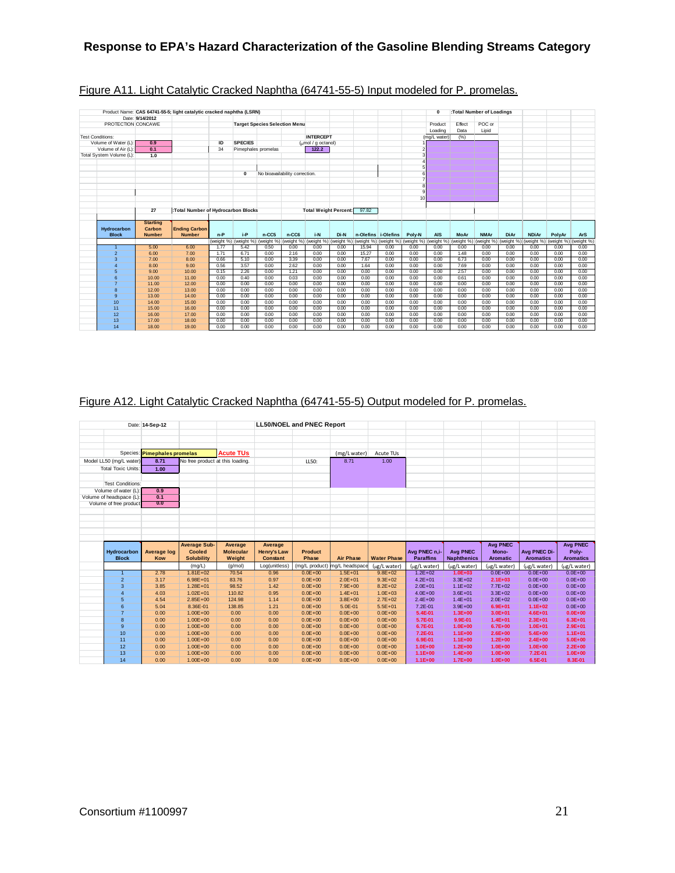|                          | Date: 9/14/2012 | Product Name: CAS 64741-55-5; light catalytic cracked naphtha (LSRN) |              |                       |                                      |                                |                                        |              |              |                       |                 | $\Omega$              |              | :Total Number of Loadings |              |              |              |              |
|--------------------------|-----------------|----------------------------------------------------------------------|--------------|-----------------------|--------------------------------------|--------------------------------|----------------------------------------|--------------|--------------|-----------------------|-----------------|-----------------------|--------------|---------------------------|--------------|--------------|--------------|--------------|
| PROTECTION CONCAWE       |                 |                                                                      |              |                       | <b>Target Species Selection Menu</b> |                                |                                        |              |              |                       |                 | Product               | Effect       | POC or                    |              |              |              |              |
|                          |                 |                                                                      |              |                       |                                      |                                |                                        |              |              |                       |                 | Loading               | Data         | Lipid                     |              |              |              |              |
| <b>Test Conditions:</b>  |                 |                                                                      |              |                       |                                      |                                | <b>INTERCEPT</b>                       |              |              |                       |                 | (mg/L water)          | (% )         |                           |              |              |              |              |
| Volume of Water (L)      | 0.9             |                                                                      | ID           | <b>SPECIES</b>        |                                      |                                | $\frac{1}{2}$ ( $\frac{1}{2}$ octanol) |              |              |                       |                 |                       |              |                           |              |              |              |              |
| Volume of Air (L):       | 0.1             |                                                                      | 34           | Pimephales promelas   |                                      |                                | 122.2                                  |              |              |                       |                 |                       |              |                           |              |              |              |              |
| Total System Volume (L): | 1.0             |                                                                      |              |                       |                                      |                                |                                        |              |              |                       |                 |                       |              |                           |              |              |              |              |
|                          |                 |                                                                      |              |                       |                                      |                                |                                        |              |              |                       |                 |                       |              |                           |              |              |              |              |
|                          |                 |                                                                      |              |                       |                                      |                                |                                        |              |              |                       |                 |                       |              |                           |              |              |              |              |
|                          |                 |                                                                      |              | $\mathbf 0$           |                                      | No bioavailability correction. |                                        |              |              |                       |                 |                       |              |                           |              |              |              |              |
|                          |                 |                                                                      |              |                       |                                      |                                |                                        |              |              |                       |                 |                       |              |                           |              |              |              |              |
|                          |                 |                                                                      |              |                       |                                      |                                |                                        |              |              |                       |                 |                       |              |                           |              |              |              |              |
|                          |                 |                                                                      |              |                       |                                      |                                |                                        |              |              |                       |                 |                       |              |                           |              |              |              |              |
|                          |                 |                                                                      |              |                       |                                      |                                |                                        |              |              |                       | 10 <sup>1</sup> |                       |              |                           |              |              |              |              |
|                          |                 |                                                                      |              |                       |                                      |                                |                                        |              |              |                       |                 |                       |              |                           |              |              |              |              |
|                          | 27              | :Total Number of Hydrocarbon Blocks                                  |              |                       |                                      |                                | <b>Total Weight Percent:</b>           |              | 97.82        |                       |                 |                       |              |                           |              |              |              |              |
|                          |                 |                                                                      |              |                       |                                      |                                |                                        |              |              |                       |                 |                       |              |                           |              |              |              |              |
|                          |                 |                                                                      |              |                       |                                      |                                |                                        |              |              |                       |                 |                       |              |                           |              |              |              |              |
|                          | <b>Starting</b> |                                                                      |              |                       |                                      |                                |                                        |              |              |                       |                 |                       |              |                           |              |              |              |              |
| Hydrocarbon              | Carbon          | <b>Ending Carbon</b>                                                 |              |                       |                                      |                                |                                        |              |              |                       |                 |                       |              |                           |              |              |              |              |
| <b>Block</b>             | <b>Number</b>   | <b>Number</b>                                                        | $n-P$        | i-P                   | $n-CC5$                              | n-CC6                          | i-N                                    | Di-N         |              | n-Olefins i-Olefins   | Poly-N          | <b>AIS</b>            | <b>MoAr</b>  | <b>NMAr</b>               | <b>DiAr</b>  | <b>NDiAr</b> | PolyAr       | <b>ArS</b>   |
|                          |                 |                                                                      |              | (weight %) (weight %) | (weight %)                           |                                | (weight %) (weight %) (weight %)       |              |              | (weight %) (weight %) |                 | (weight %) (weight %) | (weight %)   | (weight %)                | (weight %)   | (weight %)   | (weight %)   | (weight %)   |
| $\overline{1}$           | 5.00            | 6.00                                                                 | 1.77         | 5.42                  | 0.50                                 | 0.00                           | 0.00                                   | 0.00         | 15.94        | 0.00                  | 0.00            | 0.00                  | 0.00         | 0.00                      | 0.00         | 0.00         | 0.00         | 0.00         |
| $\overline{2}$           | 6.00            | 7.00                                                                 | 1.71         | 6.71                  | 0.00                                 | 2.16                           | 0.00                                   | 0.00         | 15.27        | 0.00                  | 0.00            | 0.00                  | 1.48         | 0.00                      | 0.00         | 0.00         | 0.00         | 0.00         |
| 3                        | 7.00            | 8.00                                                                 | 0.66         | 5.10                  | 0.00                                 | 3.39                           | 0.00                                   | 0.00         | 7.67         | 0.00                  | 0.00            | 0.00                  | 6.73         | 0.00                      | 0.00         | 0.00         | 0.00         | 0.00         |
| $\overline{4}$           | 8.00            | 9.00                                                                 | 0.56         | 3.57                  | 0.00                                 | 2.62                           | 0.00                                   | 0.00         | 1.64         | 0.00                  | 0.00            | 0.00                  | 7.69         | 0.00                      | 0.00         | 0.00         | 0.00         | 0.00         |
| 5                        | 9.00            | 10.00                                                                | 0.15         | 2.26                  | 0.00                                 | 1.21                           | 0.00                                   | 0.00         | 0.00         | 0.00                  | 0.00            | 0.00                  | 2.57         | 0.00                      | 0.00         | 0.00         | 0.00         | 0.00         |
| 6                        | 10.00           | 11.00                                                                | 0.00         | 0.40                  | 0.00                                 | 0.03                           | 0.00                                   | 0.00         | 0.00         | 0.00                  | 0.00            | 0.00                  | 0.61         | 0.00                      | 0.00         | 0.00         | 0.00         | 0.00         |
| $\overline{7}$           | 11.00           | 12.00                                                                | 0.00         | 0.00                  | 0.00                                 | 0.00                           | 0.00                                   | 0.00         | 0.00         | 0.00                  | 0.00            | 0.00                  | 0.00         | 0.00                      | 0.00         | 0.00         | 0.00         | 0.00         |
| 8                        | 12.00           | 13.00                                                                | 0.00         | 0.00                  | 0.00                                 | 0.00                           | 0.00                                   | 0.00         | 0.00         | 0.00                  | 0.00            | 0.00                  | 0.00         | 0.00                      | 0.00         | 0.00         | 0.00         | 0.00         |
| 9                        | 13.00           | 14.00                                                                | 0.00         | 0.00                  | 0.00                                 | 0.00                           | 0.00                                   | 0.00         | 0.00         | 0.00                  | 0.00            | 0.00                  | 0.00         | 0.00                      | 0.00         | 0.00         | 0.00         | 0.00         |
| 10                       | 14.00           | 15.00                                                                | 0.00         | 0.00                  | 0.00                                 | 0.00                           | 0.00                                   | 0.00         | 0.00         | 0.00                  | 0.00            | 0.00                  | 0.00         | 0.00                      | 0.00         | 0.00         | 0.00         | 0.00         |
| 11                       | 15.00           | 16.00                                                                | 0.00         | 0.00                  | 0.00                                 | 0.00                           | 0.00                                   | 0.00         | 0.00         | 0.00                  | 0.00            | 0.00                  | 0.00         | 0.00                      | 0.00         | 0.00         | 0.00         | 0.00         |
| 12                       | 16.00           | 17.00                                                                | 0.00         | 0.00                  | 0.00                                 | 0.00                           | 0.00                                   | 0.00         | 0.00         | 0.00                  | 0.00            | 0.00                  | 0.00         | 0.00                      | 0.00         | 0.00         | 0.00         | 0.00         |
| 13<br>14                 | 17.00<br>18.00  | 18.00<br>19.00                                                       | 0.00<br>0.00 | 0.00<br>0.00          | 0.00<br>0.00                         | 0.00<br>0.00                   | 0.00<br>0.00                           | 0.00<br>0.00 | 0.00<br>0.00 | 0.00<br>0.00          | 0.00<br>0.00    | 0.00<br>0.00          | 0.00<br>0.00 | 0.00<br>0.00              | 0.00<br>0.00 | 0.00<br>0.00 | 0.00<br>0.00 | 0.00<br>0.00 |

## Figure A11. Light Catalytic Cracked Naphtha (64741-55-5) Input modeled for P. promelas.

## Figure A12. Light Catalytic Cracked Naphtha (64741-55-5) Output modeled for P. promelas.

|                           | Date: 14-Sep-12              |                                  |                  |                    | <b>LL50/NOEL and PNEC Report</b> |                               |                             |                           |                             |                             |                             |                             |
|---------------------------|------------------------------|----------------------------------|------------------|--------------------|----------------------------------|-------------------------------|-----------------------------|---------------------------|-----------------------------|-----------------------------|-----------------------------|-----------------------------|
|                           |                              |                                  |                  |                    |                                  |                               |                             |                           |                             |                             |                             |                             |
|                           |                              |                                  |                  |                    |                                  |                               |                             |                           |                             |                             |                             |                             |
|                           |                              |                                  |                  |                    |                                  |                               |                             |                           |                             |                             |                             |                             |
|                           | Species: Pimephales promelas |                                  | <b>Acute TUs</b> |                    |                                  | (mg/L water)                  | Acute TUs                   |                           |                             |                             |                             |                             |
| Model LL50 (mg/L water)   | 8.71                         | No free product at this loading. |                  |                    | LL50:                            | 8.71                          | 1.00                        |                           |                             |                             |                             |                             |
| <b>Total Toxic Units:</b> | 1.00                         |                                  |                  |                    |                                  |                               |                             |                           |                             |                             |                             |                             |
|                           |                              |                                  |                  |                    |                                  |                               |                             |                           |                             |                             |                             |                             |
| <b>Test Conditions:</b>   |                              |                                  |                  |                    |                                  |                               |                             |                           |                             |                             |                             |                             |
| Volume of water (L):      | 0.9                          |                                  |                  |                    |                                  |                               |                             |                           |                             |                             |                             |                             |
| Volume of headspace (L):  | 0.1                          |                                  |                  |                    |                                  |                               |                             |                           |                             |                             |                             |                             |
| Volume of free product    | 0.0                          |                                  |                  |                    |                                  |                               |                             |                           |                             |                             |                             |                             |
|                           |                              |                                  |                  |                    |                                  |                               |                             |                           |                             |                             |                             |                             |
|                           |                              |                                  |                  |                    |                                  |                               |                             |                           |                             |                             |                             |                             |
|                           |                              |                                  |                  |                    |                                  |                               |                             |                           |                             |                             |                             |                             |
|                           |                              |                                  |                  |                    |                                  |                               |                             |                           |                             |                             |                             |                             |
|                           |                              |                                  |                  |                    |                                  |                               |                             |                           |                             |                             |                             |                             |
|                           |                              |                                  |                  |                    |                                  |                               |                             |                           |                             |                             |                             |                             |
|                           |                              | <b>Average Sub-</b>              | Average          | Average            |                                  |                               |                             |                           |                             | <b>Avg PNEC</b>             |                             | <b>Avg PNEC</b>             |
| Hydrocarbon               | <b>Average log</b>           | Cooled                           | <b>Molecular</b> | <b>Henry's Law</b> | <b>Product</b>                   |                               |                             | Avg PNEC n.i-             | <b>Avg PNEC</b>             | Mono-                       | Avg PNEC Di-                | Poly-                       |
| <b>Block</b>              | Kow                          | <b>Solubility</b>                | Weight           | <b>Constant</b>    | Phase                            | <b>Air Phase</b>              | <b>Water Phase</b>          | <b>Paraffins</b>          | <b>Naphthenics</b>          | <b>Aromatic</b>             | <b>Aromatics</b>            | <b>Aromatics</b>            |
|                           |                              | (mg/L)                           | (q/mol)          | Log(unitless)      |                                  | (mg/L product) mg/L headspace |                             |                           |                             |                             |                             |                             |
| $\blacktriangleleft$      | 2.78                         | $1.81E + 02$                     | 70.54            | 0.96               | $0.0E + 00$                      | $1.5E + 01$                   | (µg/L water)<br>$9.8E + 02$ | ug/L water<br>$1.2E + 02$ | (ug/L water)<br>$1.0E + 03$ | (ug/L water)<br>$0.0E + 00$ | (µg/L water)<br>$0.0E + 00$ | (µg/L water)<br>$0.0E + 00$ |
| $\overline{2}$            | 3.17                         | $6.98E + 01$                     | 83.76            | 0.97               | $0.0E + 00$                      | $2.0E + 01$                   | $9.3E + 02$                 | $4.2E + 01$               | $3.3E + 02$                 | $2.1E + 03$                 | $0.0E + 00$                 | $0.0E + 00$                 |
| 3                         | 3.85                         | $1.28E + 01$                     | 98.52            | 1.42               | $0.0E + 00$                      | $7.9E + 00$                   | $8.2E + 02$                 | $2.0E + 01$               | $1.1E + 02$                 | $7.7E + 02$                 | $0.0E + 00$                 | $0.0E + 00$                 |
| $\overline{4}$            | 4.03                         | $1.02E + 01$                     | 110.82           | 0.95               | $0.0E + 00$                      | $1.4E + 01$                   | $1.0E + 03$                 | $4.0E + 00$               | $3.6E + 01$                 | $3.3E + 02$                 | $0.0E + 00$                 | $0.0E + 00$                 |
| 5                         | 4.54                         | $2.85E+00$                       | 124.98           | 1.14               | $0.0E + 00$                      | $3.8E + 00$                   | $2.7E + 02$                 | $2.4E + 00$               | $1.4E + 01$                 | $2.0E + 02$                 | $0.0E + 00$                 | $0.0E + 00$                 |
| 6                         | 5.04                         | 8.36E-01                         | 138.85           | 1.21               | $0.0E + 00$                      | $5.0E - 01$                   | $5.5E + 01$                 | $7.2E - 01$               | $3.9E + 00$                 | $6.9E + 01$                 | $1.1E + 02$                 | $0.0E + 00$                 |
| $\overline{7}$            | 0.00                         | $1.00E + 00$                     | 0.00             | 0.00               | $0.0E + 00$                      | $0.0E + 00$                   | $0.0E + 00$                 | 5.4E-01                   | $1.3E + 00$                 | $3.0E + 01$                 | $4.6E + 01$                 | $0.0E + 00$                 |
| 8                         | 0.00                         | $1.00E + 00$                     | 0.00             | 0.00               | $0.0E + 00$                      | $0.0E + 00$                   | $0.0E + 00$                 | 5.7E-01                   | 9.9E-01                     | $1.4E + 01$                 | $2.3E + 01$                 | $6.3E + 01$                 |
| 9                         | 0.00                         | $1.00E + 00$                     | 0.00             | 0.00               | $0.0E + 00$                      | $0.0E + 00$                   | $0.0E + 00$                 | 6.7E-01                   | $1.0E + 00$                 | $6.7E + 00$                 | $1.0E + 01$                 | $2.9E + 01$                 |
| 10                        | 0.00                         | $1.00E + 00$                     | 0.00             | 0.00               | $0.0E + 00$                      | $0.0E + 00$                   | $0.0E + 00$                 | 7.2E-01                   | $1.1E + 00$                 | $2.6E + 00$                 | $5.4E + 00$                 | $1.1E + 01$                 |
| 11                        | 0.00                         | $1.00E + 00$                     | 0.00             | 0.00               | $0.0E + 00$                      | $0.0E + 00$                   | $0.0E + 00$                 | 6.9E-01                   | $1.1E+00$                   | $1.2E + 00$                 | $2.4E + 00$                 | $5.0E + 00$                 |
| 12                        | 0.00                         | $1.00E + 00$                     | 0.00             | 0.00               | $0.0E + 00$                      | $0.0E + 00$                   | $0.0E + 00$                 | $1.0E + 00$               | $1.2E + 00$                 | $1.0E + 00$                 | $1.0E + 00$                 | $2.2E + 00$                 |
| 13<br>14                  | 0.00<br>0.00                 | $1.00E + 00$<br>$1.00E + 00$     | 0.00<br>0.00     | 0.00<br>0.00       | $0.0E + 00$<br>$0.0E + 00$       | $0.0E + 00$<br>$0.0E + 00$    | $0.0E + 00$<br>$0.0E + 00$  | $1.1E+00$<br>$1.1E+00$    | $1.4E + 00$<br>$1.7E+00$    | $1.0E + 00$<br>$1.0E + 00$  | 7.2E-01<br>6.5E-01          | $1.0E + 00$<br>8.3E-01      |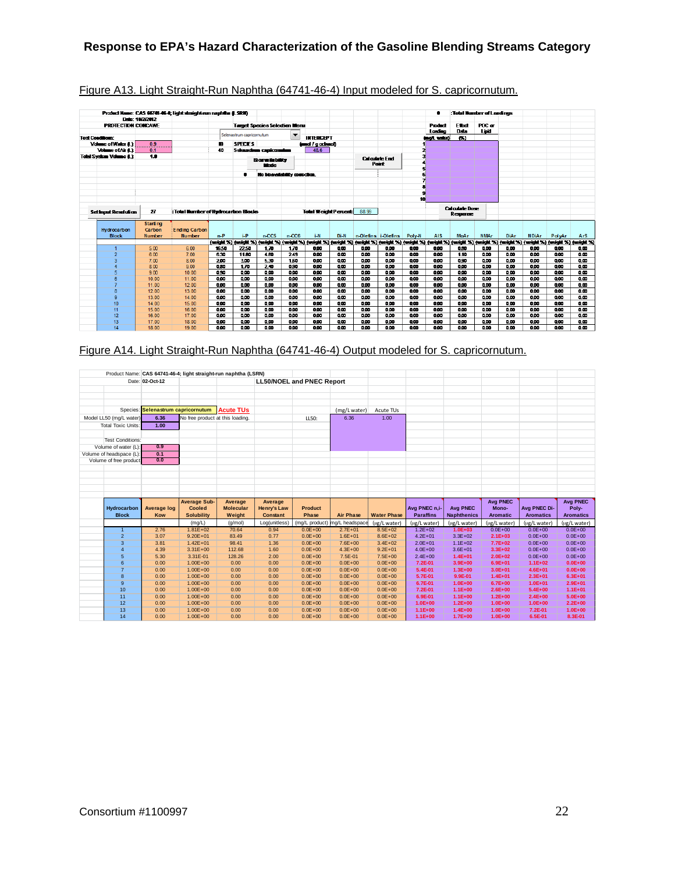|                         |                                |                 | Product Name: CAS 64741-46-4; light straight-run naphtha (LSRII) |       |                           |                                                                                                                                                                                 |                          |                             |            |       |                      |        |             |                       | :Total Number of Londings |             |              |        |                         |
|-------------------------|--------------------------------|-----------------|------------------------------------------------------------------|-------|---------------------------|---------------------------------------------------------------------------------------------------------------------------------------------------------------------------------|--------------------------|-----------------------------|------------|-------|----------------------|--------|-------------|-----------------------|---------------------------|-------------|--------------|--------|-------------------------|
|                         |                                | Date: 10/2/2012 |                                                                  |       |                           |                                                                                                                                                                                 |                          |                             |            |       |                      |        |             |                       |                           |             |              |        |                         |
|                         | <b>PROTECTION CONCAWE</b>      |                 |                                                                  |       |                           | <b>Target Species Selection Menu</b>                                                                                                                                            |                          |                             |            |       |                      |        | Product     | Ethat                 | POC or                    |             |              |        |                         |
|                         |                                |                 |                                                                  |       | Selenastrum capricornutum |                                                                                                                                                                                 | $\overline{\phantom{a}}$ |                             |            |       |                      |        | Loading     | Data                  | Lipid                     |             |              |        |                         |
| <b>Test Conditions:</b> |                                |                 |                                                                  |       |                           |                                                                                                                                                                                 |                          | <b>INTERCEPT</b>            |            |       |                      |        | inol, wieni | CO.                   |                           |             |              |        |                         |
|                         | Volume of Water (L):           | 0.9             |                                                                  | m     | <b>SPECIES</b>            |                                                                                                                                                                                 |                          | (und / godneol)             |            |       |                      |        |             |                       |                           |             |              |        |                         |
|                         | Volume of Air 0.1              | 0.1             |                                                                  | 40    |                           | Seenastrum capticorumum                                                                                                                                                         |                          | 48.6                        |            |       |                      |        |             |                       |                           |             |              |        |                         |
|                         | <b>Total System Volume 6.1</b> | 1.8             |                                                                  |       |                           | <b>Bioresis bility</b>                                                                                                                                                          |                          |                             |            |       | <b>Calculate End</b> |        |             |                       |                           |             |              |        |                         |
|                         |                                |                 |                                                                  |       |                           | Mode                                                                                                                                                                            |                          |                             |            |       | <b>Point</b>         |        |             |                       |                           |             |              |        |                         |
|                         |                                |                 |                                                                  |       |                           |                                                                                                                                                                                 |                          |                             |            |       |                      |        |             |                       |                           |             |              |        |                         |
|                         |                                |                 |                                                                  |       | п                         | No bioavailability correction.                                                                                                                                                  |                          |                             |            |       |                      |        |             |                       |                           |             |              |        |                         |
|                         |                                |                 |                                                                  |       |                           |                                                                                                                                                                                 |                          |                             |            |       |                      |        |             |                       |                           |             |              |        |                         |
|                         |                                |                 |                                                                  |       |                           |                                                                                                                                                                                 |                          |                             |            |       |                      |        |             |                       |                           |             |              |        |                         |
|                         |                                |                 |                                                                  |       |                           |                                                                                                                                                                                 |                          |                             |            |       |                      |        |             |                       |                           |             |              |        |                         |
|                         |                                |                 |                                                                  |       |                           |                                                                                                                                                                                 |                          |                             |            |       |                      | 10     |             |                       |                           |             |              |        |                         |
|                         |                                |                 |                                                                  |       |                           |                                                                                                                                                                                 |                          |                             |            |       |                      |        |             | <b>Calculate Bose</b> |                           |             |              |        |                         |
|                         | <b>Setingut Resolution</b>     | 27              | : Total Number of Hydrocarbon Blocks                             |       |                           |                                                                                                                                                                                 |                          | <b>Total Weight Percent</b> |            | 88.99 |                      |        |             | Resource              |                           |             |              |        |                         |
|                         |                                | <b>Starting</b> |                                                                  |       |                           |                                                                                                                                                                                 |                          |                             |            |       |                      |        |             |                       |                           |             |              |        |                         |
|                         | Hydrocarbon                    | Carbon          | <b>Ending Carbon</b>                                             |       |                           |                                                                                                                                                                                 |                          |                             |            |       |                      |        |             |                       |                           |             |              |        |                         |
|                         | <b>Block</b>                   | <b>Number</b>   | <b>Number</b>                                                    | $n-P$ | i-P                       | $n-CC5$                                                                                                                                                                         | $n-CC6$                  | i-N                         | Di-N       |       | n-Olefins i-Olefins  | Poly-N | <b>AIS</b>  | <b>MoAr</b>           | <b>NMAr</b>               | <b>DiAr</b> | <b>NDiAr</b> | PolyAr | ArS                     |
|                         |                                |                 |                                                                  |       |                           | (weight %) (weight %) (weight %) (weight %) (weight %) (weight %) (weight %) (weight %) (weight %) (weight %) (weight %) (weight %) (weight %) (weight %) (weight %) (weight %) |                          |                             |            |       |                      |        |             |                       |                           |             |              |        |                         |
|                         |                                | 5.00            | 6.00                                                             | 16.50 | 22.50                     | 1.70                                                                                                                                                                            | 1.70                     | 0.00                        | 000        | 0.00  | 0.00                 | 9.00   | 0.00        | 0.80                  | 900                       | 0.00        | 0.00         | 000    | 0.00                    |
|                         | $\overline{2}$                 | 6.00            | 7.00                                                             | 6.30  | 11.80                     | 4.80                                                                                                                                                                            | 2.49                     | 0.00                        | <b>QCO</b> | 0.00  | 0.00                 | 0.00   | 0.00        | 1.10                  | 900                       | 0.00        | 0.00         | 000    | 0.00                    |
|                         | 3                              | 7.00            | 8.00                                                             | 2.00  | 300                       | 5.30                                                                                                                                                                            | 1.50                     | 0.00                        | <b>QCO</b> | 0.00  | 000                  | 0.00   | 0.00        | 0.90                  | 0.00                      | 0.00        | 0.00         | 000    | 0.00                    |
|                         | $\boldsymbol{4}$               | 8.00            | 9.00                                                             | 0.50  | 170                       | 240                                                                                                                                                                             | 0.90                     | 0.00                        | 000        | 0.00  | 800                  | 000    | 000         | 0.00                  | 000                       | 0.00        | 000          | 000    | $\overline{\mathbf{a}}$ |
|                         | 5                              | 900             | 10.00                                                            | 838   | 000                       | 800                                                                                                                                                                             | 800                      | 800                         | 800        | 800   | 800                  | 000    | 808         | 0.00                  | 800                       | 888         | 800          | 800    | 000                     |
|                         | 6                              | 10.00           | 11.00                                                            | 800   | 808                       | 800                                                                                                                                                                             | 800                      | 800                         | 000        | 800   | 800                  | 888    | 808         | 800                   | 800                       | 888         | 800          | 800    | 000                     |
|                         |                                | 11.00           | 12.00                                                            | 800   | 000                       | 000                                                                                                                                                                             | 800                      | 888                         | 000        | 800   | 800                  | 800    | 808         | 800                   | 800                       | 88          | 800          | 800    | 000                     |
|                         | 8                              | 12.00           | 13.00                                                            | 800   | 000                       | 0.00                                                                                                                                                                            | 800                      | 800                         | 000        | 800   | 800                  | 000    | 800         | 0.00                  | 800                       | 000         | 000          | 000    | 000                     |
|                         | 9                              | 13.00           | 14.00                                                            | 0.00  | 000                       | 0.00                                                                                                                                                                            | 800                      | 800                         | 000        | 800   | 800                  | 000    | 000         | 0.00                  | 800                       | 000         | 0.00         | 000    | 000                     |
|                         | 10 <sub>10</sub>               | 14.00           | 15.00                                                            | 800   | 800                       | 000                                                                                                                                                                             | 800                      | 800                         | 000        | 800   | 800                  | 000    | 000         | 000                   | 800                       | 000         | 000          | 000    | 000                     |
|                         | 11                             | 15.00           | 16.00                                                            | 0.00  | 800                       | 000                                                                                                                                                                             | 000                      | 0.00                        | 000        | 000   | 000                  | 000    | 000         | 000                   | 900                       | 0.00        | 000          | 000    | 0.00                    |
|                         | 12                             | 16.00           | 17.00                                                            | 000   | 000                       | 000                                                                                                                                                                             | 000                      | 000                         | 000        | 000   | 000                  | 000    | 000         | 000                   | 000                       | 0.00        | 000          | 000    | 000                     |
|                         | 13                             | 17.00           | 18.00                                                            | 0.00  | 9.00                      | 0.00                                                                                                                                                                            | 000                      | 0.00                        | 000        | 0.00  | 0.00                 | 000    | 0.00        | 0.00                  | 000                       | 0.00        | 0.00         | 000    | 0.00                    |
|                         | 14                             | 18.00           | 19.00                                                            | 0.00  | 9.00                      | 0.00                                                                                                                                                                            | 000                      | 0.00                        | 0.00       | 0.00  | 0.00                 | 000    | 0.00        | 0.00                  | 9.00                      | 0.00        | 0.00         | 000    | 0.00                    |

## Figure A13. Light Straight-Run Naphtha (64741-46-4) Input modeled for S. capricornutum.

## Figure A14. Light Straight-Run Naphtha (64741-46-4) Output modeled for S. capricornutum.

|                             |                                    |                                    | Product Name: CAS 64741-46-4; light straight-run naphtha (LSRN) |                                       |                                  |                               |                             |                                   |                                       |                             |                                  |                             |
|-----------------------------|------------------------------------|------------------------------------|-----------------------------------------------------------------|---------------------------------------|----------------------------------|-------------------------------|-----------------------------|-----------------------------------|---------------------------------------|-----------------------------|----------------------------------|-----------------------------|
|                             | Date: 02-Oct-12                    |                                    |                                                                 |                                       | <b>LL50/NOEL and PNEC Report</b> |                               |                             |                                   |                                       |                             |                                  |                             |
|                             |                                    |                                    |                                                                 |                                       |                                  |                               |                             |                                   |                                       |                             |                                  |                             |
|                             |                                    |                                    |                                                                 |                                       |                                  |                               |                             |                                   |                                       |                             |                                  |                             |
|                             |                                    |                                    |                                                                 |                                       |                                  |                               |                             |                                   |                                       |                             |                                  |                             |
|                             | Species: Selenastrum capricornutum |                                    | <b>Acute TUs</b>                                                |                                       |                                  | (mg/L water)                  | Acute TUs                   |                                   |                                       |                             |                                  |                             |
| Model LL50 (mg/L water)     | 6.36                               | No free product at this loading.   |                                                                 |                                       | LL50:                            | 6.36                          | 1.00                        |                                   |                                       |                             |                                  |                             |
| <b>Total Toxic Units:</b>   | 1.00                               |                                    |                                                                 |                                       |                                  |                               |                             |                                   |                                       |                             |                                  |                             |
|                             |                                    |                                    |                                                                 |                                       |                                  |                               |                             |                                   |                                       |                             |                                  |                             |
| <b>Test Conditions:</b>     |                                    |                                    |                                                                 |                                       |                                  |                               |                             |                                   |                                       |                             |                                  |                             |
| Volume of water (L):        | 0.9                                |                                    |                                                                 |                                       |                                  |                               |                             |                                   |                                       |                             |                                  |                             |
| Volume of headspace (L):    | 0.1                                |                                    |                                                                 |                                       |                                  |                               |                             |                                   |                                       |                             |                                  |                             |
| Volume of free product      | 0.0                                |                                    |                                                                 |                                       |                                  |                               |                             |                                   |                                       |                             |                                  |                             |
|                             |                                    |                                    |                                                                 |                                       |                                  |                               |                             |                                   |                                       |                             |                                  |                             |
|                             |                                    |                                    |                                                                 |                                       |                                  |                               |                             |                                   |                                       |                             |                                  |                             |
|                             |                                    |                                    |                                                                 |                                       |                                  |                               |                             |                                   |                                       |                             |                                  |                             |
|                             |                                    |                                    |                                                                 |                                       |                                  |                               |                             |                                   |                                       |                             |                                  |                             |
|                             |                                    |                                    |                                                                 |                                       |                                  |                               |                             |                                   |                                       |                             |                                  |                             |
|                             |                                    |                                    |                                                                 |                                       |                                  |                               |                             |                                   |                                       |                             |                                  |                             |
|                             |                                    |                                    |                                                                 |                                       |                                  |                               |                             |                                   |                                       |                             |                                  |                             |
|                             |                                    | <b>Average Sub-</b>                | Average                                                         | Average                               |                                  |                               |                             |                                   |                                       | <b>Avg PNEC</b>             |                                  | <b>Avg PNEC</b>             |
| Hydrocarbon<br><b>Block</b> | <b>Average log</b><br>Kow          | <b>Cooled</b><br><b>Solubility</b> | <b>Molecular</b><br>Weight                                      | <b>Henry's Law</b><br><b>Constant</b> | <b>Product</b><br>Phase          | <b>Air Phase</b>              | <b>Water Phase</b>          | Avg PNEC n.i-<br><b>Paraffins</b> | <b>Avg PNEC</b><br><b>Naphthenics</b> | Mono-<br><b>Aromatic</b>    | Avg PNEC Di-<br><b>Aromatics</b> | Poly-<br><b>Aromatics</b>   |
|                             |                                    |                                    | (q/mol)                                                         |                                       | (mg/L product)                   |                               |                             |                                   |                                       |                             |                                  |                             |
| $\mathbf{1}$                | 2.76                               | (mg/L)<br>$1.81E + 02$             |                                                                 | Log(unitless)<br>0.94                 | $0.0E + 00$                      | mg/L headspace<br>$2.7E + 01$ | (µg/L water)<br>$8.5E + 02$ | (µg/L water)<br>$1.2E + 02$       | (µg/L water)<br>$1.0E + 03$           | (ug/L water)<br>$0.0E + 00$ | (ug/L water)<br>$0.0E + 00$      | (µg/L water)<br>$0.0E + 00$ |
| $\overline{2}$              | 3.07                               | $9.20E + 01$                       | 70.64<br>83.49                                                  | 0.77                                  | $0.0E + 00$                      | $1.6E + 01$                   | $8.6E + 02$                 | $4.2E + 01$                       | $3.3E + 02$                           | $2.1E + 03$                 | $0.0E + 00$                      | $0.0E + 00$                 |
| 3                           | 3.81                               | $1.42E + 01$                       | 98.41                                                           | 1.36                                  | $0.0E + 00$                      | $7.6E + 00$                   | $3.4E + 02$                 | $2.0E + 01$                       | $1.1E + 02$                           | $7.7E+02$                   | $0.0E + 00$                      | $0.0E + 00$                 |
| 4                           | 4.39                               | $3.31E + 00$                       | 112.68                                                          | 1.60                                  | $0.0E + 00$                      | $4.3E + 00$                   | $9.2E + 01$                 | $4.0E + 00$                       | $3.6E + 01$                           | $3.3E + 02$                 | $0.0E + 00$                      | $0.0E + 00$                 |
| 5                           | 5.30                               | 3.31E-01                           | 128.26                                                          | 2.00                                  | $0.0E + 00$                      | 7.5E-01                       | $7.5E + 00$                 | $2.4E + 00$                       | $1.4E + 01$                           | $2.0E + 02$                 | $0.0E + 00$                      | $0.0E + 00$                 |
| 6                           | 0.00                               | $1.00E + 00$                       | 0.00                                                            | 0.00                                  | $0.0E + 00$                      | $0.0E + 00$                   | $0.0E + 00$                 | $7.2E-01$                         | $3.9E + 00$                           | $6.9E + 01$                 | $1.1E + 02$                      | $0.0E + 00$                 |
| $\overline{7}$              | 0.00                               | $1.00E + 00$                       | 0.00                                                            | 0.00                                  | $0.0E + 00$                      | $0.0E + 00$                   | $0.0E + 00$                 | 5.4E-01                           | $1.3E + 00$                           | $3.0E + 01$                 | $4.6E + 01$                      | $0.0E + 00$                 |
| 8                           | 0.00                               | $1.00E + 00$                       | 0.00                                                            | 0.00                                  | $0.0E + 00$                      | $0.0E + 00$                   | $0.0E + 00$                 | 5.7E-01                           | 9.9E-01                               | $1.4E + 01$                 | $2.3E + 01$                      | $6.3E + 01$                 |
| $\overline{9}$              | 0.00                               | $1.00E + 00$                       | 0.00                                                            | 0.00                                  | $0.0E + 00$                      | $0.0E + 00$                   | $0.0E + 00$                 | 6.7E-01                           | $1.0E + 00$                           | $6.7E + 00$                 | $1.0E + 01$                      | $2.9E + 01$                 |
| 10                          | 0.00                               | $1.00E + 00$                       | 0.00                                                            | 0.00                                  | $0.0E + 00$                      | $0.0E + 00$                   | $0.0E + 00$                 | $7.2E-01$                         | $1.1E + 00$                           | $2.6E + 00$                 | $5.4E + 00$                      | $1.1E + 01$                 |
| 11                          | 0.00                               | $1.00E + 00$                       | 0.00                                                            | 0.00                                  | $0.0E + 00$                      | $0.0E + 00$                   | $0.0E + 00$                 | 6.9E-01                           | $1.1E+00$                             | $1.2E + 00$                 | $2.4E+00$                        | $5.0E + 00$                 |
| 12                          | 0.00                               | $1.00E + 00$                       | 0.00                                                            | 0.00                                  | $0.0E + 00$                      | $0.0E + 00$                   | $0.0E + 00$                 | $1.0E + 00$                       | $1.2E + 00$                           | $1.0E + 00$                 | $1.0E + 00$                      | $2.2E+00$                   |
| 13<br>14                    | 0.00<br>0.00                       | $1.00E + 00$<br>$1.00E + 00$       | 0.00<br>0.00                                                    | 0.00<br>0.00                          | $0.0E + 00$<br>$0.0E + 00$       | $0.0E + 00$<br>$0.0E + 00$    | $0.0E + 00$<br>$0.0E + 00$  | $1.1E+00$<br>$1.1E + 00$          | $1.4E + 00$<br>$1.7E + 00$            | $1.0E + 00$<br>$1.0E + 00$  | 7.2E-01<br>6.5E-01               | $1.0E + 00$<br>8.3E-01      |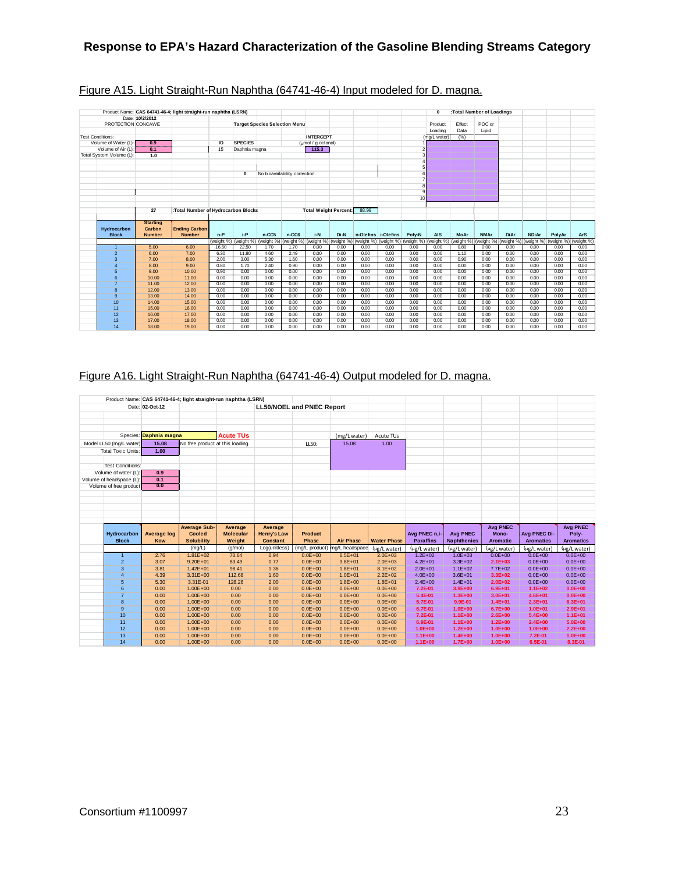|                          |                 | Product Name: CAS 64741-46-4; light straight-run naphtha (LSRN) |              |                       |                                      |                                |                                                |              |              |                     |                 | $\mathbf{0}$                                                                                                                                                                    |              | :Total Number of Loadings |              |              |              |              |
|--------------------------|-----------------|-----------------------------------------------------------------|--------------|-----------------------|--------------------------------------|--------------------------------|------------------------------------------------|--------------|--------------|---------------------|-----------------|---------------------------------------------------------------------------------------------------------------------------------------------------------------------------------|--------------|---------------------------|--------------|--------------|--------------|--------------|
|                          | Date: 10/2/2012 |                                                                 |              |                       |                                      |                                |                                                |              |              |                     |                 |                                                                                                                                                                                 |              |                           |              |              |              |              |
| PROTECTION CONCAWE       |                 |                                                                 |              |                       | <b>Target Species Selection Menu</b> |                                |                                                |              |              |                     |                 | Product                                                                                                                                                                         | Effect       | POC or                    |              |              |              |              |
|                          |                 |                                                                 |              |                       |                                      |                                |                                                |              |              |                     |                 | Loading                                                                                                                                                                         | Data         | Lipid                     |              |              |              |              |
| <b>Test Conditions:</b>  |                 |                                                                 |              |                       |                                      |                                | <b>INTERCEPT</b>                               |              |              |                     |                 | (mg/L water)                                                                                                                                                                    | (%)          |                           |              |              |              |              |
| Volume of Water (L):     | 0.9             |                                                                 | ID           | <b>SPECIES</b>        |                                      |                                | $\frac{1}{2}$ ( $\frac{1}{2}$ mol / g octanol) |              |              |                     |                 |                                                                                                                                                                                 |              |                           |              |              |              |              |
| Volume of Air (L):       | 0.1             |                                                                 | 15           | Daphnia magna         |                                      |                                | 115.3                                          |              |              |                     |                 |                                                                                                                                                                                 |              |                           |              |              |              |              |
| Total System Volume (L): | 1.0             |                                                                 |              |                       |                                      |                                |                                                |              |              |                     |                 |                                                                                                                                                                                 |              |                           |              |              |              |              |
|                          |                 |                                                                 |              |                       |                                      |                                |                                                |              |              |                     |                 |                                                                                                                                                                                 |              |                           |              |              |              |              |
|                          |                 |                                                                 |              |                       |                                      |                                |                                                |              |              |                     |                 |                                                                                                                                                                                 |              |                           |              |              |              |              |
|                          |                 |                                                                 |              | $\Omega$              |                                      | No bioavailability correction. |                                                |              |              |                     |                 |                                                                                                                                                                                 |              |                           |              |              |              |              |
|                          |                 |                                                                 |              |                       |                                      |                                |                                                |              |              |                     |                 |                                                                                                                                                                                 |              |                           |              |              |              |              |
|                          |                 |                                                                 |              |                       |                                      |                                |                                                |              |              |                     |                 |                                                                                                                                                                                 |              |                           |              |              |              |              |
|                          |                 |                                                                 |              |                       |                                      |                                |                                                |              |              |                     |                 |                                                                                                                                                                                 |              |                           |              |              |              |              |
|                          |                 |                                                                 |              |                       |                                      |                                |                                                |              |              |                     | 10 <sup>1</sup> |                                                                                                                                                                                 |              |                           |              |              |              |              |
|                          |                 |                                                                 |              |                       |                                      |                                |                                                |              |              |                     |                 |                                                                                                                                                                                 |              |                           |              |              |              |              |
|                          | 27              | :Total Number of Hydrocarbon Blocks                             |              |                       |                                      |                                | <b>Total Weight Percent:</b>                   |              | 88.99        |                     |                 |                                                                                                                                                                                 |              |                           |              |              |              |              |
|                          |                 |                                                                 |              |                       |                                      |                                |                                                |              |              |                     |                 |                                                                                                                                                                                 |              |                           |              |              |              |              |
|                          | <b>Starting</b> |                                                                 |              |                       |                                      |                                |                                                |              |              |                     |                 |                                                                                                                                                                                 |              |                           |              |              |              |              |
| Hydrocarbon              | Carbon          | <b>Ending Carbon</b>                                            |              |                       |                                      |                                |                                                |              |              |                     |                 |                                                                                                                                                                                 |              |                           |              |              |              |              |
| <b>Block</b>             | <b>Number</b>   | <b>Number</b>                                                   | $n-P$        | $i-P$                 | $n-CC5$                              | $n-CC6$                        | i-N                                            | Di-N         |              | n-Olefins i-Olefins | Poly-N          | <b>AIS</b>                                                                                                                                                                      | MoAr         | <b>NMAr</b>               | <b>DiAr</b>  | <b>NDiAr</b> | PolvAr       | <b>ArS</b>   |
|                          |                 |                                                                 |              | (weight %) (weight %) |                                      |                                |                                                |              |              |                     |                 | (weight %) (weight %) (weight %) (weight %) (weight %) (weight %) (weight %) (weight %) (weight %) (weight %) (weight %) (weight %) (weight %) (weight %) (weight %) (weight %) |              |                           |              |              |              |              |
| $\overline{1}$           | 5.00            | 6.00                                                            | 16.50        | 22.50                 | 1.70                                 | 1.70                           | 0.00                                           | 0.00         | 0.00         | 0.00                | 0.00            | 0.00                                                                                                                                                                            | 0.80         | 0.00                      | 0.00         | 0.00         | 0.00         | 0.00         |
| $\overline{2}$           | 6.00            | 7.00                                                            | 6.30         | 11.80                 | 4.60                                 | 2.49                           | 0.00                                           | 0.00         | 0.00         | 0.00                | 0.00            | 0.00                                                                                                                                                                            | 1.10         | 0.00                      | 0.00         | 0.00         | 0.00         | 0.00         |
| 3                        | 7.00            | 8.00                                                            | 2.00         | 3.00                  | 5.30                                 | 1.60                           | 0.00                                           | 0.00         | 0.00         | 0.00                | 0.00            | 0.00                                                                                                                                                                            | 0.90         | 0.00                      | 0.00         | 0.00         | 0.00         | 0.00         |
| 4                        | 8.00            | 9.00                                                            | 0.80         | 1.70                  | 2.40                                 | 0.90                           | 0.00                                           | 0.00         | 0.00         | 0.00                | 0.00            | 0.00                                                                                                                                                                            | 0.00         | 0.00                      | 0.00         | 0.00         | 0.00         | 0.00         |
| 5                        | 9.00            | 10.00                                                           | 0.90         | 0.00                  | 0.00                                 | 0.00                           | 0.00                                           | 0.00         | 0.00         | 0.00                | 0.00            | 0.00                                                                                                                                                                            | 0.00         | 0.00                      | 0.00         | 0.00         | 0.00         | 0.00         |
| 6                        | 10.00           |                                                                 |              |                       |                                      |                                |                                                | 0.00         | 0.00         | 0.00                | 0.00            | 0.00                                                                                                                                                                            | 0.00         | 0.00                      | 0.00         | 0.00         | 0.00         | 0.00         |
|                          |                 | 11.00                                                           | 0.00         | 0.00                  | 0.00                                 | 0.00                           | 0.00                                           |              |              |                     |                 |                                                                                                                                                                                 |              |                           |              |              |              |              |
| $\overline{7}$           | 11.00           | 12.00                                                           | 0.00         | 0.00                  | 0.00                                 | 0.00                           | 0.00                                           | 0.00         | 0.00         | 0.00                | 0.00            | 0.00                                                                                                                                                                            | 0.00         | 0.00                      | 0.00         | 0.00         | 0.00         | 0.00         |
| 8                        | 12.00           | 13.00                                                           | 0.00         | 0.00                  | 0.00                                 | 0.00                           | 0.00                                           | 0.00         | 0.00         | 0.00                | 0.00            | 0.00                                                                                                                                                                            | 0.00         | 0.00                      | 0.00         | 0.00         | 0.00         | 0.00         |
| $\mathbf{Q}$             | 13.00           | 14.00                                                           | 0.00         | 0.00                  | 0.00                                 | 0.00                           | 0.00                                           | 0.00         | 0.00         | 0.00                | 0.00            | 0.00                                                                                                                                                                            | 0.00         | 0.00                      | 0.00         | 0.00         | 0.00         | 0.00         |
| 10                       | 14.00           | 15.00                                                           | 0.00         | 0.00                  | 0.00                                 | 0.00                           | 0.00                                           | 0.00         | 0.00         | 0.00                | 0.00            | 0.00                                                                                                                                                                            | 0.00         | 0.00                      | 0.00         | 0.00         | 0.00         | 0.00         |
| 11                       | 15.00           | 16.00                                                           | 0.00         | 0.00                  | 0.00                                 | 0.00                           | 0.00                                           | 0.00         | 0.00         | 0.00                | 0.00            | 0.00                                                                                                                                                                            | 0.00         | 0.00                      | 0.00         | 0.00         | 0.00         | 0.00         |
| 12                       | 16.00           | 17.00                                                           | 0.00         | 0.00                  | 0.00                                 | 0.00                           | 0.00                                           | 0.00         | 0.00         | 0.00                | 0.00            | 0.00                                                                                                                                                                            | 0.00         | 0.00                      | 0.00         | 0.00         | 0.00         | 0.00         |
| 13<br>14                 | 17.00<br>18.00  | 18.00<br>19.00                                                  | 0.00<br>0.00 | 0.00<br>0.00          | 0.00<br>0.00                         | 0.00<br>0.00                   | 0.00<br>0.00                                   | 0.00<br>0.00 | 0.00<br>0.00 | 0.00<br>0.00        | 0.00<br>0.00    | 0.00<br>0.00                                                                                                                                                                    | 0.00<br>0.00 | 0.00<br>0.00              | 0.00<br>0.00 | 0.00<br>0.00 | 0.00<br>0.00 | 0.00<br>0.00 |

## Figure A15. Light Straight-Run Naphtha (64741-46-4) Input modeled for D. magna.

# Figure A16. Light Straight-Run Naphtha (64741-46-4) Output modeled for D. magna.

|                           |                        |                                  | Product Name: CAS 64741-46-4; light straight-run naphtha (LSRN) |                    |                                  |                               |                            |                            |                            |                            |                        |                            |
|---------------------------|------------------------|----------------------------------|-----------------------------------------------------------------|--------------------|----------------------------------|-------------------------------|----------------------------|----------------------------|----------------------------|----------------------------|------------------------|----------------------------|
|                           | Date: 02-Oct-12        |                                  |                                                                 |                    | <b>LL50/NOEL and PNEC Report</b> |                               |                            |                            |                            |                            |                        |                            |
|                           |                        |                                  |                                                                 |                    |                                  |                               |                            |                            |                            |                            |                        |                            |
|                           |                        |                                  |                                                                 |                    |                                  |                               |                            |                            |                            |                            |                        |                            |
|                           |                        |                                  |                                                                 |                    |                                  |                               |                            |                            |                            |                            |                        |                            |
|                           | Species: Daphnia magna |                                  | <b>Acute TUs</b>                                                |                    |                                  | (mg/L water)                  | Acute TUs                  |                            |                            |                            |                        |                            |
| Model LL50 (mg/L water)   | 15.08                  | No free product at this loading. |                                                                 |                    | LL50:                            | 15.08                         | 1.00                       |                            |                            |                            |                        |                            |
| <b>Total Toxic Units:</b> | 1.00                   |                                  |                                                                 |                    |                                  |                               |                            |                            |                            |                            |                        |                            |
|                           |                        |                                  |                                                                 |                    |                                  |                               |                            |                            |                            |                            |                        |                            |
| <b>Test Conditions:</b>   |                        |                                  |                                                                 |                    |                                  |                               |                            |                            |                            |                            |                        |                            |
| Volume of water (L):      | 0.9                    |                                  |                                                                 |                    |                                  |                               |                            |                            |                            |                            |                        |                            |
| Volume of headspace (L):  | 0.1                    |                                  |                                                                 |                    |                                  |                               |                            |                            |                            |                            |                        |                            |
| Volume of free product    | 0.0                    |                                  |                                                                 |                    |                                  |                               |                            |                            |                            |                            |                        |                            |
|                           |                        |                                  |                                                                 |                    |                                  |                               |                            |                            |                            |                            |                        |                            |
|                           |                        |                                  |                                                                 |                    |                                  |                               |                            |                            |                            |                            |                        |                            |
|                           |                        |                                  |                                                                 |                    |                                  |                               |                            |                            |                            |                            |                        |                            |
|                           |                        |                                  |                                                                 |                    |                                  |                               |                            |                            |                            |                            |                        |                            |
|                           |                        |                                  |                                                                 |                    |                                  |                               |                            |                            |                            |                            |                        |                            |
|                           |                        |                                  |                                                                 |                    |                                  |                               |                            |                            |                            |                            |                        |                            |
|                           |                        | <b>Average Sub-</b>              | Average                                                         | Average            |                                  |                               |                            |                            |                            | <b>Avg PNEC</b>            |                        | <b>Avg PNEC</b>            |
| Hydrocarbon               | <b>Average log</b>     | <b>Cooled</b>                    | <b>Molecular</b>                                                | <b>Henry's Law</b> | <b>Product</b>                   |                               |                            | Avg PNEC n.i-              | <b>Avg PNEC</b>            | Mono-                      | Avg PNEC Di-           | Poly-                      |
| <b>Block</b>              | Kow                    | <b>Solubility</b>                | Weight                                                          | <b>Constant</b>    | Phase                            | <b>Air Phase</b>              | <b>Water Phase</b>         | <b>Paraffins</b>           | <b>Naphthenics</b>         | <b>Aromatic</b>            | <b>Aromatics</b>       | <b>Aromatics</b>           |
|                           |                        | (mg/L)                           | (q/mol)                                                         | Log(unitless)      |                                  | (mg/L product) mg/L headspace | (µg/L water)               | (µg/L water)               | (µg/L water)               | (ug/L water)               | (ug/L water)           | (µg/L water)               |
| $\overline{1}$            | 2.76                   | $1.81E + 02$                     | 70.64                                                           | 0.94               | $0.0E + 00$                      | $6.5E + 01$                   | $2.0E + 03$                | $1.2E + 02$                | $1.0E + 03$                | $0.0E + 00$                | $0.0E + 00$            | $0.0E + 00$                |
| $\overline{2}$            | 3.07                   | $9.20E + 01$                     | 83.49                                                           | 0.77               | $0.0E + 00$                      | $3.8E + 01$                   | $2.0E + 03$                | $4.2E + 01$                | $3.3E + 02$                | $2.1E+03$                  | $0.0E + 00$            | $0.0E + 00$                |
| $\overline{3}$            | 3.81                   | $1.42E + 01$                     | 98.41                                                           | 1.36               | $0.0E + 00$                      | $1.8E + 01$                   | $8.1E + 02$                | $2.0E + 01$                | $1.1E + 02$                | $7.7E + 02$                | $0.0E + 00$            | $0.0E + 00$                |
| $\overline{4}$            | 4.39                   | $3.31E + 00$                     | 112.68                                                          | 1.60               | $0.0E + 00$                      | $1.0E + 01$                   | $2.2E + 02$                | $4.0E + 00$                | $3.6E + 01$                | $3.3E + 02$                | $0.0E + 00$            | $0.0E + 00$                |
| 5                         | 5.30                   | 3.31E-01                         | 128.26                                                          | 2.00               | $0.0E + 00$                      | $1.8E + 00$                   | $1.8E + 01$                | $2.4E + 00$                | $1.4E + 01$                | $2.0E + 02$                | $0.0E + 00$            | $0.0E + 00$                |
| 6                         | 0.00                   | $1.00E + 00$                     | 0.00                                                            | 0.00               | $0.0E + 00$                      | $0.0E + 00$                   | $0.0E + 00$                | 7.2E-01                    | $3.9E + 00$                | $6.9E + 01$                | $1.1E + 02$            | $0.0E + 00$                |
| $\overline{7}$            | 0.00                   | $1.00E + 00$                     | 0.00                                                            | 0.00               | $0.0E + 00$                      | $0.0E + 00$                   | $0.0E + 00$                | 5.4E-01                    | $1.3E + 00$                | $3.0E + 01$                | $4.6E + 01$            | $0.0E + 00$                |
| 8                         | 0.00                   | $1.00E + 00$                     | 0.00                                                            | 0.00               | $0.0E + 00$                      | $0.0E + 00$                   | $0.0E + 00$                | 5.7E-01                    | 9.9E-01                    | $1.4E + 01$                | $2.3E+01$              | $6.3E + 01$                |
| $\overline{9}$            | 0.00                   | $1.00E + 00$                     | 0.00                                                            | 0.00               | $0.0E + 00$                      | $0.0E + 00$                   | $0.0E + 00$                | 6.7E-01                    | $1.0E + 00$                | $6.7E + 00$                | $1.0E + 01$            | $2.9E + 01$                |
| 10                        | 0.00                   | $1.00E + 00$                     | 0.00                                                            | 0.00               | $0.0E + 00$                      | $0.0E + 00$                   | $0.0E + 00$                | 7.2E-01                    | $1.1E + 00$                | $2.6E + 00$                | $5.4E + 00$            | $1.1E + 01$                |
| 11                        | 0.00                   | $1.00E + 00$                     | 0.00                                                            | 0.00               | $0.0E + 00$                      | $0.0E + 00$                   | $0.0E + 00$                | 6.9E-01                    | $1.1E + 00$                | $1.2E + 00$                | $2.4E + 00$            | $5.0E + 00$                |
| 12<br>13                  | 0.00<br>0.00           | $1.00E + 00$<br>$1.00E + 00$     | 0.00<br>0.00                                                    | 0.00<br>0.00       | $0.0E + 00$<br>$0.0E + 00$       | $0.0E + 00$<br>$0.0E + 00$    | $0.0E + 00$<br>$0.0E + 00$ | $1.0E + 00$<br>$1.1E + 00$ | $1.2E + 00$<br>$1.4E + 00$ | $1.0E + 00$<br>$1.0E + 00$ | $1.0E + 00$<br>7.2E-01 | $2.2E + 00$<br>$1.0E + 00$ |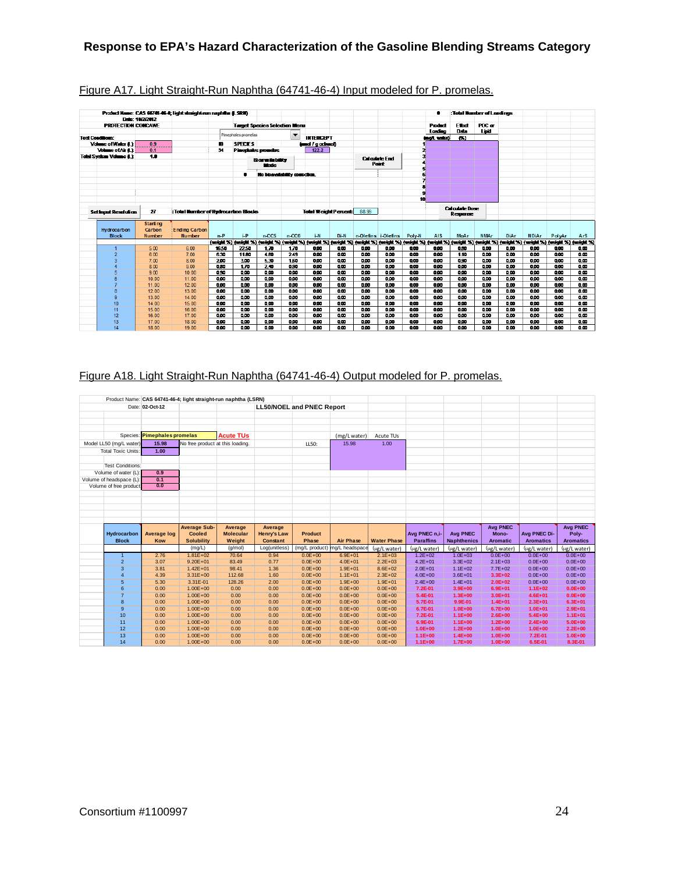|                         |                                | Date: 10/2/2012 | Product Hame: CAS 64741-46-4: light straight-run naphtha (LSRII) |       |                     |                                      |                                |                             |                         |       |                                |                         |            |                       | :Total Number of Londings                                                                                                                                                                      |             |              |        |      |
|-------------------------|--------------------------------|-----------------|------------------------------------------------------------------|-------|---------------------|--------------------------------------|--------------------------------|-----------------------------|-------------------------|-------|--------------------------------|-------------------------|------------|-----------------------|------------------------------------------------------------------------------------------------------------------------------------------------------------------------------------------------|-------------|--------------|--------|------|
|                         | <b>PROTECTION CONCAWE</b>      |                 |                                                                  |       |                     | <b>Target Species Selection Menu</b> |                                |                             |                         |       |                                |                         | Product    | Ethat                 | POC or                                                                                                                                                                                         |             |              |        |      |
|                         |                                |                 |                                                                  |       |                     |                                      |                                |                             |                         |       |                                |                         | Loading    | Data                  | Lipid                                                                                                                                                                                          |             |              |        |      |
| <b>Test Conditions:</b> |                                |                 |                                                                  |       | Pimephales promelas |                                      | $\overline{\phantom{a}}$       | <b>INTERCEPT</b>            |                         |       |                                |                         | inol. wied | 69                    |                                                                                                                                                                                                |             |              |        |      |
|                         | Volume of Water 4.1            | 0.9             |                                                                  | m     | <b>SPECIES</b>      |                                      |                                | (und / cochaol)             |                         |       |                                |                         |            |                       |                                                                                                                                                                                                |             |              |        |      |
|                         | Volume of Air 4.1              | 0.1             |                                                                  | 34    |                     | <b>Pinemales promotas</b>            |                                | 122.2                       |                         |       |                                |                         |            |                       |                                                                                                                                                                                                |             |              |        |      |
|                         | <b>Total System Volume 6.1</b> | 1.8             |                                                                  |       |                     |                                      |                                |                             |                         |       |                                |                         |            |                       |                                                                                                                                                                                                |             |              |        |      |
|                         |                                |                 |                                                                  |       |                     | <b>Boraisbilty</b>                   |                                |                             |                         |       | <b>Calculate End</b><br>Point: |                         |            |                       |                                                                                                                                                                                                |             |              |        |      |
|                         |                                |                 |                                                                  |       |                     | <b>Mode</b>                          |                                |                             |                         |       |                                |                         |            |                       |                                                                                                                                                                                                |             |              |        |      |
|                         |                                |                 |                                                                  |       |                     |                                      | No bioavailability correction. |                             |                         |       |                                |                         |            |                       |                                                                                                                                                                                                |             |              |        |      |
|                         |                                |                 |                                                                  |       |                     |                                      |                                |                             |                         |       |                                |                         |            |                       |                                                                                                                                                                                                |             |              |        |      |
|                         |                                |                 |                                                                  |       |                     |                                      |                                |                             |                         |       |                                |                         |            |                       |                                                                                                                                                                                                |             |              |        |      |
|                         |                                |                 |                                                                  |       |                     |                                      |                                |                             |                         |       |                                |                         |            |                       |                                                                                                                                                                                                |             |              |        |      |
|                         |                                |                 |                                                                  |       |                     |                                      |                                |                             |                         |       |                                | 10                      |            |                       |                                                                                                                                                                                                |             |              |        |      |
|                         |                                |                 |                                                                  |       |                     |                                      |                                |                             |                         |       |                                |                         |            | <b>Calculate Bose</b> |                                                                                                                                                                                                |             |              |        |      |
|                         | Set inout Resolution           | 27              | : Total Number of Hydrocarbon Blocks                             |       |                     |                                      |                                | <b>Total Weight Percent</b> |                         | 88.99 |                                |                         |            | Remanse               |                                                                                                                                                                                                |             |              |        |      |
|                         |                                |                 |                                                                  |       |                     |                                      |                                |                             |                         |       |                                |                         |            |                       |                                                                                                                                                                                                |             |              |        |      |
|                         |                                | <b>Starting</b> |                                                                  |       |                     |                                      |                                |                             |                         |       |                                |                         |            |                       |                                                                                                                                                                                                |             |              |        |      |
|                         | Hydrocarbon                    | Carbon          | <b>Ending Carbon</b>                                             |       | i-P                 |                                      |                                |                             |                         |       |                                |                         |            |                       |                                                                                                                                                                                                |             |              |        |      |
|                         | <b>Block</b>                   | <b>Number</b>   | <b>Number</b>                                                    | $n-P$ |                     | $n-CC5$                              | $n-CC6$                        | i-N                         | Di-N                    |       | n-Olefins i-Olefins            | Poly-N                  | <b>AIS</b> | <b>MoAr</b>           | <b>NMAr</b><br>(weight %) (weight %) (weight %) (weight %) (weight %) (weight %) (weight %) (weight %) (weight %) (weight %) (weight %) (weight %) (weight %) (weight %) (weight %) (weight %) | <b>DiAr</b> | <b>NDiAr</b> | PolyAr | ArS  |
|                         |                                | 5.00            | 6.00                                                             | 16.50 | 22.50               | 1.70                                 | 1.70                           | 0.00                        | 000                     | 0.00  | 000                            | 9.00                    | 0.00       | 0.80                  | 900                                                                                                                                                                                            | 0.00        | 0.00         | 0.00   | 0.00 |
|                         | $\overline{2}$                 | 6.00            | 7.00                                                             | 6.30  | 11.80               | 4.80                                 | 2.49                           | 0.00                        | <b>QCO</b>              | 0.00  | 0.00                           | 0.00                    | 0.00       | 1.10                  | 900                                                                                                                                                                                            | 0.00        | 0.00         | 000    | 0.00 |
|                         | з                              | 7.00            | 8.00                                                             | 200   | 300                 | 5.30                                 | 150                            | 000                         | <b>QCO</b>              | 0.00  | 000                            | 000                     | 800        | 0.90                  | 000                                                                                                                                                                                            | 000         | 800          | 000    | 000  |
|                         | 4                              | 8.00            | 9.00                                                             | 0.80  | 170                 | 240                                  | 890                            | 800                         | $\overline{\mathbf{a}}$ | 000   | 800                            | $\overline{\mathbf{a}}$ | 800        | 0.00                  | 800                                                                                                                                                                                            | 000         | 000          | 000    | 88   |
|                         | 5                              | 9.00            | 10.00                                                            | 0.90  | 0.00                | 0.00                                 | 800                            | 800                         | 000                     | 0.00  | 800                            | 000                     | 0.00       | 0.00                  | 800                                                                                                                                                                                            | 000         | 800          | 0.00   | 888  |
|                         | 6                              | 10.00           | 11.00                                                            | 0.00  | 0.00                | 0.00                                 | 800                            | 800                         | 000                     | 000   | 800                            | 000                     | 000        | 000                   | 800                                                                                                                                                                                            | 000         | 0.00         | 0.00   | 0.00 |
|                         | 7                              | 11.00           | 12.00                                                            | 000   | 000                 | 0.00                                 | 800                            | 800                         | 000                     | 000   | 800                            | 000                     | 000        | 000                   | 800                                                                                                                                                                                            | 0.00        | 0.00         | 000    | 0.00 |
|                         | 8                              | 12.00           | 13.00                                                            | 000   | 800                 | 000                                  | 800                            | 800                         | 000                     | 800   | 800                            | 000                     | 800        | 800                   | 800                                                                                                                                                                                            | 000         | 800          | 000    | 000  |
|                         | $\overline{9}$                 | 13.00           | 14.00                                                            | 9.00  | 0.00                | 0.00                                 | 800                            | 800                         | 000                     | 800   | 800                            | 000                     | 800        | 800                   | 800                                                                                                                                                                                            | 000         | 888          | 000    | 000  |
|                         | 10                             | 14.00           | 15.00                                                            | 0.00  | 0.00                | 0.00                                 | 000                            | 800                         | 000                     | 800   | 0.00                           | 000                     | 0.00       | 800                   | 800                                                                                                                                                                                            | 000         | 800          | 0.00   | 000  |
|                         | 11                             | 15.00           | 16.00                                                            | 000   | 9.00                | 000                                  | 000                            | 0.00                        | 000                     | 000   | 0.00                           | 000                     | 0.00       | 000                   | 900                                                                                                                                                                                            | 000         | 0.00         | 000    | 000  |
|                         | 12                             | 16.00           | 17.00                                                            | 000   | 000                 | 000                                  | 000                            | 000                         | 000                     | 000   | 000                            | 000                     | 000        | 000                   | 000                                                                                                                                                                                            | 000         | 000          | 000    | 000  |
|                         | 13                             | 17.00           | 18.00                                                            | 0.00  | 9.00                | 0.00                                 | 000                            | 0.00                        | 000                     | 0.00  | 0.00                           | 0.00                    | 0.00       | 0.00                  | 9.00                                                                                                                                                                                           | 0.00        | 0.00         | 000    | 0.00 |
|                         | 14                             | 18.00           | 19.00                                                            | 0.00  | 0.00                | 0.00                                 | 000                            | 0.00                        | 000                     | 0.00  | 0.00                           | 000                     | 0.00       | 0.00                  | 9.00                                                                                                                                                                                           | 0.00        | 0.00         | 000    | 0.00 |

## Figure A17. Light Straight-Run Naphtha (64741-46-4) Input modeled for P. promelas.

# Figure A18. Light Straight-Run Naphtha (64741-46-4) Output modeled for P. promelas.

|                           |                              |                                  | Product Name: CAS 64741-46-4; light straight-run naphtha (LSRN) |                    |                                  |                               |                            |                          |                            |                            |                    |                        |
|---------------------------|------------------------------|----------------------------------|-----------------------------------------------------------------|--------------------|----------------------------------|-------------------------------|----------------------------|--------------------------|----------------------------|----------------------------|--------------------|------------------------|
|                           | Date: 02-Oct-12              |                                  |                                                                 |                    | <b>LL50/NOEL and PNEC Report</b> |                               |                            |                          |                            |                            |                    |                        |
|                           |                              |                                  |                                                                 |                    |                                  |                               |                            |                          |                            |                            |                    |                        |
|                           |                              |                                  |                                                                 |                    |                                  |                               |                            |                          |                            |                            |                    |                        |
|                           |                              |                                  |                                                                 |                    |                                  |                               |                            |                          |                            |                            |                    |                        |
|                           | Species: Pimephales promelas |                                  | <b>Acute TUs</b>                                                |                    |                                  | (mg/L water)                  | Acute TUs                  |                          |                            |                            |                    |                        |
| Model LL50 (mg/L water)   | 15.98                        | No free product at this loading. |                                                                 |                    | LL50:                            | 15.98                         | 1.00                       |                          |                            |                            |                    |                        |
|                           | 1.00                         |                                  |                                                                 |                    |                                  |                               |                            |                          |                            |                            |                    |                        |
| <b>Total Toxic Units:</b> |                              |                                  |                                                                 |                    |                                  |                               |                            |                          |                            |                            |                    |                        |
|                           |                              |                                  |                                                                 |                    |                                  |                               |                            |                          |                            |                            |                    |                        |
| <b>Test Conditions:</b>   |                              |                                  |                                                                 |                    |                                  |                               |                            |                          |                            |                            |                    |                        |
| Volume of water (L):      | 0.9                          |                                  |                                                                 |                    |                                  |                               |                            |                          |                            |                            |                    |                        |
| Volume of headspace (L):  | 0.1<br>0.0                   |                                  |                                                                 |                    |                                  |                               |                            |                          |                            |                            |                    |                        |
| Volume of free product    |                              |                                  |                                                                 |                    |                                  |                               |                            |                          |                            |                            |                    |                        |
|                           |                              |                                  |                                                                 |                    |                                  |                               |                            |                          |                            |                            |                    |                        |
|                           |                              |                                  |                                                                 |                    |                                  |                               |                            |                          |                            |                            |                    |                        |
|                           |                              |                                  |                                                                 |                    |                                  |                               |                            |                          |                            |                            |                    |                        |
|                           |                              |                                  |                                                                 |                    |                                  |                               |                            |                          |                            |                            |                    |                        |
|                           |                              |                                  |                                                                 |                    |                                  |                               |                            |                          |                            |                            |                    |                        |
|                           |                              |                                  |                                                                 |                    |                                  |                               |                            |                          |                            |                            |                    |                        |
|                           |                              | <b>Average Sub-</b>              | Average                                                         | Average            |                                  |                               |                            |                          |                            | <b>Avg PNEC</b>            |                    | <b>Avg PNEC</b>        |
| Hydrocarbon               | <b>Average log</b>           | <b>Cooled</b>                    | <b>Molecular</b>                                                | <b>Henry's Law</b> | <b>Product</b>                   |                               |                            | Avg PNEC n.i-            | <b>Avg PNEC</b>            | Mono-                      | Avg PNEC Di-       | Poly-                  |
| <b>Block</b>              | Kow                          | <b>Solubility</b>                | Weight                                                          | <b>Constant</b>    | Phase                            | <b>Air Phase</b>              | <b>Water Phase</b>         | <b>Paraffins</b>         | <b>Naphthenics</b>         | <b>Aromatic</b>            | <b>Aromatics</b>   | <b>Aromatics</b>       |
|                           |                              | (mq/L)                           | (q/mol)                                                         | Log(unitless)      |                                  | (mg/L product) mg/L headspace | (µg/L water)               | (µg/L water)             | (µg/L water)               | (ug/L water)               | (ug/L water)       | (µg/L water)           |
| $\mathbf{1}$              | 2.76                         | $1.81E + 02$                     | 70.64                                                           | 0.94               | $0.0E + 00$                      | $6.9E + 01$                   | $2.1E + 03$                | $1.2E + 02$              | $1.0E + 03$                | $0.0E + 00$                | $0.0E + 00$        | $0.0E + 00$            |
| $\overline{2}$            | 3.07                         | $9.20E + 01$                     | 83.49                                                           | 0.77               | $0.0E + 00$                      | $4.0E + 01$                   | $2.2E + 03$                | $4.2E + 01$              | $3.3E + 02$                | $2.1E + 03$                | $0.0E + 00$        | $0.0E + 00$            |
| $\overline{3}$            | 3.81                         | $1.42E + 01$                     | 98.41                                                           | 1.36               | $0.0E + 00$                      | $1.9E + 01$                   | $8.6E + 02$                | $2.0E + 01$              | $1.1E + 02$                | $7.7E + 02$                | $0.0E + 00$        | $0.0E + 00$            |
| 4                         | 4.39                         | $3.31E+00$                       | 112.68                                                          | 1.60               | $0.0E + 00$                      | $1.1E + 01$                   | $2.3E + 02$                | $4.0E + 00$              | $3.6E + 01$                | $3.3E + 02$                | $0.0E + 00$        | $0.0E + 00$            |
| 5                         | 5.30                         | 3.31E-01                         | 128.26                                                          | 2.00               | $0.0E + 00$                      | $1.9E + 00$                   | $1.9E + 01$                | $2.4E + 00$              | $1.4E + 01$                | $2.0E + 02$                | $0.0E + 00$        | $0.0E + 00$            |
| 6                         | 0.00                         | $1.00E + 00$                     | 0.00                                                            | 0.00               | $0.0E + 00$                      | $0.0E + 00$                   | $0.0E + 00$                | 7.2E-01                  | $3.9E + 00$                | $6.9E + 01$                | $1.1E + 02$        | $0.0E + 00$            |
| $\overline{7}$            | 0.00                         | $1.00E + 00$                     | 0.00                                                            | 0.00               | $0.0E + 00$                      | $0.0E + 00$                   | $0.0E + 00$                | 5.4E-01                  | $1.3E + 00$                | $3.0E + 01$                | $4.6E + 01$        | $0.0E + 00$            |
| 8                         | 0.00                         | $1.00E + 00$                     | 0.00                                                            | 0.00               | $0.0E + 00$                      | $0.0E + 00$                   | $0.0E + 00$                | 5.7E-01                  | 9.9E-01                    | $1.4E + 01$                | $2.3E + 01$        | $6.3E + 01$            |
| $\overline{9}$            | 0.00                         | $1.00E + 00$                     | 0.00                                                            | 0.00               | $0.0E + 00$                      | $0.0E + 00$                   | $0.0E + 00$                | 6.7E-01                  | $1.0E + 00$                | $6.7E + 00$                | $1.0E + 01$        | $2.9E + 01$            |
| 10                        | 0.00                         | $1.00E + 00$                     | 0.00                                                            | 0.00               | $0.0E + 00$                      | $0.0E + 00$                   | $0.0E + 00$                | 7.2E-01                  | $1.1E + 00$                | $2.6E + 00$                | $5.4E + 00$        | $1.1E + 01$            |
| 11                        | 0.00                         | $1.00E + 00$                     | 0.00                                                            | 0.00               | $0.0E + 00$                      | $0.0E + 00$                   | $0.0E + 00$                | 6.9E-01                  | $1.1E + 00$                | $1.2E + 00$                | $2.4E + 00$        | $5.0E + 00$            |
| 12                        | 0.00                         | $1.00E + 00$                     | 0.00                                                            | 0.00               | $0.0E + 00$                      | $0.0E + 00$                   | $0.0E + 00$                | $1.0E + 00$              | $1.2E + 00$                | $1.0E + 00$                | $1.0E + 00$        | $2.2E+00$              |
| 13<br>14                  | 0.00<br>0.00                 | $1.00E + 00$<br>$1.00E + 00$     | 0.00<br>0.00                                                    | 0.00<br>0.00       | $0.0E + 00$<br>$0.0E + 00$       | $0.0E + 00$<br>$0.0E + 00$    | $0.0E + 00$<br>$0.0E + 00$ | $1.1E+00$<br>$1.1E + 00$ | $1.4E + 00$<br>$1.7E + 00$ | $1.0E + 00$<br>$1.0E + 00$ | 7.2E-01<br>6.5E-01 | $1.0E + 00$<br>8.3E-01 |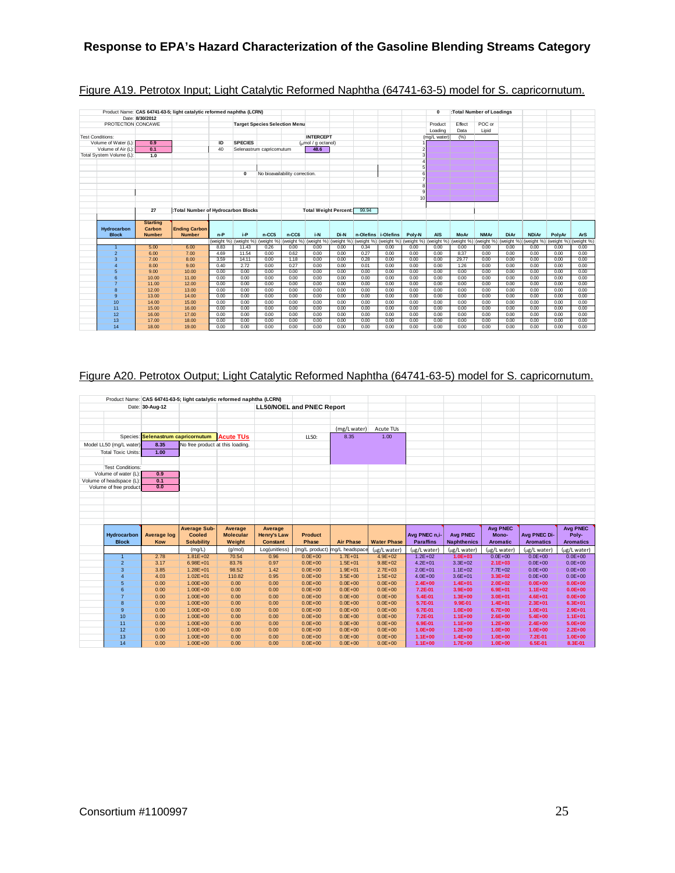|                             |                                            | Product Name: CAS 64741-63-5; light catalytic reformed naphtha (LCRN) |              |                                                                                                                                                                                                                                |                          |                                      |                                |              |              |                     |                 | $\mathbf{0}$ |              | :Total Number of Loadings |              |              |              |              |
|-----------------------------|--------------------------------------------|-----------------------------------------------------------------------|--------------|--------------------------------------------------------------------------------------------------------------------------------------------------------------------------------------------------------------------------------|--------------------------|--------------------------------------|--------------------------------|--------------|--------------|---------------------|-----------------|--------------|--------------|---------------------------|--------------|--------------|--------------|--------------|
|                             | Date: 8/30/2012                            |                                                                       |              |                                                                                                                                                                                                                                |                          |                                      |                                |              |              |                     |                 |              |              |                           |              |              |              |              |
| PROTECTION CONCAWE          |                                            |                                                                       |              |                                                                                                                                                                                                                                |                          | <b>Target Species Selection Menu</b> |                                |              |              |                     |                 | Product      | Effect       | POC or                    |              |              |              |              |
|                             |                                            |                                                                       |              |                                                                                                                                                                                                                                |                          |                                      |                                |              |              |                     |                 | Loading      | Data         | Lipid                     |              |              |              |              |
| <b>Test Conditions:</b>     |                                            |                                                                       |              |                                                                                                                                                                                                                                |                          |                                      | <b>INTERCEPT</b>               |              |              |                     |                 | (mg/L water) | (% )         |                           |              |              |              |              |
| Volume of Water (L):        | 0.9                                        |                                                                       | ID           | <b>SPECIES</b>                                                                                                                                                                                                                 |                          |                                      | $\frac{1}{2}$ mol / g octanol) |              |              |                     |                 |              |              |                           |              |              |              |              |
| Volume of Air (L):          | 0.1                                        |                                                                       | 40           |                                                                                                                                                                                                                                | Selenastrum capricomutum |                                      | 48.6                           |              |              |                     |                 |              |              |                           |              |              |              |              |
| Total System Volume (L):    | 1.0                                        |                                                                       |              |                                                                                                                                                                                                                                |                          |                                      |                                |              |              |                     |                 |              |              |                           |              |              |              |              |
|                             |                                            |                                                                       |              |                                                                                                                                                                                                                                |                          |                                      |                                |              |              |                     |                 |              |              |                           |              |              |              |              |
|                             |                                            |                                                                       |              |                                                                                                                                                                                                                                |                          |                                      |                                |              |              |                     |                 |              |              |                           |              |              |              |              |
|                             |                                            |                                                                       |              | $\Omega$                                                                                                                                                                                                                       |                          | No bioavailability correction.       |                                |              |              |                     |                 |              |              |                           |              |              |              |              |
|                             |                                            |                                                                       |              |                                                                                                                                                                                                                                |                          |                                      |                                |              |              |                     |                 |              |              |                           |              |              |              |              |
|                             |                                            |                                                                       |              |                                                                                                                                                                                                                                |                          |                                      |                                |              |              |                     |                 |              |              |                           |              |              |              |              |
|                             |                                            |                                                                       |              |                                                                                                                                                                                                                                |                          |                                      |                                |              |              |                     |                 |              |              |                           |              |              |              |              |
|                             |                                            |                                                                       |              |                                                                                                                                                                                                                                |                          |                                      |                                |              |              |                     | 10 <sup>1</sup> |              |              |                           |              |              |              |              |
|                             |                                            |                                                                       |              |                                                                                                                                                                                                                                |                          |                                      |                                |              |              |                     |                 |              |              |                           |              |              |              |              |
|                             | 27                                         | :Total Number of Hydrocarbon Blocks                                   |              |                                                                                                                                                                                                                                |                          |                                      | <b>Total Weight Percent:</b>   |              | 99.94        |                     |                 |              |              |                           |              |              |              |              |
|                             |                                            |                                                                       |              |                                                                                                                                                                                                                                |                          |                                      |                                |              |              |                     |                 |              |              |                           |              |              |              |              |
| Hydrocarbon<br><b>Block</b> | <b>Starting</b><br>Carbon<br><b>Number</b> | <b>Ending Carbon</b><br><b>Number</b>                                 | $n-P$        | $i-P$                                                                                                                                                                                                                          | $n-CC5$                  | n-CC6                                | i-N                            | Di-N         |              | n-Olefins i-Olefins | Poly-N          | <b>AIS</b>   | <b>MoAr</b>  | <b>NMAr</b>               | <b>DiAr</b>  | <b>NDiAr</b> | PolvAr       | <b>ArS</b>   |
|                             |                                            |                                                                       |              | (weight %) (weight %) (weight %) (weight %) (weight %) (weight %) (weight %) (weight %) (weight %) (weight %) (weight %) (weight %) (weight %) (weight %) (weight %) (weight %) (weight %) (weight %) (weight %) (weight %) (w |                          |                                      |                                |              |              |                     |                 |              |              |                           |              |              |              |              |
| $\overline{1}$              | 5.00                                       | 6.00                                                                  | 8.83         | 11.43                                                                                                                                                                                                                          | 0.26                     | 0.00                                 | 0.00                           | 0.00         | 0.34         | 0.00                | 0.00            | 0.00         | 0.00         | 0.00                      | 0.00         | 0.00         | 0.00         | 0.00         |
| $\overline{2}$              | 6.00                                       | 7.00                                                                  | 4.69         | 11.54                                                                                                                                                                                                                          | 0.00                     | 0.62                                 | 0.00                           | 0.00         | 0.27         | 0.00                | 0.00            | 0.00         | 8.37         | 0.00                      | 0.00         | 0.00         | 0.00         | 0.00         |
| 3                           | 7.00                                       | 8.00                                                                  | 3.59         | 14.11                                                                                                                                                                                                                          | 0.00                     | 1.18                                 | 0.00                           | 0.00         | 0.28         | 0.00                | 0.00            | 0.00         | 29.77        | 0.00                      | 0.00         | 0.00         | 0.00         | 0.00         |
| Δ                           | 8.00                                       | 9.00                                                                  | 0.40         | 2.72                                                                                                                                                                                                                           | 0.00                     | 0.27                                 | 0.00                           | 0.00         | 0.01         | 0.00                | 0.00            | 0.00         | 1.26         | 0.00                      | 0.00         | 0.00         | 0.00         | 0.00         |
| 5                           | 9.00                                       | 10.00                                                                 | 0.00         | 0.00                                                                                                                                                                                                                           | 0.00                     | 0.00                                 | 0.00                           | 0.00         | 0.00         | 0.00                | 0.00            | 0.00         | 0.00         | 0.00                      | 0.00         | 0.00         | 0.00         | 0.00         |
| 6                           | 10.00                                      | 11.00                                                                 | 0.00         | 0.00                                                                                                                                                                                                                           | 0.00                     | 0.00                                 | 0.00                           | 0.00         | 0.00         | 0.00                | 0.00            | 0.00         | 0.00         | 0.00                      | 0.00         | 0.00         | 0.00         | 0.00         |
| $\overline{7}$              | 11.00                                      | 12.00                                                                 | 0.00         | 0.00                                                                                                                                                                                                                           | 0.00                     | 0.00                                 | 0.00                           | 0.00         | 0.00         | 0.00                | 0.00            | 0.00         | 0.00         | 0.00                      | 0.00         | 0.00         | 0.00         | 0.00         |
| 8                           | 12.00                                      | 13.00                                                                 | 0.00         | 0.00                                                                                                                                                                                                                           | 0.00                     | 0.00                                 | 0.00                           | 0.00         | 0.00         | 0.00                | 0.00            | 0.00         | 0.00         | 0.00                      | 0.00         | 0.00         | 0.00         | 0.00         |
| $\mathbf{Q}$                | 13.00                                      | 14.00                                                                 | 0.00         | 0.00                                                                                                                                                                                                                           | 0.00                     | 0.00                                 | 0.00                           | 0.00         | 0.00         | 0.00                | 0.00            | 0.00         | 0.00         | 0.00                      | 0.00         | 0.00         | 0.00         | 0.00         |
| 10                          | 14.00                                      | 15.00                                                                 | 0.00         | 0.00                                                                                                                                                                                                                           | 0.00                     | 0.00                                 | 0.00                           | 0.00         | 0.00         | 0.00                | 0.00            | 0.00         | 0.00         | 0.00                      | 0.00         | 0.00         | 0.00         | 0.00         |
| 11                          | 15.00                                      | 16.00                                                                 | 0.00         | 0.00                                                                                                                                                                                                                           | 0.00                     | 0.00                                 | 0.00                           | 0.00         | 0.00         | 0.00                | 0.00            | 0.00         | 0.00         | 0.00                      | 0.00         | 0.00         | 0.00         | 0.00         |
| 12                          | 16.00                                      | 17.00                                                                 | 0.00         | 0.00                                                                                                                                                                                                                           | 0.00                     | 0.00                                 | 0.00                           | 0.00         | 0.00         | 0.00                | 0.00            | 0.00         | 0.00         | 0.00                      | 0.00         | 0.00         | 0.00         | 0.00         |
| 13<br>14                    | 17.00<br>18.00                             | 18.00<br>19.00                                                        | 0.00<br>0.00 | 0.00<br>0.00                                                                                                                                                                                                                   | 0.00<br>0.00             | 0.00<br>0.00                         | 0.00<br>0.00                   | 0.00<br>0.00 | 0.00<br>0.00 | 0.00<br>0.00        | 0.00<br>0.00    | 0.00<br>0.00 | 0.00<br>0.00 | 0.00<br>0.00              | 0.00<br>0.00 | 0.00<br>0.00 | 0.00<br>0.00 | 0.00<br>0.00 |

## Figure A19. Petrotox Input; Light Catalytic Reformed Naphtha (64741-63-5) model for S. capricornutum.

## Figure A20. Petrotox Output; Light Catalytic Reformed Naphtha (64741-63-5) model for S. capricornutum.

|                             |                                    | Product Name: CAS 64741-63-5; light catalytic reformed naphtha (LCRN) |                  |                       |                                  |                               |                             |                                   |                             |                             |                             |                             |
|-----------------------------|------------------------------------|-----------------------------------------------------------------------|------------------|-----------------------|----------------------------------|-------------------------------|-----------------------------|-----------------------------------|-----------------------------|-----------------------------|-----------------------------|-----------------------------|
|                             | Date: 30-Aug-12                    |                                                                       |                  |                       | <b>LL50/NOEL and PNEC Report</b> |                               |                             |                                   |                             |                             |                             |                             |
|                             |                                    |                                                                       |                  |                       |                                  |                               |                             |                                   |                             |                             |                             |                             |
|                             |                                    |                                                                       |                  |                       |                                  |                               |                             |                                   |                             |                             |                             |                             |
|                             |                                    |                                                                       |                  |                       |                                  | (mg/L water)                  | Acute TUs                   |                                   |                             |                             |                             |                             |
|                             | Species: Selenastrum capricornutum |                                                                       | <b>Acute TUs</b> |                       | LL50:                            | 8.35                          | 1.00                        |                                   |                             |                             |                             |                             |
| Model LL50 (mg/L water)     | 8.35                               | No free product at this loading.                                      |                  |                       |                                  |                               |                             |                                   |                             |                             |                             |                             |
|                             |                                    |                                                                       |                  |                       |                                  |                               |                             |                                   |                             |                             |                             |                             |
| <b>Total Toxic Units:</b>   | 1.00                               |                                                                       |                  |                       |                                  |                               |                             |                                   |                             |                             |                             |                             |
|                             |                                    |                                                                       |                  |                       |                                  |                               |                             |                                   |                             |                             |                             |                             |
| <b>Test Conditions:</b>     |                                    |                                                                       |                  |                       |                                  |                               |                             |                                   |                             |                             |                             |                             |
| Volume of water (L):        | 0.9                                |                                                                       |                  |                       |                                  |                               |                             |                                   |                             |                             |                             |                             |
| Volume of headspace (L):    | 0.1<br>0.0                         |                                                                       |                  |                       |                                  |                               |                             |                                   |                             |                             |                             |                             |
| Volume of free product      |                                    |                                                                       |                  |                       |                                  |                               |                             |                                   |                             |                             |                             |                             |
|                             |                                    |                                                                       |                  |                       |                                  |                               |                             |                                   |                             |                             |                             |                             |
|                             |                                    |                                                                       |                  |                       |                                  |                               |                             |                                   |                             |                             |                             |                             |
|                             |                                    |                                                                       |                  |                       |                                  |                               |                             |                                   |                             |                             |                             |                             |
|                             |                                    |                                                                       |                  |                       |                                  |                               |                             |                                   |                             |                             |                             |                             |
|                             |                                    |                                                                       |                  |                       |                                  |                               |                             |                                   |                             |                             |                             |                             |
|                             |                                    |                                                                       |                  |                       |                                  |                               |                             |                                   |                             |                             |                             |                             |
|                             |                                    | <b>Average Sub-</b>                                                   | Average          | Average               |                                  |                               |                             |                                   |                             | <b>Avg PNEC</b>             |                             | <b>Avg PNEC</b>             |
| Hydrocarbon<br><b>Block</b> | <b>Average log</b><br>Kow          | <b>Cooled</b>                                                         | <b>Molecular</b> | <b>Henry's Law</b>    | <b>Product</b><br>Phase          |                               | <b>Water Phase</b>          | Avg PNEC n.i-<br><b>Paraffins</b> | <b>Avg PNEC</b>             | Mono-                       | Avg PNEC Di-                | Poly-                       |
|                             |                                    | <b>Solubility</b>                                                     | Weight           | <b>Constant</b>       |                                  | <b>Air Phase</b>              |                             |                                   | <b>Naphthenics</b>          | <b>Aromatic</b>             | <b>Aromatics</b>            | <b>Aromatics</b>            |
| $\mathbf{1}$                | 2.78                               | (mg/L)<br>$1.81E + 02$                                                | (q/mol)<br>70.54 | Log(unitless)<br>0.96 | (mg/L product)<br>$0.0E + 00$    | mg/L headspace<br>$1.7E + 01$ | (µg/L water)<br>$4.9E + 02$ | ug/L water<br>$1.2E + 02$         | (µg/L water)<br>$1.0E + 03$ | (ug/L water)<br>$0.0E + 00$ | (µg/L water)<br>$0.0E + 00$ | (µg/L water)<br>$0.0E + 00$ |
| $\overline{2}$              | 3.17                               | $6.98E + 01$                                                          | 83.76            | 0.97                  | $0.0E + 00$                      | $1.5E + 01$                   | $9.8E + 02$                 | $4.2E + 01$                       | $3.3E + 02$                 | $2.1E + 03$                 | $0.0E + 00$                 | $0.0E + 00$                 |
| $\overline{3}$              | 3.85                               | $1.28E + 01$                                                          | 98.52            | 1.42                  | $0.0E + 00$                      | $1.9E + 01$                   | $2.7E + 03$                 | $2.0E + 01$                       | $1.1E + 02$                 | $7.7E + 02$                 | $0.0E + 00$                 | $0.0E + 00$                 |
| 4                           | 4.03                               | $1.02E + 01$                                                          | 110.82           | 0.95                  | $0.0E + 00$                      | $3.5E + 00$                   | $1.5E + 02$                 | $4.0E + 00$                       | $3.6E + 01$                 | $3.3E + 02$                 | $0.0E + 00$                 | $0.0E + 00$                 |
| 5                           | 0.00                               | $1.00E + 00$                                                          | 0.00             | 0.00                  | $0.0E + 00$                      | $0.0E + 00$                   | $0.0E + 00$                 | $2.4E + 00$                       | $1.4E + 01$                 | $2.0E + 02$                 | $0.0E + 00$                 | $0.0E + 00$                 |
| 6                           | 0.00                               | $1.00E + 00$                                                          | 0.00             | 0.00                  | $0.0E + 00$                      | $0.0E + 00$                   | $0.0E + 00$                 | 7.2E-01                           | $3.9E + 00$                 | $6.9E + 01$                 | $1.1E + 02$                 | $0.0E + 00$                 |
| $\overline{7}$              | 0.00                               | $1.00E + 00$                                                          | 0.00             | 0.00                  | $0.0E + 00$                      | $0.0E + 00$                   | $0.0E + 00$                 | 5.4E-01                           | $1.3E + 00$                 | $3.0E + 01$                 | $4.6E + 01$                 | $0.0E + 00$                 |
| 8                           | 0.00                               | $1.00E + 00$                                                          | 0.00             | 0.00                  | $0.0E + 00$                      | $0.0E + 00$                   | $0.0E + 00$                 | 5.7E-01                           | 9.9E-01                     | $1.4E + 01$                 | $2.3E + 01$                 | $6.3E + 01$                 |
| $\mathsf g$                 | 0.00                               | $1.00E + 00$                                                          | 0.00             | 0.00                  | $0.0E + 00$                      | $0.0E + 00$                   | $0.0E + 00$                 | 6.7E-01                           | $1.0E + 00$                 | $6.7E + 00$                 | $1.0E + 01$                 | $2.9E + 01$                 |
| 10                          | 0.00                               | $1.00E + 00$                                                          | 0.00             | 0.00                  | $0.0E + 00$                      | $0.0E + 00$                   | $0.0E + 00$                 | 7.2E-01                           | $1.1E+00$                   | $2.6E + 00$                 | $5.4E+00$                   | $1.1E + 01$                 |
| 11                          | 0.00                               | $1.00E + 00$                                                          | 0.00             | 0.00                  | $0.0E + 00$                      | $0.0E + 00$                   | $0.0E + 00$                 | 6.9E-01                           | $1.1E+00$                   | $1.2E + 00$                 | $2.4E+00$                   | $5.0E + 00$                 |
| 12                          | 0.00                               | $1.00E + 00$                                                          | 0.00             | 0.00                  | $0.0E + 00$                      | $0.0E + 00$                   | $0.0E + 00$                 | $1.0E + 00$                       | $1.2E + 00$                 | $1.0E + 00$                 | $1.0E + 00$                 | $2.2E + 00$                 |
| 13<br>14                    | 0.00<br>0.00                       | $1.00E + 00$<br>$1.00E + 00$                                          | 0.00<br>0.00     | 0.00<br>0.00          | $0.0E + 00$<br>$0.0E + 00$       | $0.0E + 00$<br>$0.0E + 00$    | $0.0E + 00$<br>$0.0E + 00$  | $1.1E+00$<br>$1.1E + 00$          | $1.4E + 00$<br>$1.7E + 00$  | $1.0E + 00$<br>$1.0E + 00$  | 7.2E-01<br>6.5E-01          | $1.0E + 00$<br>8.3E-01      |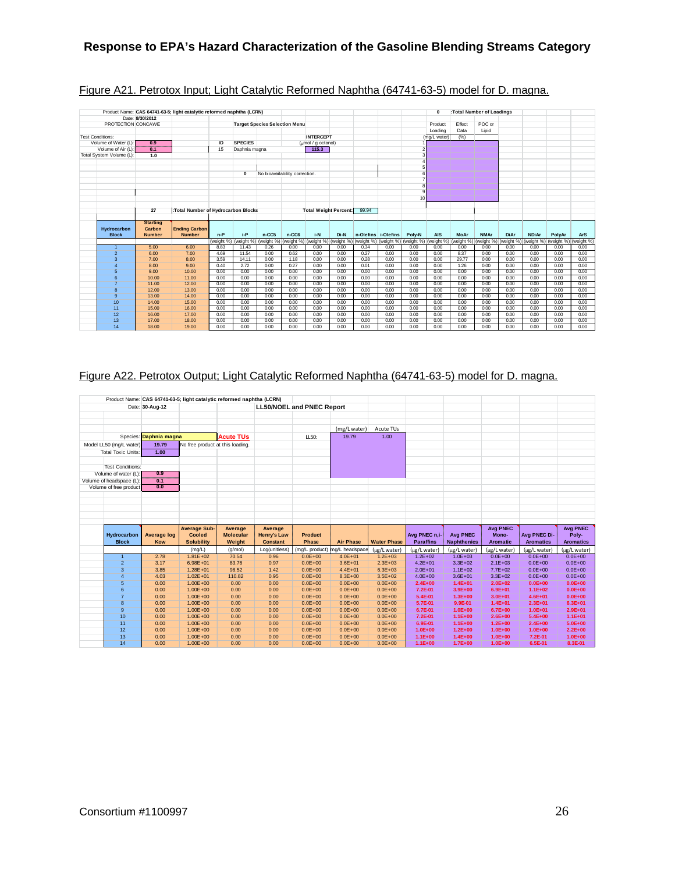|                          |                 | Product Name: CAS 64741-63-5; light catalytic reformed naphtha (LCRN) |       |                                           |                                      |                                |                                        |                              |       |                     |        | 0                                                                                                                                                                                  |        | :Total Number of Loadings |             |              |        |            |
|--------------------------|-----------------|-----------------------------------------------------------------------|-------|-------------------------------------------|--------------------------------------|--------------------------------|----------------------------------------|------------------------------|-------|---------------------|--------|------------------------------------------------------------------------------------------------------------------------------------------------------------------------------------|--------|---------------------------|-------------|--------------|--------|------------|
| PROTECTION CONCAWE       | Date: 8/30/2012 |                                                                       |       |                                           |                                      |                                |                                        |                              |       |                     |        |                                                                                                                                                                                    | Effect | POC or                    |             |              |        |            |
|                          |                 |                                                                       |       |                                           | <b>Target Species Selection Menu</b> |                                |                                        |                              |       |                     |        | Product<br>Loading                                                                                                                                                                 | Data   | Lipid                     |             |              |        |            |
| <b>Test Conditions:</b>  |                 |                                                                       |       |                                           |                                      |                                | <b>INTERCEPT</b>                       |                              |       |                     |        | (mg/L water)                                                                                                                                                                       | (%)    |                           |             |              |        |            |
| Volume of Water (L):     | 0.9             |                                                                       | ID    | <b>SPECIES</b>                            |                                      |                                | $\frac{1}{2}$ ( $\frac{1}{2}$ octanol) |                              |       |                     |        |                                                                                                                                                                                    |        |                           |             |              |        |            |
| Volume of Air (L):       | 0.1             |                                                                       | 15    | Daphnia magna                             |                                      |                                | 115.3                                  |                              |       |                     |        |                                                                                                                                                                                    |        |                           |             |              |        |            |
| Total System Volume (L): | 1.0             |                                                                       |       |                                           |                                      |                                |                                        |                              |       |                     |        |                                                                                                                                                                                    |        |                           |             |              |        |            |
|                          |                 |                                                                       |       |                                           |                                      |                                |                                        |                              |       |                     |        |                                                                                                                                                                                    |        |                           |             |              |        |            |
|                          |                 |                                                                       |       |                                           |                                      |                                |                                        |                              |       |                     |        |                                                                                                                                                                                    |        |                           |             |              |        |            |
|                          |                 |                                                                       |       | $\mathbf 0$                               |                                      | No bioavailability correction. |                                        |                              |       |                     |        |                                                                                                                                                                                    |        |                           |             |              |        |            |
|                          |                 |                                                                       |       |                                           |                                      |                                |                                        |                              |       |                     |        |                                                                                                                                                                                    |        |                           |             |              |        |            |
|                          |                 |                                                                       |       |                                           |                                      |                                |                                        |                              |       |                     |        |                                                                                                                                                                                    |        |                           |             |              |        |            |
|                          |                 |                                                                       |       |                                           |                                      |                                |                                        |                              |       |                     |        |                                                                                                                                                                                    |        |                           |             |              |        |            |
|                          |                 |                                                                       |       |                                           |                                      |                                |                                        |                              |       |                     | 10     |                                                                                                                                                                                    |        |                           |             |              |        |            |
|                          |                 |                                                                       |       |                                           |                                      |                                |                                        |                              |       |                     |        |                                                                                                                                                                                    |        |                           |             |              |        |            |
|                          | 27              | :Total Number of Hydrocarbon Blocks                                   |       |                                           |                                      |                                |                                        | <b>Total Weight Percent:</b> | 99.94 |                     |        |                                                                                                                                                                                    |        |                           |             |              |        |            |
|                          |                 |                                                                       |       |                                           |                                      |                                |                                        |                              |       |                     |        |                                                                                                                                                                                    |        |                           |             |              |        |            |
|                          | <b>Starting</b> |                                                                       |       |                                           |                                      |                                |                                        |                              |       |                     |        |                                                                                                                                                                                    |        |                           |             |              |        |            |
| Hydrocarbon              | Carbon          | <b>Ending Carbon</b>                                                  |       |                                           |                                      |                                |                                        |                              |       |                     |        |                                                                                                                                                                                    |        |                           |             |              |        |            |
| <b>Block</b>             | <b>Number</b>   | <b>Number</b>                                                         | $n-P$ | $i-P$<br>(weight %) (weight %) (weight %) | $n-CC5$                              | n-CC6                          | i-N                                    | Di-N                         |       | n-Olefins i-Olefins | Poly-N | <b>AIS</b><br>(weight %) (weight %) (weight %) (weight %) (weight %) (weight %) (weight %) (weight %) (weight %) (weight %) (weight %) (weight %) (weight %) (weight %) (weight %) | MoAr   | <b>NMAr</b>               | <b>DiAr</b> | <b>NDiAr</b> | PolvAr | <b>ArS</b> |
| $\overline{1}$           | 5.00            | 6.00                                                                  | 8.83  | 11.43                                     | 0.26                                 | 0.00                           | 0.00                                   | 0.00                         | 0.34  | 0.00                | 0.00   | 0.00                                                                                                                                                                               | 0.00   | 0.00                      | 0.00        | 0.00         | 0.00   | 0.00       |
| $\overline{2}$           | 6.00            | 7.00                                                                  | 4.69  | 11.54                                     | 0.00                                 | 0.62                           | 0.00                                   | 0.00                         | 0.27  | 0.00                | 0.00   | 0.00                                                                                                                                                                               | 8.37   | 0.00                      | 0.00        | 0.00         | 0.00   | 0.00       |
| 3                        | 7.00            | 8.00                                                                  | 3.59  | 14.11                                     | 0.00                                 | 1.18                           | 0.00                                   | 0.00                         | 0.28  | 0.00                | 0.00   | 0.00                                                                                                                                                                               | 29.77  | 0.00                      | 0.00        | 0.00         | 0.00   | 0.00       |
| 4                        | 8.00            | 9.00                                                                  | 0.40  | 2.72                                      | 0.00                                 | 0.27                           | 0.00                                   | 0.00                         | 0.01  | 0.00                | 0.00   | 0.00                                                                                                                                                                               | 1.26   | 0.00                      | 0.00        | 0.00         | 0.00   | 0.00       |
| 5                        | 9.00            | 10.00                                                                 | 0.00  | 0.00                                      | 0.00                                 | 0.00                           | 0.00                                   | 0.00                         | 0.00  | 0.00                | 0.00   | 0.00                                                                                                                                                                               | 0.00   | 0.00                      | 0.00        | 0.00         | 0.00   | 0.00       |
| 6                        | 10.00           | 11.00                                                                 | 0.00  | 0.00                                      | 0.00                                 | 0.00                           | 0.00                                   | 0.00                         | 0.00  | 0.00                | 0.00   | 0.00                                                                                                                                                                               | 0.00   | 0.00                      | 0.00        | 0.00         | 0.00   | 0.00       |
| 7                        | 11.00           | 12.00                                                                 | 0.00  | 0.00                                      | 0.00                                 | 0.00                           | 0.00                                   | 0.00                         | 0.00  | 0.00                | 0.00   | 0.00                                                                                                                                                                               | 0.00   | 0.00                      | 0.00        | 0.00         | 0.00   | 0.00       |
| 8                        | 12.00           | 13.00                                                                 | 0.00  | 0.00                                      | 0.00                                 | 0.00                           | 0.00                                   | 0.00                         | 0.00  | 0.00                | 0.00   | 0.00                                                                                                                                                                               | 0.00   | 0.00                      | 0.00        | 0.00         | 0.00   | 0.00       |
| $\mathbf{Q}$             | 13.00           | 14.00                                                                 | 0.00  | 0.00                                      | 0.00                                 | 0.00                           | 0.00                                   | 0.00                         | 0.00  | 0.00                | 0.00   | 0.00                                                                                                                                                                               | 0.00   | 0.00                      | 0.00        | 0.00         | 0.00   | 0.00       |
| 10                       | 14.00           | 15.00                                                                 | 0.00  | 0.00                                      | 0.00                                 | 0.00                           | 0.00                                   | 0.00                         | 0.00  | 0.00                | 0.00   | 0.00                                                                                                                                                                               | 0.00   | 0.00                      | 0.00        | 0.00         | 0.00   | 0.00       |
| 11                       | 15.00           | 16.00                                                                 | 0.00  | 0.00                                      | 0.00                                 | 0.00                           | 0.00                                   | 0.00                         | 0.00  | 0.00                | 0.00   | 0.00                                                                                                                                                                               | 0.00   | 0.00                      | 0.00        | 0.00         | 0.00   | 0.00       |
| 12                       | 16.00           | 17.00                                                                 | 0.00  | 0.00                                      | 0.00                                 | 0.00                           | 0.00                                   | 0.00                         | 0.00  | 0.00                | 0.00   | 0.00                                                                                                                                                                               | 0.00   | 0.00                      | 0.00        | 0.00         | 0.00   | 0.00       |
| 13                       | 17.00           | 18.00                                                                 | 0.00  | 0.00                                      | 0.00                                 | 0.00                           | 0.00                                   | 0.00                         | 0.00  | 0.00                | 0.00   | 0.00                                                                                                                                                                               | 0.00   | 0.00                      | 0.00        | 0.00         | 0.00   | 0.00       |
| 14                       | 18.00           | 19.00                                                                 | 0.00  | 0.00                                      | 0.00                                 | 0.00                           | 0.00                                   | 0.00                         | 0.00  | 0.00                | 0.00   | 0.00                                                                                                                                                                               | 0.00   | 0.00                      | 0.00        | 0.00         | 0.00   | 0.00       |

## Figure A21. Petrotox Input; Light Catalytic Reformed Naphtha (64741-63-5) model for D. magna.

## Figure A22. Petrotox Output; Light Catalytic Reformed Naphtha (64741-63-5) model for D. magna.

|                           |                        | Product Name: CAS 64741-63-5; light catalytic reformed naphtha (LCRN) |                  |                    |                                  |                               |                            |                            |                            |                            |                    |                        |
|---------------------------|------------------------|-----------------------------------------------------------------------|------------------|--------------------|----------------------------------|-------------------------------|----------------------------|----------------------------|----------------------------|----------------------------|--------------------|------------------------|
|                           | Date: 30-Aug-12        |                                                                       |                  |                    | <b>LL50/NOEL and PNEC Report</b> |                               |                            |                            |                            |                            |                    |                        |
|                           |                        |                                                                       |                  |                    |                                  |                               |                            |                            |                            |                            |                    |                        |
|                           |                        |                                                                       |                  |                    |                                  |                               |                            |                            |                            |                            |                    |                        |
|                           |                        |                                                                       |                  |                    |                                  | (mg/L water)                  | Acute TUs                  |                            |                            |                            |                    |                        |
|                           | Species: Daphnia magna |                                                                       | <b>Acute TUs</b> |                    | LL50:                            | 19.79                         | 1.00                       |                            |                            |                            |                    |                        |
| Model LL50 (mg/L water)   | 19.79                  | No free product at this loading.                                      |                  |                    |                                  |                               |                            |                            |                            |                            |                    |                        |
| <b>Total Toxic Units:</b> | 1.00                   |                                                                       |                  |                    |                                  |                               |                            |                            |                            |                            |                    |                        |
|                           |                        |                                                                       |                  |                    |                                  |                               |                            |                            |                            |                            |                    |                        |
| <b>Test Conditions:</b>   |                        |                                                                       |                  |                    |                                  |                               |                            |                            |                            |                            |                    |                        |
| Volume of water (L):      | 0.9                    |                                                                       |                  |                    |                                  |                               |                            |                            |                            |                            |                    |                        |
| Volume of headspace (L):  | 0.1                    |                                                                       |                  |                    |                                  |                               |                            |                            |                            |                            |                    |                        |
| Volume of free product    | 0.0                    |                                                                       |                  |                    |                                  |                               |                            |                            |                            |                            |                    |                        |
|                           |                        |                                                                       |                  |                    |                                  |                               |                            |                            |                            |                            |                    |                        |
|                           |                        |                                                                       |                  |                    |                                  |                               |                            |                            |                            |                            |                    |                        |
|                           |                        |                                                                       |                  |                    |                                  |                               |                            |                            |                            |                            |                    |                        |
|                           |                        |                                                                       |                  |                    |                                  |                               |                            |                            |                            |                            |                    |                        |
|                           |                        |                                                                       |                  |                    |                                  |                               |                            |                            |                            |                            |                    |                        |
|                           |                        |                                                                       |                  |                    |                                  |                               |                            |                            |                            |                            |                    |                        |
|                           |                        | <b>Average Sub-</b>                                                   | Average          | Average            |                                  |                               |                            |                            |                            | <b>Avg PNEC</b>            |                    | <b>Avg PNEC</b>        |
| <b>Hydrocarbon</b>        | <b>Average log</b>     | Cooled                                                                | <b>Molecular</b> | <b>Henry's Law</b> | <b>Product</b>                   |                               |                            | Avg PNEC n.i-              | <b>Avg PNEC</b>            | Mono-                      | Avg PNEC Di-       | Poly-                  |
| <b>Block</b>              | Kow                    | <b>Solubility</b>                                                     | Weight           | <b>Constant</b>    | Phase                            | <b>Air Phase</b>              | <b>Water Phase</b>         | <b>Paraffins</b>           | <b>Naphthenics</b>         | <b>Aromatic</b>            | <b>Aromatics</b>   | <b>Aromatics</b>       |
|                           |                        | (mg/L)                                                                | (q/mol)          | Log(unitless)      |                                  | (mg/L product) mg/L headspace | (µg/L water)               | (ug/L water)               | (µg/L water)               | (ug/L water)               | (µg/L water)       | (µg/L water)           |
| $\mathbf{1}$              | 2.78                   | $1.81E + 02$                                                          | 70.54            | 0.96               | $0.0E + 00$                      | $4.0E + 01$                   | $1.2E + 03$                | $1.2E + 02$                | $1.0E + 03$                | $0.0E + 00$                | $0.0E + 00$        | $0.0E + 00$            |
| $\overline{2}$            | 3.17                   | $6.98E + 01$                                                          | 83.76            | 0.97               | $0.0E + 00$                      | $3.6E + 01$                   | $2.3E + 03$                | $4.2E + 01$                | $3.3E + 02$                | $2.1E + 03$                | $0.0E + 00$        | $0.0E + 00$            |
| $\overline{3}$            | 3.85                   | $1.28E + 01$                                                          | 98.52            | 1.42               | $0.0E + 00$                      | $4.4E + 01$                   | $6.3E + 03$                | $2.0E + 01$                | $1.1E + 02$                | $7.7E + 02$                | $0.0E + 00$        | $0.0E + 00$            |
| $\overline{4}$            | 4.03                   | $1.02E + 01$                                                          | 110.82           | 0.95               | $0.0E + 00$                      | $8.3E + 00$                   | $3.5E + 02$                | $4.0E + 00$                | $3.6E + 01$                | $3.3E + 02$                | $0.0E + 00$        | $0.0E + 00$            |
| 5                         | 0.00                   | $1.00E + 00$                                                          | 0.00             | 0.00               | $0.0E + 00$                      | $0.0E + 00$                   | $0.0E + 00$                | $2.4E + 00$                | $1.4E + 01$                | $2.0E + 02$                | $0.0E + 00$        | $0.0E + 00$            |
| 6                         | 0.00                   | $1.00E + 00$                                                          | 0.00             | 0.00               | $0.0E + 00$                      | $0.0E + 00$                   | $0.0E + 00$                | 7.2E-01                    | $3.9E + 00$                | $6.9E + 01$                | $1.1E + 02$        | $0.0E + 00$            |
| $\overline{7}$            | 0.00                   | $1.00E + 00$                                                          | 0.00             | 0.00               | $0.0E + 00$                      | $0.0E + 00$                   | $0.0E + 00$                | 5.4E-01                    | $1.3E + 00$                | $3.0E + 01$                | $4.6E + 01$        | $0.0E + 00$            |
| 8                         | 0.00                   | $1.00E + 00$                                                          | 0.00             | 0.00               | $0.0E + 00$                      | $0.0E + 00$                   | $0.0E + 00$                | 5.7E-01                    | 9.9E-01                    | $1.4E + 01$                | $2.3E + 01$        | $6.3E + 01$            |
| 9                         | 0.00                   | $1.00E + 00$                                                          | 0.00             | 0.00               | $0.0E + 00$                      | $0.0E + 00$                   | $0.0E + 00$                | 6.7E-01                    | $1.0E + 00$                | $6.7E + 00$                | $1.0E + 01$        | $2.9E + 01$            |
| 10                        | 0.00                   | $1.00E + 00$                                                          | 0.00             | 0.00               | $0.0E + 00$                      | $0.0E + 00$                   | $0.0E + 00$                | 7.2E-01                    | $1.1E + 00$                | $2.6E + 00$                | $5.4E+00$          | $1.1E + 01$            |
| 11                        | 0.00                   | $1.00E + 00$                                                          | 0.00             | 0.00               | $0.0E + 00$                      | $0.0E + 00$                   | $0.0E + 00$                | 6.9E-01                    | $1.1E + 00$                | $1.2E + 00$                | $2.4E+00$          | $5.0E + 00$            |
| 12                        | 0.00                   | $1.00E + 00$                                                          | 0.00             | 0.00               | $0.0E + 00$                      | $0.0E + 00$                   | $0.0E + 00$                | $1.0E + 00$                | $1.2E + 00$                | $1.0E + 00$                | $1.0E + 00$        | $2.2E + 00$            |
| 13<br>14                  | 0.00<br>0.00           | $1.00E + 00$<br>$1.00E + 00$                                          | 0.00<br>0.00     | 0.00<br>0.00       | $0.0E + 00$<br>$0.0E + 00$       | $0.0E + 00$<br>$0.0E + 00$    | $0.0E + 00$<br>$0.0E + 00$ | $1.1E + 00$<br>$1.1E + 00$ | $1.4E + 00$<br>$1.7E + 00$ | $1.0E + 00$<br>$1.0E + 00$ | 7.2E-01<br>6.5E-01 | $1.0E + 00$<br>8.3E-01 |